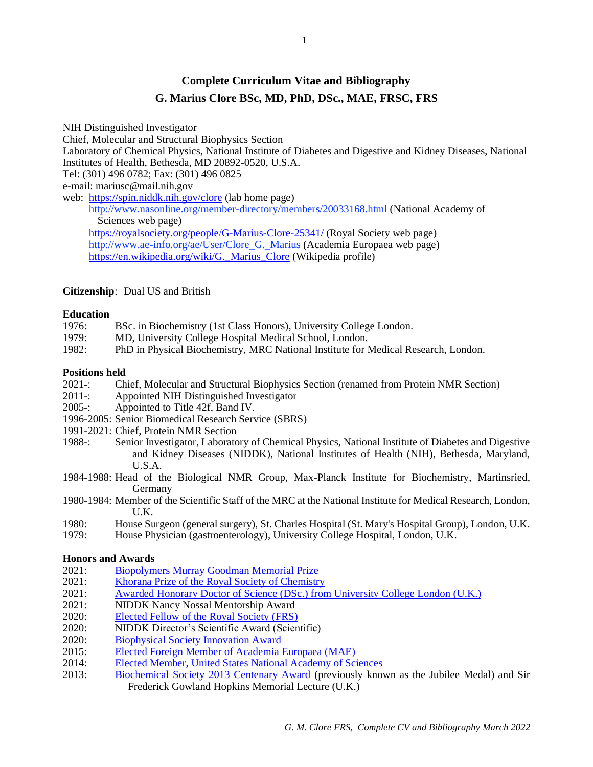# **Complete Curriculum Vitae and Bibliography G. Marius Clore BSc, MD, PhD, DSc., MAE, FRSC, FRS**

NIH Distinguished Investigator Chief, Molecular and Structural Biophysics Section Laboratory of Chemical Physics, National Institute of Diabetes and Digestive and Kidney Diseases, National Institutes of Health, Bethesda, MD 20892-0520, U.S.A. Tel: (301) 496 0782; Fax: (301) 496 0825 e-mail: mariusc@mail.nih.gov web: <https://spin.niddk.nih.gov/clore> (lab home page) <http://www.nasonline.org/member-directory/members/20033168.html> (National Academy of Sciences web page) <https://royalsociety.org/people/G-Marius-Clore-25341/> (Royal Society web page) [http://www.ae-info.org/ae/User/Clore\\_G.\\_Marius](http://www.ae-info.org/ae/User/Clore_G._Marius) (Academia Europaea web page) https://en.wikipedia.org/wiki/G. Marius Clore (Wikipedia profile)

# **Citizenship**: Dual US and British

# **Education**

- 1976: BSc. in Biochemistry (1st Class Honors), University College London.
- 1979: MD, University College Hospital Medical School, London.
- 1982: PhD in Physical Biochemistry, MRC National Institute for Medical Research, London.

# **Positions held**

- 2021-: Chief, Molecular and Structural Biophysics Section (renamed from Protein NMR Section)
- 2011-: Appointed NIH Distinguished Investigator
- 2005-: Appointed to Title 42f, Band IV.
- 1996-2005: Senior Biomedical Research Service (SBRS)
- 1991-2021: Chief, Protein NMR Section
- 1988-: Senior Investigator, Laboratory of Chemical Physics, National Institute of Diabetes and Digestive and Kidney Diseases (NIDDK), National Institutes of Health (NIH), Bethesda, Maryland, U.S.A.
- 1984-1988: Head of the Biological NMR Group, Max-Planck Institute for Biochemistry, Martinsried, Germany
- 1980-1984: Member of the Scientific Staff of the MRC at the National Institute for Medical Research, London, U.K.
- 1980: House Surgeon (general surgery), St. Charles Hospital (St. Mary's Hospital Group), London, U.K.
- 1979: House Physician (gastroenterology), University College Hospital, London, U.K.

# **Honors and Awards**

- 2021: [Biopolymers Murray Goodman Memorial Prize](https://onlinelibrary.wiley.com/page/journal/10970282/homepage/murray_goodman_memorial_prize.htm)
- 2021: Khorana [Prize of the Royal Society of Chemistry](https://www.rsc.org/prizes-funding/prizes/2021-winners/dr-g-marius-clore/)
- 2021: [Awarded Honorary Doctor of Science \(DSc.\) from University College London](https://www.ucl.ac.uk/news/2021/jul/ucl-awards-2021-honorary-degrees-and-fellowships) (U.K.)
- 2021: NIDDK Nancy Nossal Mentorship Award
- 2020: [Elected Fellow of the Royal Society](https://royalsociety.org/news/2020/04/outstanding-scientists-elected-as-fellows-and-foreign-members-of-the-royal-society/) (FRS)
- 2020: NIDDK Director's Scientific Award (Scientific)
- 2020: [Biophysical Society Innovation Award](https://www.biophysics.org/news-room/acat/1/archive/9-2019)
- 2015: [Elected Foreign Member of Academia Europaea \(MAE\)](https://www.ae-info.org/attach/Acad_Main/List_of_Members/Election_List_2015/2015%20members%20%28all%20Classes%29%20elected%20by%20Council%20on%206%20September%20%28for%20publication%20amended%2021%20-09%29.pdf)
- 2014: [Elected Member, United States National Academy of Sciences](http://www.nasonline.org/news-and-multimedia/news/april-29-2014-NAS-Election.html)
- 2013: [Biochemical Society 2013 Centenary Award](http://www.biochemist.org/bio/03403/0060/034030060.pdf|publisher=Biochemical%20Society) (previously known as the Jubilee Medal) and Sir Frederick Gowland Hopkins Memorial Lecture (U.K.)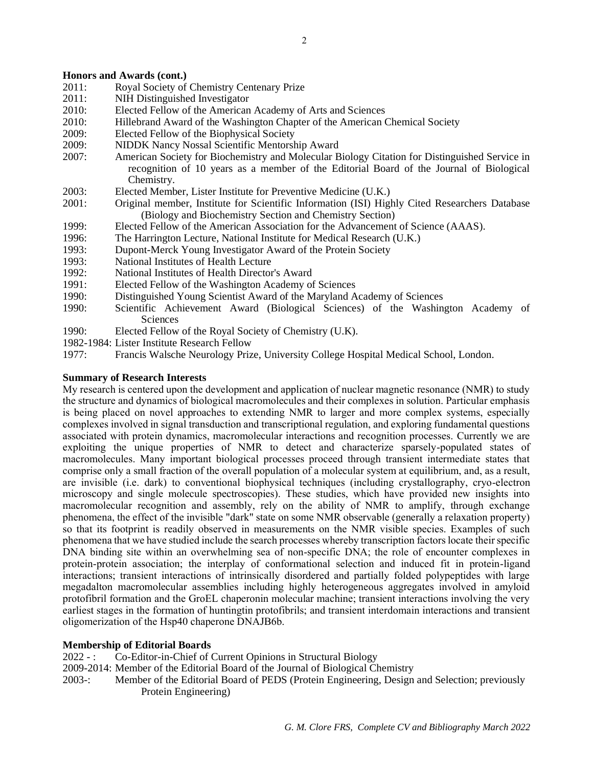## **Honors and Awards (cont.)**

- 2011: Royal Society of Chemistry Centenary Prize
- 2011: NIH Distinguished Investigator
- 2010: Elected Fellow of the American Academy of Arts and Sciences
- 2010: Hillebrand Award of the Washington Chapter of the American Chemical Society
- 2009: Elected Fellow of the Biophysical Society
- 2009: NIDDK Nancy Nossal Scientific Mentorship Award
- 2007: American Society for Biochemistry and Molecular Biology Citation for Distinguished Service in recognition of 10 years as a member of the Editorial Board of the Journal of Biological Chemistry.
- 2003: Elected Member, Lister Institute for Preventive Medicine (U.K.)
- 2001: Original member, Institute for Scientific Information (ISI) Highly Cited Researchers Database (Biology and Biochemistry Section and Chemistry Section)
- 1999: Elected Fellow of the American Association for the Advancement of Science (AAAS).
- 1996: The Harrington Lecture, National Institute for Medical Research (U.K.)
- 1993: Dupont-Merck Young Investigator Award of the Protein Society
- 1993: National Institutes of Health Lecture
- 1992: National Institutes of Health Director's Award
- 1991: Elected Fellow of the Washington Academy of Sciences
- 1990: Distinguished Young Scientist Award of the Maryland Academy of Sciences
- 1990: Scientific Achievement Award (Biological Sciences) of the Washington Academy of Sciences
- 1990: Elected Fellow of the Royal Society of Chemistry (U.K).
- 1982-1984: Lister Institute Research Fellow
- 1977: Francis Walsche Neurology Prize, University College Hospital Medical School, London.

# **Summary of Research Interests**

My research is centered upon the development and application of nuclear magnetic resonance (NMR) to study the structure and dynamics of biological macromolecules and their complexes in solution. Particular emphasis is being placed on novel approaches to extending NMR to larger and more complex systems, especially complexes involved in signal transduction and transcriptional regulation, and exploring fundamental questions associated with protein dynamics, macromolecular interactions and recognition processes. Currently we are exploiting the unique properties of NMR to detect and characterize sparsely-populated states of macromolecules. Many important biological processes proceed through transient intermediate states that comprise only a small fraction of the overall population of a molecular system at equilibrium, and, as a result, are invisible (i.e. dark) to conventional biophysical techniques (including crystallography, cryo-electron microscopy and single molecule spectroscopies). These studies, which have provided new insights into macromolecular recognition and assembly, rely on the ability of NMR to amplify, through exchange phenomena, the effect of the invisible "dark" state on some NMR observable (generally a relaxation property) so that its footprint is readily observed in measurements on the NMR visible species. Examples of such phenomena that we have studied include the search processes whereby transcription factors locate their specific DNA binding site within an overwhelming sea of non-specific DNA; the role of encounter complexes in protein-protein association; the interplay of conformational selection and induced fit in protein-ligand interactions; transient interactions of intrinsically disordered and partially folded polypeptides with large megadalton macromolecular assemblies including highly heterogeneous aggregates involved in amyloid protofibril formation and the GroEL chaperonin molecular machine; transient interactions involving the very earliest stages in the formation of huntingtin protofibrils; and transient interdomain interactions and transient oligomerization of the Hsp40 chaperone DNAJB6b.

# **Membership of Editorial Boards**

- 2022 : Co-Editor-in-Chief of Current Opinions in Structural Biology
- 2009-2014: Member of the Editorial Board of the Journal of Biological Chemistry
- 2003-: Member of the Editorial Board of PEDS (Protein Engineering, Design and Selection; previously Protein Engineering)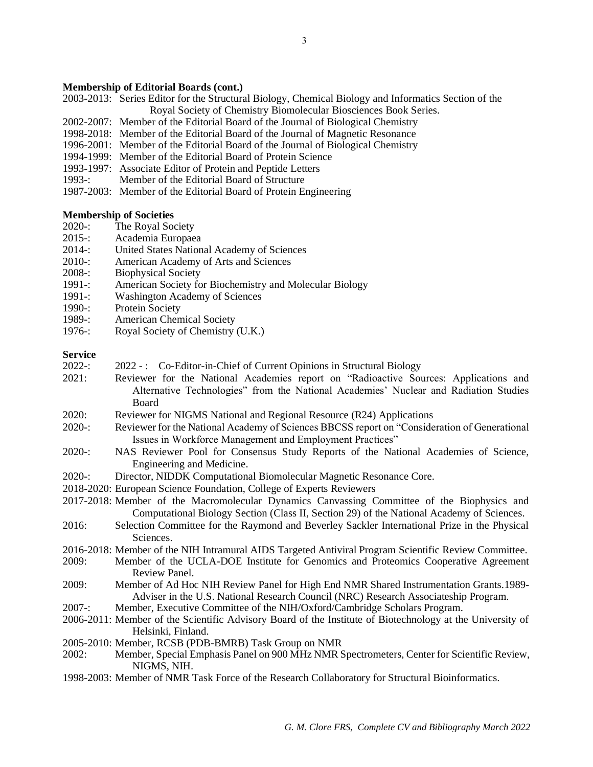### **Membership of Editorial Boards (cont.)**

2003-2013: Series Editor for the Structural Biology, Chemical Biology and Informatics Section of the Royal Society of Chemistry Biomolecular Biosciences Book Series.

- 2002-2007: Member of the Editorial Board of the Journal of Biological Chemistry
- 1998-2018: Member of the Editorial Board of the Journal of Magnetic Resonance
- 1996-2001: Member of the Editorial Board of the Journal of Biological Chemistry
- 1994-1999: Member of the Editorial Board of Protein Science
- 1993-1997: Associate Editor of Protein and Peptide Letters
- 1993-: Member of the Editorial Board of Structure
- 1987-2003: Member of the Editorial Board of Protein Engineering

#### **Membership of Societies**

- 2020-: The Royal Society
- 2015-: Academia Europaea
- 2014-: United States National Academy of Sciences
- 2010-: American Academy of Arts and Sciences
- 2008-: Biophysical Society
- 1991-: American Society for Biochemistry and Molecular Biology
- 1991-: Washington Academy of Sciences
- 1990-: Protein Society
- 1989-: American Chemical Society
- 1976-: Royal Society of Chemistry (U.K.)

# **Service**

- 2022-: 2022 -: Co-Editor-in-Chief of Current Opinions in Structural Biology
- 2021: Reviewer for the National Academies report on "Radioactive Sources: Applications and Alternative Technologies" from the National Academies' Nuclear and Radiation Studies Board

2020: Reviewer for NIGMS National and Regional Resource (R24) Applications

- 2020-: Reviewer for the National Academy of Sciences BBCSS report on "Consideration of Generational Issues in Workforce Management and Employment Practices"
- 2020-: NAS Reviewer Pool for Consensus Study Reports of the National Academies of Science, Engineering and Medicine.
- 2020-: Director, NIDDK Computational Biomolecular Magnetic Resonance Core.
- 2018-2020: European Science Foundation, College of Experts Reviewers
- 2017-2018: Member of the Macromolecular Dynamics Canvassing Committee of the Biophysics and Computational Biology Section (Class II, Section 29) of the National Academy of Sciences.
- 2016: Selection Committee for the Raymond and Beverley Sackler International Prize in the Physical Sciences.
- 2016-2018: Member of the NIH Intramural AIDS Targeted Antiviral Program Scientific Review Committee.
- 2009: Member of the UCLA-DOE Institute for Genomics and Proteomics Cooperative Agreement Review Panel.
- 2009: Member of Ad Hoc NIH Review Panel for High End NMR Shared Instrumentation Grants.1989- Adviser in the U.S. National Research Council (NRC) Research Associateship Program.
- 2007-: Member, Executive Committee of the NIH/Oxford/Cambridge Scholars Program.
- 2006-2011: Member of the Scientific Advisory Board of the Institute of Biotechnology at the University of Helsinki, Finland.
- 2005-2010: Member, RCSB (PDB-BMRB) Task Group on NMR
- 2002: Member, Special Emphasis Panel on 900 MHz NMR Spectrometers, Center for Scientific Review, NIGMS, NIH.
- 1998-2003: Member of NMR Task Force of the Research Collaboratory for Structural Bioinformatics.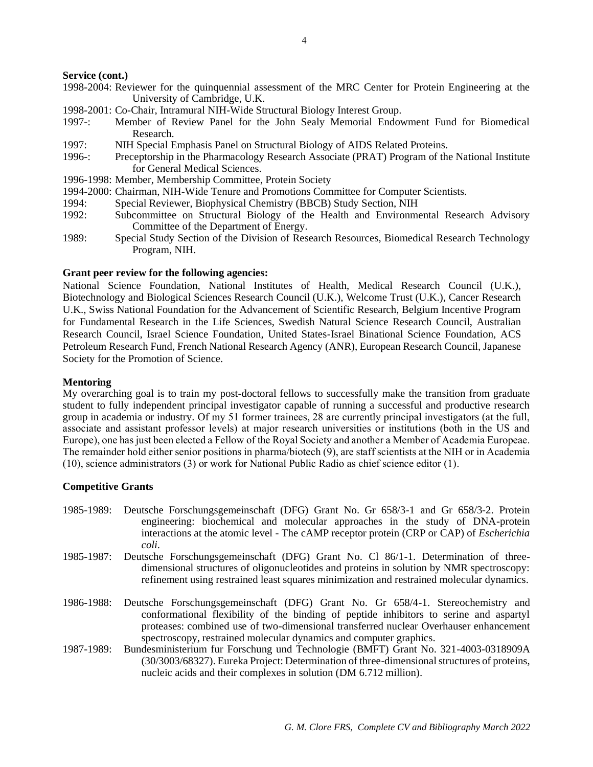### **Service (cont.)**

- 1998-2004: Reviewer for the quinquennial assessment of the MRC Center for Protein Engineering at the University of Cambridge, U.K.
- 1998-2001: Co-Chair, Intramural NIH-Wide Structural Biology Interest Group.
- 1997-: Member of Review Panel for the John Sealy Memorial Endowment Fund for Biomedical Research.
- 1997: NIH Special Emphasis Panel on Structural Biology of AIDS Related Proteins.
- 1996-: Preceptorship in the Pharmacology Research Associate (PRAT) Program of the National Institute for General Medical Sciences.
- 1996-1998: Member, Membership Committee, Protein Society
- 1994-2000: Chairman, NIH-Wide Tenure and Promotions Committee for Computer Scientists.
- 1994: Special Reviewer, Biophysical Chemistry (BBCB) Study Section, NIH
- 1992: Subcommittee on Structural Biology of the Health and Environmental Research Advisory Committee of the Department of Energy.
- 1989: Special Study Section of the Division of Research Resources, Biomedical Research Technology Program, NIH.

### **Grant peer review for the following agencies:**

National Science Foundation, National Institutes of Health, Medical Research Council (U.K.), Biotechnology and Biological Sciences Research Council (U.K.), Welcome Trust (U.K.), Cancer Research U.K., Swiss National Foundation for the Advancement of Scientific Research, Belgium Incentive Program for Fundamental Research in the Life Sciences, Swedish Natural Science Research Council, Australian Research Council, Israel Science Foundation, United States-Israel Binational Science Foundation, ACS Petroleum Research Fund, French National Research Agency (ANR), European Research Council, Japanese Society for the Promotion of Science.

### **Mentoring**

My overarching goal is to train my post-doctoral fellows to successfully make the transition from graduate student to fully independent principal investigator capable of running a successful and productive research group in academia or industry. Of my 51 former trainees, 28 are currently principal investigators (at the full, associate and assistant professor levels) at major research universities or institutions (both in the US and Europe), one has just been elected a Fellow of the Royal Society and another a Member of Academia Europeae. The remainder hold either senior positions in pharma/biotech (9), are staff scientists at the NIH or in Academia (10), science administrators (3) or work for National Public Radio as chief science editor (1).

#### **Competitive Grants**

- 1985-1989: Deutsche Forschungsgemeinschaft (DFG) Grant No. Gr 658/3-1 and Gr 658/3-2. Protein engineering: biochemical and molecular approaches in the study of DNA-protein interactions at the atomic level - The cAMP receptor protein (CRP or CAP) of *Escherichia coli*.
- 1985-1987: Deutsche Forschungsgemeinschaft (DFG) Grant No. Cl 86/1-1. Determination of threedimensional structures of oligonucleotides and proteins in solution by NMR spectroscopy: refinement using restrained least squares minimization and restrained molecular dynamics.
- 1986-1988: Deutsche Forschungsgemeinschaft (DFG) Grant No. Gr 658/4-1. Stereochemistry and conformational flexibility of the binding of peptide inhibitors to serine and aspartyl proteases: combined use of two-dimensional transferred nuclear Overhauser enhancement spectroscopy, restrained molecular dynamics and computer graphics.
- 1987-1989: Bundesministerium fur Forschung und Technologie (BMFT) Grant No. 321-4003-0318909A (30/3003/68327). Eureka Project: Determination of three-dimensionalstructures of proteins, nucleic acids and their complexes in solution (DM 6.712 million).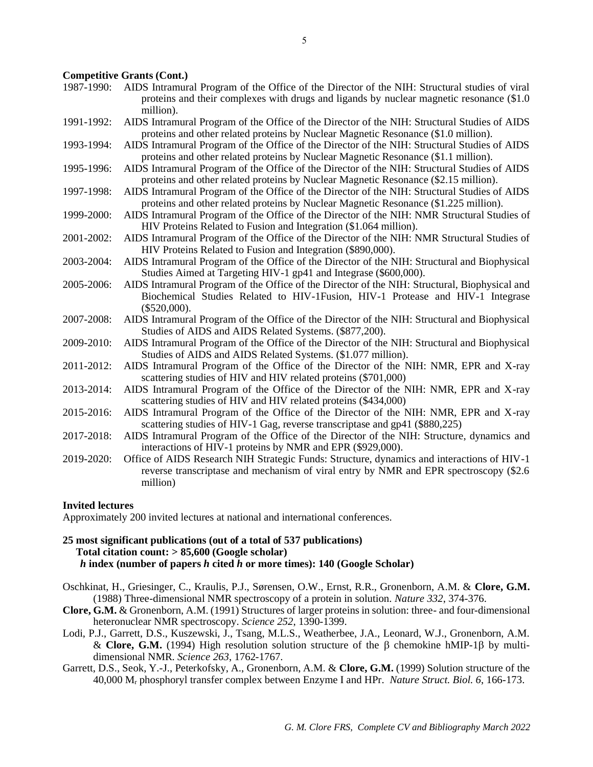### **Competitive Grants (Cont.)**

- 1987-1990: AIDS Intramural Program of the Office of the Director of the NIH: Structural studies of viral proteins and their complexes with drugs and ligands by nuclear magnetic resonance (\$1.0 million).
- 1991-1992: AIDS Intramural Program of the Office of the Director of the NIH: Structural Studies of AIDS proteins and other related proteins by Nuclear Magnetic Resonance (\$1.0 million).
- 1993-1994: AIDS Intramural Program of the Office of the Director of the NIH: Structural Studies of AIDS proteins and other related proteins by Nuclear Magnetic Resonance (\$1.1 million).
- 1995-1996: AIDS Intramural Program of the Office of the Director of the NIH: Structural Studies of AIDS proteins and other related proteins by Nuclear Magnetic Resonance (\$2.15 million).
- 1997-1998: AIDS Intramural Program of the Office of the Director of the NIH: Structural Studies of AIDS proteins and other related proteins by Nuclear Magnetic Resonance (\$1.225 million).
- 1999-2000: AIDS Intramural Program of the Office of the Director of the NIH: NMR Structural Studies of HIV Proteins Related to Fusion and Integration (\$1.064 million).
- 2001-2002: AIDS Intramural Program of the Office of the Director of the NIH: NMR Structural Studies of HIV Proteins Related to Fusion and Integration (\$890,000).
- 2003-2004: AIDS Intramural Program of the Office of the Director of the NIH: Structural and Biophysical Studies Aimed at Targeting HIV-1 gp41 and Integrase (\$600,000).
- 2005-2006: AIDS Intramural Program of the Office of the Director of the NIH: Structural, Biophysical and Biochemical Studies Related to HIV-1Fusion, HIV-1 Protease and HIV-1 Integrase  $($520,000)$ .
- 2007-2008: AIDS Intramural Program of the Office of the Director of the NIH: Structural and Biophysical Studies of AIDS and AIDS Related Systems. (\$877,200).
- 2009-2010: AIDS Intramural Program of the Office of the Director of the NIH: Structural and Biophysical Studies of AIDS and AIDS Related Systems. (\$1.077 million).
- 2011-2012: AIDS Intramural Program of the Office of the Director of the NIH: NMR, EPR and X-ray scattering studies of HIV and HIV related proteins (\$701,000)
- 2013-2014: AIDS Intramural Program of the Office of the Director of the NIH: NMR, EPR and X-ray scattering studies of HIV and HIV related proteins (\$434,000)
- 2015-2016: AIDS Intramural Program of the Office of the Director of the NIH: NMR, EPR and X-ray scattering studies of HIV-1 Gag, reverse transcriptase and gp41 (\$880,225)
- 2017-2018: AIDS Intramural Program of the Office of the Director of the NIH: Structure, dynamics and interactions of HIV-1 proteins by NMR and EPR (\$929,000).
- 2019-2020: Office of AIDS Research NIH Strategic Funds: Structure, dynamics and interactions of HIV-1 reverse transcriptase and mechanism of viral entry by NMR and EPR spectroscopy (\$2.6 million)

# **Invited lectures**

Approximately 200 invited lectures at national and international conferences.

# **25 most significant publications (out of a total of 537 publications) Total citation count: > 85,600 (Google scholar)** *h* **index (number of papers** *h* **cited** *h* **or more times): 140 (Google Scholar)**

- Oschkinat, H., Griesinger, C., Kraulis, P.J., Sørensen, O.W., Ernst, R.R., Gronenborn, A.M. & **Clore, G.M.** (1988) Three-dimensional NMR spectroscopy of a protein in solution. *Nature 332*, 374-376.
- **Clore, G.M.** & Gronenborn, A.M. (1991) Structures of larger proteins in solution: three- and four-dimensional heteronuclear NMR spectroscopy. *Science 252*, 1390-1399.
- Lodi, P.J., Garrett, D.S., Kuszewski, J., Tsang, M.L.S., Weatherbee, J.A., Leonard, W.J., Gronenborn, A.M. & **Clore, G.M.** (1994) High resolution solution structure of the  $\beta$  chemokine hMIP-1 $\beta$  by multidimensional NMR. *Science 263*, 1762-1767.
- Garrett, D.S., Seok, Y.-J., Peterkofsky, A., Gronenborn, A.M. & **Clore, G.M.** (1999) Solution structure of the 40,000 M<sup>r</sup> phosphoryl transfer complex between Enzyme I and HPr. *Nature Struct. Biol. 6*, 166-173.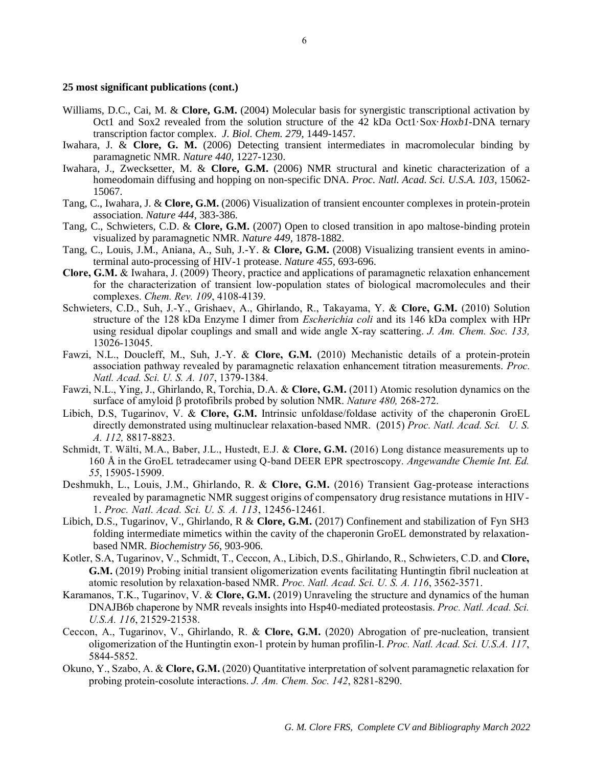### **25 most significant publications (cont.)**

- Williams, D.C., Cai, M. & **Clore, G.M.** (2004) Molecular basis for synergistic transcriptional activation by Oct1 and Sox2 revealed from the solution structure of the 42 kDa Oct1·Sox·*Hoxb1*-DNA ternary transcription factor complex. *J. Biol. Chem. 279*, 1449-1457.
- Iwahara, J. & **Clore, G. M.** (2006) Detecting transient intermediates in macromolecular binding by paramagnetic NMR. *Nature 440,* 1227-1230.
- Iwahara, J., Zwecksetter, M. & **Clore, G.M.** (2006) NMR structural and kinetic characterization of a homeodomain diffusing and hopping on non-specific DNA. *Proc. Natl. Acad. Sci. U.S.A. 103*, 15062- 15067.
- Tang, C., Iwahara, J. & **Clore, G.M.** (2006) Visualization of transient encounter complexes in protein-protein association. *Nature 444*, 383-386.
- Tang, C., Schwieters, C.D. & **Clore, G.M.** (2007) Open to closed transition in apo maltose-binding protein visualized by paramagnetic NMR. *Nature 449,* 1878-1882.
- Tang, C., Louis, J.M., Aniana, A., Suh, J.-Y. & **Clore, G.M.** (2008) Visualizing transient events in aminoterminal auto-processing of HIV-1 protease. *Nature 455,* 693-696.
- **Clore, G.M.** & Iwahara, J. (2009) Theory, practice and applications of paramagnetic relaxation enhancement for the characterization of transient low-population states of biological macromolecules and their complexes. *Chem. Rev. 109*, 4108-4139.
- Schwieters, C.D., Suh, J.-Y., Grishaev, A., Ghirlando, R., Takayama, Y. & **Clore, G.M.** (2010) Solution structure of the 128 kDa Enzyme I dimer from *Escherichia coli* and its 146 kDa complex with HPr using residual dipolar couplings and small and wide angle X-ray scattering. *J. Am. Chem. Soc. 133,* 13026-13045.
- Fawzi, N.L., Doucleff, M., Suh, J.-Y. & **Clore, G.M.** (2010) Mechanistic details of a protein-protein association pathway revealed by paramagnetic relaxation enhancement titration measurements. *Proc. Natl. Acad. Sci. U. S. A. 107*, 1379-1384.
- Fawzi, N.L., Ying, J., Ghirlando, R, Torchia, D.A. & **Clore, G.M.** (2011) Atomic resolution dynamics on the surface of amyloid β protofibrils probed by solution NMR. *Nature 480*, 268-272.
- Libich, D.S, Tugarinov, V. & **Clore, G.M.** Intrinsic unfoldase/foldase activity of the chaperonin GroEL directly demonstrated using multinuclear relaxation-based NMR. (2015) *Proc. Natl. Acad. Sci. U. S. A. 112,* 8817-8823.
- Schmidt, T. Wälti, M.A., Baber, J.L., Hustedt, E.J. & **Clore, G.M.** (2016) Long distance measurements up to 160 Å in the GroEL tetradecamer using Q-band DEER EPR spectroscopy. *Angewandte Chemie Int. Ed. 55*, 15905-15909.
- Deshmukh, L., Louis, J.M., Ghirlando, R. & **Clore, G.M.** (2016) Transient Gag-protease interactions revealed by paramagnetic NMR suggest origins of compensatory drug resistance mutations in HIV-1. *Proc. Natl. Acad. Sci. U. S. A. 113*, 12456-12461*.*
- Libich, D.S., Tugarinov, V., Ghirlando, R & **Clore, G.M.** (2017) Confinement and stabilization of Fyn SH3 folding intermediate mimetics within the cavity of the chaperonin GroEL demonstrated by relaxationbased NMR. *Biochemistry 56*, 903-906.
- Kotler, S.A, Tugarinov, V., Schmidt, T., Ceccon, A., Libich, D.S., Ghirlando, R., Schwieters, C.D. and **Clore, G.M.** (2019) Probing initial transient oligomerization events facilitating Huntingtin fibril nucleation at atomic resolution by relaxation-based NMR. *Proc. Natl. Acad. Sci. U. S. A. 116*, 3562-3571.
- Karamanos, T.K., Tugarinov, V. & **Clore, G.M.** (2019) Unraveling the structure and dynamics of the human DNAJB6b chaperone by NMR reveals insights into Hsp40-mediated proteostasis. *Proc. Natl. Acad. Sci. U.S.A. 116*, 21529-21538.
- Ceccon, A., Tugarinov, V., Ghirlando, R. & **Clore, G.M.** (2020) Abrogation of pre-nucleation, transient oligomerization of the Huntingtin exon-1 protein by human profilin-I. *Proc. Natl. Acad. Sci. U.S.A. 117*, 5844-5852.
- Okuno, Y., Szabo, A. & **Clore, G.M.** (2020) Quantitative interpretation of solvent paramagnetic relaxation for probing protein-cosolute interactions. *J. Am. Chem. Soc. 142*, 8281-8290.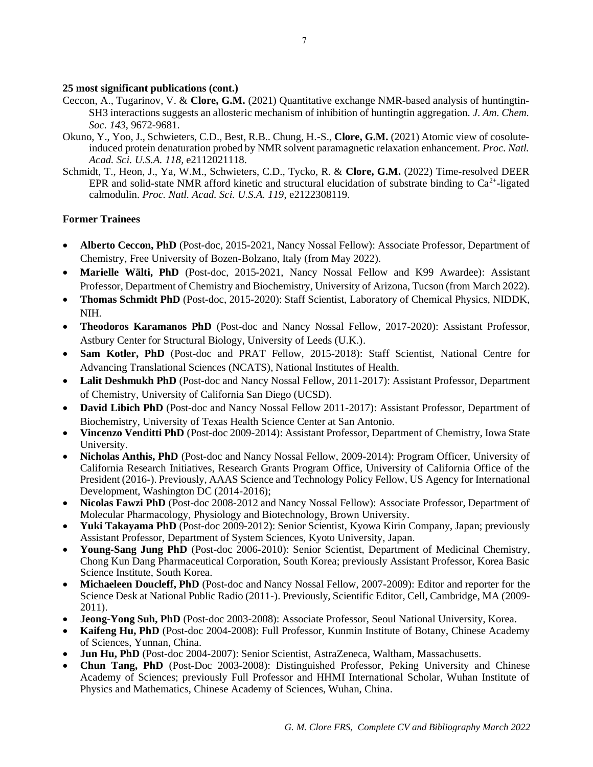# **25 most significant publications (cont.)**

- Ceccon, A., Tugarinov, V. & **Clore, G.M.** (2021) Quantitative exchange NMR-based analysis of huntingtin-SH3 interactions suggests an allosteric mechanism of inhibition of huntingtin aggregation*. J. Am. Chem. Soc. 143*, 9672-9681.
- Okuno, Y., Yoo, J., Schwieters, C.D., Best, R.B.. Chung, H.-S., **Clore, G.M.** (2021) Atomic view of cosoluteinduced protein denaturation probed by NMR solvent paramagnetic relaxation enhancement. *Proc. Natl. Acad. Sci. U.S.A. 118,* e2112021118.
- Schmidt, T., Heon, J., Ya, W.M., Schwieters, C.D., Tycko, R. & **Clore, G.M.** (2022) Time-resolved DEER EPR and solid-state NMR afford kinetic and structural elucidation of substrate binding to  $Ca^{2+}$ -ligated calmodulin. *Proc. Natl. Acad. Sci. U.S.A. 119*, e2122308119.

# **Former Trainees**

- **Alberto Ceccon, PhD** (Post-doc, 2015-2021, Nancy Nossal Fellow): Associate Professor, Department of Chemistry, Free University of Bozen-Bolzano, Italy (from May 2022).
- **Marielle Wälti, PhD** (Post-doc, 2015-2021, Nancy Nossal Fellow and K99 Awardee): Assistant Professor, Department of Chemistry and Biochemistry, University of Arizona, Tucson (from March 2022).
- **Thomas Schmidt PhD** (Post-doc, 2015-2020): Staff Scientist, Laboratory of Chemical Physics, NIDDK, NIH.
- **Theodoros Karamanos PhD** (Post-doc and Nancy Nossal Fellow, 2017-2020): Assistant Professor, Astbury Center for Structural Biology, University of Leeds (U.K.).
- **Sam Kotler, PhD** (Post-doc and PRAT Fellow, 2015-2018): Staff Scientist, National Centre for Advancing Translational Sciences (NCATS), National Institutes of Health.
- Lalit Deshmukh PhD (Post-doc and Nancy Nossal Fellow, 2011-2017): Assistant Professor, Department of Chemistry, University of California San Diego (UCSD).
- **David Libich PhD** (Post-doc and Nancy Nossal Fellow 2011-2017): Assistant Professor, Department of Biochemistry, University of Texas Health Science Center at San Antonio.
- **Vincenzo Venditti PhD** (Post-doc 2009-2014): Assistant Professor, Department of Chemistry, Iowa State University.
- **Nicholas Anthis, PhD** (Post-doc and Nancy Nossal Fellow, 2009-2014): Program Officer, University of California Research Initiatives, Research Grants Program Office, University of California Office of the President (2016-). Previously, AAAS Science and Technology Policy Fellow, US Agency for International Development, Washington DC (2014-2016);
- **Nicolas Fawzi PhD** (Post-doc 2008-2012 and Nancy Nossal Fellow): Associate Professor, Department of Molecular Pharmacology, Physiology and Biotechnology, Brown University.
- **Yuki Takayama PhD** (Post-doc 2009-2012): Senior Scientist, Kyowa Kirin Company, Japan; previously Assistant Professor, Department of System Sciences, Kyoto University, Japan.
- **Young-Sang Jung PhD** (Post-doc 2006-2010): Senior Scientist, Department of Medicinal Chemistry, Chong Kun Dang Pharmaceutical Corporation, South Korea; previously Assistant Professor, Korea Basic Science Institute, South Korea.
- **Michaeleen Doucleff, PhD** (Post-doc and Nancy Nossal Fellow, 2007-2009): Editor and reporter for the Science Desk at National Public Radio (2011-). Previously, Scientific Editor, Cell, Cambridge, MA (2009- 2011).
- **Jeong-Yong Suh, PhD** (Post-doc 2003-2008): Associate Professor, Seoul National University, Korea.
- **Kaifeng Hu, PhD** (Post-doc 2004-2008): Full Professor, Kunmin Institute of Botany, Chinese Academy of Sciences, Yunnan, China.
- **Jun Hu, PhD** (Post-doc 2004-2007): Senior Scientist, AstraZeneca, Waltham, Massachusetts.
- **Chun Tang, PhD** (Post-Doc 2003-2008): Distinguished Professor, Peking University and Chinese Academy of Sciences; previously Full Professor and HHMI International Scholar, Wuhan Institute of Physics and Mathematics, Chinese Academy of Sciences, Wuhan, China.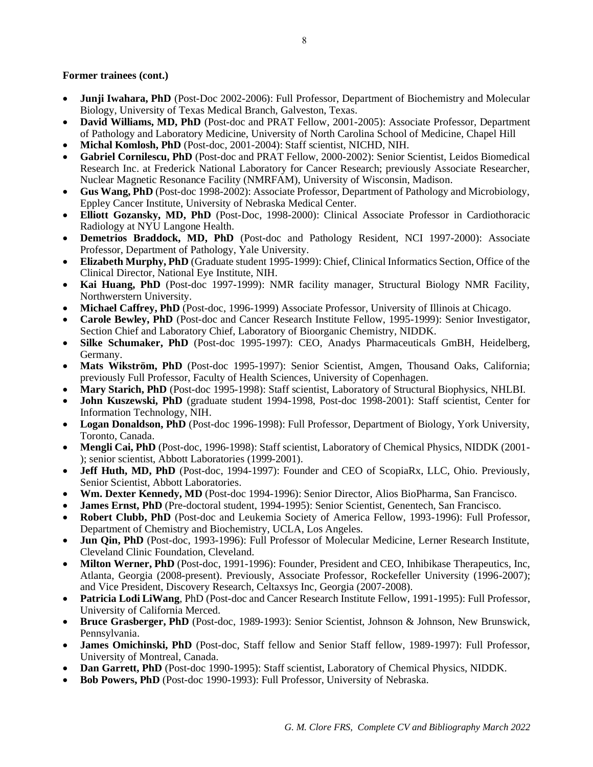# **Former trainees (cont.)**

- **Junji Iwahara, PhD** (Post-Doc 2002-2006): Full Professor, Department of Biochemistry and Molecular Biology, University of Texas Medical Branch, Galveston, Texas.
- **David Williams, MD, PhD** (Post-doc and PRAT Fellow, 2001-2005): Associate Professor, Department of Pathology and Laboratory Medicine, University of North Carolina School of Medicine, Chapel Hill
- **Michal Komlosh, PhD** (Post-doc, 2001-2004): Staff scientist, NICHD, NIH.
- **Gabriel Cornilescu, PhD** (Post-doc and PRAT Fellow, 2000-2002): Senior Scientist, Leidos Biomedical Research Inc. at Frederick National Laboratory for Cancer Research; previously Associate Researcher, Nuclear Magnetic Resonance Facility (NMRFAM), University of Wisconsin, Madison.
- **Gus Wang, PhD** (Post-doc 1998-2002): Associate Professor, Department of Pathology and Microbiology, Eppley Cancer Institute, University of Nebraska Medical Center.
- **Elliott Gozansky, MD, PhD** (Post-Doc, 1998-2000): Clinical Associate Professor in Cardiothoracic Radiology at NYU Langone Health.
- **Demetrios Braddock, MD, PhD** (Post-doc and Pathology Resident, NCI 1997-2000): Associate Professor, Department of Pathology, Yale University.
- **Elizabeth Murphy, PhD** (Graduate student 1995-1999): Chief, Clinical Informatics Section, Office of the Clinical Director, National Eye Institute, NIH.
- Kai Huang, PhD (Post-doc 1997-1999): NMR facility manager, Structural Biology NMR Facility, Northwerstern University.
- **Michael Caffrey, PhD** (Post-doc, 1996-1999) Associate Professor, University of Illinois at Chicago.
- **Carole Bewley, PhD** (Post-doc and Cancer Research Institute Fellow, 1995-1999): Senior Investigator, Section Chief and Laboratory Chief, Laboratory of Bioorganic Chemistry, NIDDK.
- **Silke Schumaker, PhD** (Post-doc 1995-1997): CEO, Anadys Pharmaceuticals GmBH, Heidelberg, Germany.
- Mats Wikström, PhD (Post-doc 1995-1997): Senior Scientist, Amgen, Thousand Oaks, California; previously Full Professor, Faculty of Health Sciences, University of Copenhagen.
- **Mary Starich, PhD** (Post-doc 1995-1998): Staff scientist, Laboratory of Structural Biophysics, NHLBI.
- **John Kuszewski, PhD** (graduate student 1994-1998, Post-doc 1998-2001): Staff scientist, Center for Information Technology, NIH.
- **Logan Donaldson, PhD** (Post-doc 1996-1998): Full Professor, Department of Biology, York University, Toronto, Canada.
- **Mengli Cai, PhD** (Post-doc, 1996-1998): Staff scientist, Laboratory of Chemical Physics, NIDDK (2001- ); senior scientist, Abbott Laboratories (1999-2001).
- **Jeff Huth, MD, PhD** (Post-doc, 1994-1997): Founder and CEO of ScopiaRx, LLC, Ohio. Previously, Senior Scientist, Abbott Laboratories.
- **Wm. Dexter Kennedy, MD** (Post-doc 1994-1996): Senior Director, Alios BioPharma, San Francisco.
- **James Ernst, PhD** (Pre-doctoral student, 1994-1995): Senior Scientist, Genentech, San Francisco.
- **Robert Clubb, PhD** (Post-doc and Leukemia Society of America Fellow, 1993-1996): Full Professor, Department of Chemistry and Biochemistry, UCLA, Los Angeles.
- **Jun Qin, PhD** (Post-doc, 1993-1996): Full Professor of Molecular Medicine, Lerner Research Institute, Cleveland Clinic Foundation, Cleveland.
- **Milton Werner, PhD** (Post-doc, 1991-1996): Founder, President and CEO, Inhibikase Therapeutics, Inc, Atlanta, Georgia (2008-present). Previously, Associate Professor, Rockefeller University (1996-2007); and Vice President, Discovery Research, Celtaxsys Inc, Georgia (2007-2008).
- **Patricia Lodi LiWang**, PhD (Post-doc and Cancer Research Institute Fellow, 1991-1995): Full Professor, University of California Merced.
- **Bruce Grasberger, PhD** (Post-doc, 1989-1993): Senior Scientist, Johnson & Johnson, New Brunswick, Pennsylvania.
- **James Omichinski, PhD** (Post-doc, Staff fellow and Senior Staff fellow, 1989-1997): Full Professor, University of Montreal, Canada.
- **Dan Garrett, PhD** (Post-doc 1990-1995): Staff scientist, Laboratory of Chemical Physics, NIDDK.
- **Bob Powers, PhD** (Post-doc 1990-1993): Full Professor, University of Nebraska.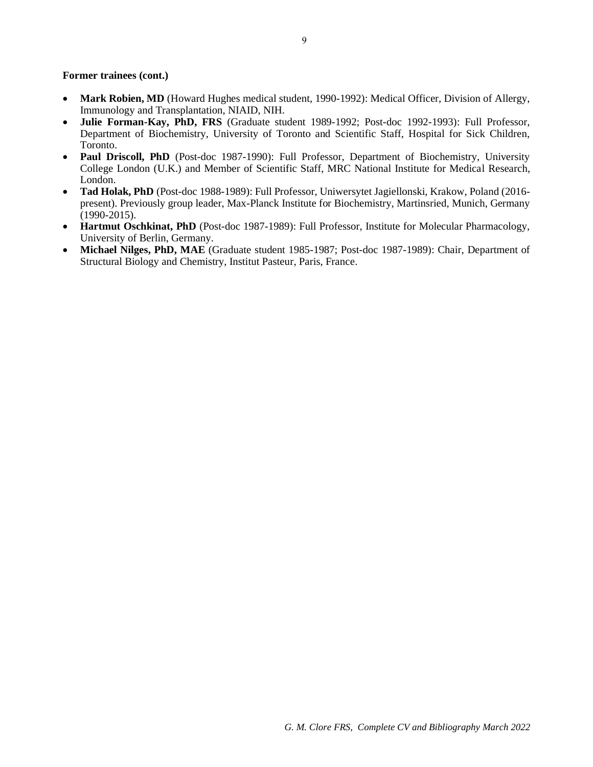**Former trainees (cont.)**

- **Mark Robien, MD** (Howard Hughes medical student, 1990-1992): Medical Officer, Division of Allergy, Immunology and Transplantation, NIAID, NIH.
- **Julie Forman-Kay, PhD, FRS** (Graduate student 1989-1992; Post-doc 1992-1993): Full Professor, Department of Biochemistry, University of Toronto and Scientific Staff, Hospital for Sick Children, Toronto.
- **Paul Driscoll, PhD** (Post-doc 1987-1990): Full Professor, Department of Biochemistry, University College London (U.K.) and Member of Scientific Staff, MRC National Institute for Medical Research, London.
- **Tad Holak, PhD** (Post-doc 1988-1989): Full Professor, Uniwersytet Jagiellonski, Krakow, Poland (2016 present). Previously group leader, Max-Planck Institute for Biochemistry, Martinsried, Munich, Germany (1990-2015).
- **Hartmut Oschkinat, PhD** (Post-doc 1987-1989): Full Professor, Institute for Molecular Pharmacology, University of Berlin, Germany.
- **Michael Nilges, PhD, MAE** (Graduate student 1985-1987; Post-doc 1987-1989): Chair, Department of Structural Biology and Chemistry, Institut Pasteur, Paris, France.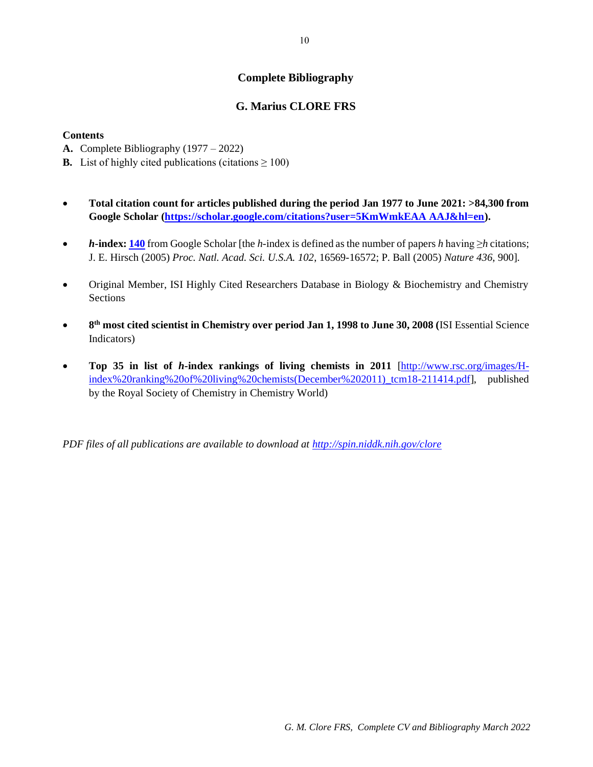# **Complete Bibliography**

# **G. Marius CLORE FRS**

# **Contents**

- **A.** Complete Bibliography (1977 2022)
- **B.** List of highly cited publications (citations  $\geq 100$ )
- **Total citation count for articles published during the period Jan 1977 to June 2021: >84,300 from Google Scholar [\(https://scholar.google.com/citations?user=5KmWmkEAA AAJ&hl=en\)](https://scholar.google.com/citations?user=5KmWmkEAA%20AAJ&hl=en).**
- *h***-index: 140** from Google Scholar [the *h*-index is defined as the number of papers *h* having ≥*h* citations; J. E. Hirsch (2005) *Proc. Natl. Acad. Sci. U.S.A. 102*, 16569-16572; P. Ball (2005) *Nature 436*, 900].
- Original Member, ISI Highly Cited Researchers Database in Biology & Biochemistry and Chemistry **Sections**
- 8<sup>th</sup> most cited scientist in Chemistry over period Jan 1, 1998 to June 30, 2008 (ISI Essential Science Indicators)
- **Top 35 in list of** *h***-index rankings of living chemists in 2011** [\[http://www.rsc.org/images/H](http://www.rsc.org/images/H-index%20ranking%20of%20living%20chemists(December%202011)_tcm18-211414.pdf)index%20ranking%20of%20living%20chemists(December%202011) tcm18-211414.pdf], published by the Royal Society of Chemistry in Chemistry World)

*PDF files of all publications are available to download at<http://spin.niddk.nih.gov/clore>*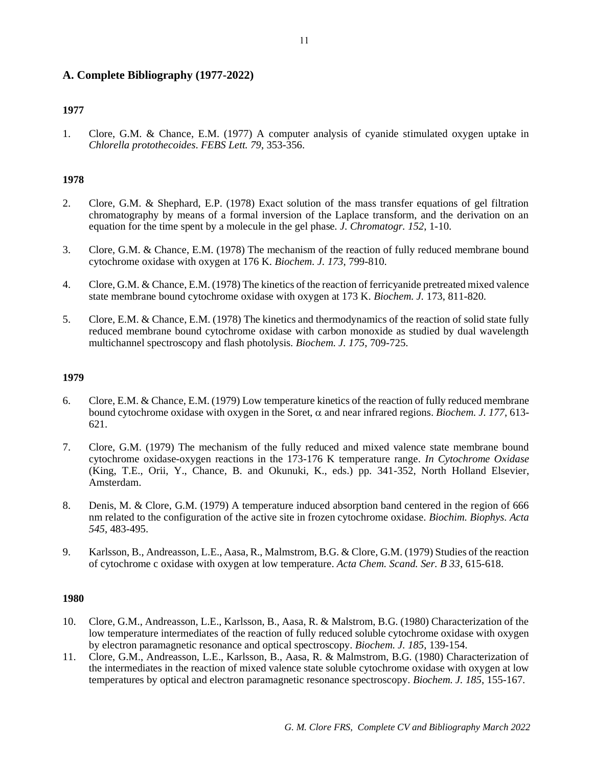# **A. Complete Bibliography (1977-2022)**

# **1977**

1. Clore, G.M. & Chance, E.M. (1977) A computer analysis of cyanide stimulated oxygen uptake in *Chlorella protothecoides*. *FEBS Lett. 79*, 353-356.

# **1978**

- 2. Clore, G.M. & Shephard, E.P. (1978) Exact solution of the mass transfer equations of gel filtration chromatography by means of a formal inversion of the Laplace transform, and the derivation on an equation for the time spent by a molecule in the gel phase. *J. Chromatogr. 152*, 1-10.
- 3. Clore, G.M. & Chance, E.M. (1978) The mechanism of the reaction of fully reduced membrane bound cytochrome oxidase with oxygen at 176 K. *Biochem. J. 173*, 799-810.
- 4. Clore, G.M. & Chance, E.M. (1978) The kinetics of the reaction of ferricyanide pretreated mixed valence state membrane bound cytochrome oxidase with oxygen at 173 K. *Biochem. J.* 173, 811-820.
- 5. Clore, E.M. & Chance, E.M. (1978) The kinetics and thermodynamics of the reaction of solid state fully reduced membrane bound cytochrome oxidase with carbon monoxide as studied by dual wavelength multichannel spectroscopy and flash photolysis. *Biochem. J. 175*, 709-725.

# **1979**

- 6. Clore, E.M. & Chance, E.M. (1979) Low temperature kinetics of the reaction of fully reduced membrane bound cytochrome oxidase with oxygen in the Soret,  $\alpha$  and near infrared regions. *Biochem. J. 177*, 613-621.
- 7. Clore, G.M. (1979) The mechanism of the fully reduced and mixed valence state membrane bound cytochrome oxidase-oxygen reactions in the 173-176 K temperature range. *In Cytochrome Oxidase* (King, T.E., Orii, Y., Chance, B. and Okunuki, K., eds.) pp. 341-352, North Holland Elsevier, Amsterdam.
- 8. Denis, M. & Clore, G.M. (1979) A temperature induced absorption band centered in the region of 666 nm related to the configuration of the active site in frozen cytochrome oxidase. *Biochim. Biophys. Acta 545*, 483-495.
- 9. Karlsson, B., Andreasson, L.E., Aasa, R., Malmstrom, B.G. & Clore, G.M. (1979) Studies of the reaction of cytochrome c oxidase with oxygen at low temperature. *Acta Chem. Scand. Ser. B 33*, 615-618.

- 10. Clore, G.M., Andreasson, L.E., Karlsson, B., Aasa, R. & Malstrom, B.G. (1980) Characterization of the low temperature intermediates of the reaction of fully reduced soluble cytochrome oxidase with oxygen by electron paramagnetic resonance and optical spectroscopy. *Biochem. J. 185*, 139-154.
- 11. Clore, G.M., Andreasson, L.E., Karlsson, B., Aasa, R. & Malmstrom, B.G. (1980) Characterization of the intermediates in the reaction of mixed valence state soluble cytochrome oxidase with oxygen at low temperatures by optical and electron paramagnetic resonance spectroscopy. *Biochem. J. 185*, 155-167.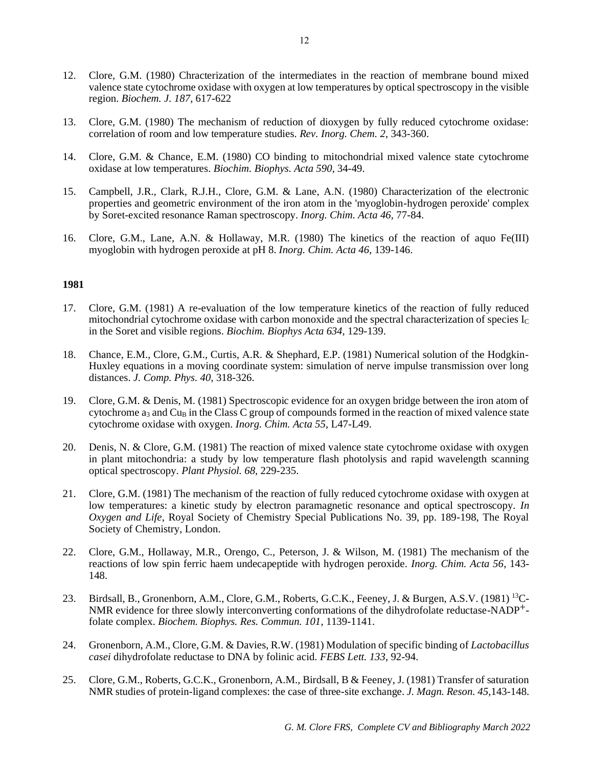- 12. Clore, G.M. (1980) Chracterization of the intermediates in the reaction of membrane bound mixed valence state cytochrome oxidase with oxygen at low temperatures by optical spectroscopy in the visible region. *Biochem. J. 187*, 617-622
- 13. Clore, G.M. (1980) The mechanism of reduction of dioxygen by fully reduced cytochrome oxidase: correlation of room and low temperature studies. *Rev. Inorg. Chem. 2*, 343-360.
- 14. Clore, G.M. & Chance, E.M. (1980) CO binding to mitochondrial mixed valence state cytochrome oxidase at low temperatures. *Biochim. Biophys. Acta 590*, 34-49.
- 15. Campbell, J.R., Clark, R.J.H., Clore, G.M. & Lane, A.N. (1980) Characterization of the electronic properties and geometric environment of the iron atom in the 'myoglobin-hydrogen peroxide' complex by Soret-excited resonance Raman spectroscopy. *Inorg. Chim. Acta 46,* 77-84.
- 16. Clore, G.M., Lane, A.N. & Hollaway, M.R. (1980) The kinetics of the reaction of aquo Fe(III) myoglobin with hydrogen peroxide at pH 8. *Inorg. Chim. Acta 46*, 139-146.

- 17. Clore, G.M. (1981) A re-evaluation of the low temperature kinetics of the reaction of fully reduced mitochondrial cytochrome oxidase with carbon monoxide and the spectral characterization of species  $I_c$ in the Soret and visible regions. *Biochim. Biophys Acta 634,* 129-139.
- 18. Chance, E.M., Clore, G.M., Curtis, A.R. & Shephard, E.P. (1981) Numerical solution of the Hodgkin-Huxley equations in a moving coordinate system: simulation of nerve impulse transmission over long distances. *J. Comp. Phys. 40*, 318-326.
- 19. Clore, G.M. & Denis, M. (1981) Spectroscopic evidence for an oxygen bridge between the iron atom of cytochrome  $a_3$  and Cu<sub>B</sub> in the Class C group of compounds formed in the reaction of mixed valence state cytochrome oxidase with oxygen. *Inorg. Chim. Acta 55*, L47-L49.
- 20. Denis, N. & Clore, G.M. (1981) The reaction of mixed valence state cytochrome oxidase with oxygen in plant mitochondria: a study by low temperature flash photolysis and rapid wavelength scanning optical spectroscopy. *Plant Physiol. 68*, 229-235.
- 21. Clore, G.M. (1981) The mechanism of the reaction of fully reduced cytochrome oxidase with oxygen at low temperatures: a kinetic study by electron paramagnetic resonance and optical spectroscopy. *In Oxygen and Life*, Royal Society of Chemistry Special Publications No. 39, pp. 189-198, The Royal Society of Chemistry, London.
- 22. Clore, G.M., Hollaway, M.R., Orengo, C., Peterson, J. & Wilson, M. (1981) The mechanism of the reactions of low spin ferric haem undecapeptide with hydrogen peroxide. *Inorg. Chim. Acta 56*, 143- 148.
- 23. Birdsall, B., Gronenborn, A.M., Clore, G.M., Roberts, G.C.K., Feeney, J. & Burgen, A.S.V. (1981) <sup>13</sup>C-NMR evidence for three slowly interconverting conformations of the dihydrofolate reductase-NADP+ folate complex. *Biochem. Biophys. Res. Commun. 101*, 1139-1141.
- 24. Gronenborn, A.M., Clore, G.M. & Davies, R.W. (1981) Modulation of specific binding of *Lactobacillus casei* dihydrofolate reductase to DNA by folinic acid. *FEBS Lett. 133*, 92-94.
- 25. Clore, G.M., Roberts, G.C.K., Gronenborn, A.M., Birdsall, B & Feeney, J. (1981) Transfer of saturation NMR studies of protein-ligand complexes: the case of three-site exchange. *J. Magn. Reson. 45*,143-148.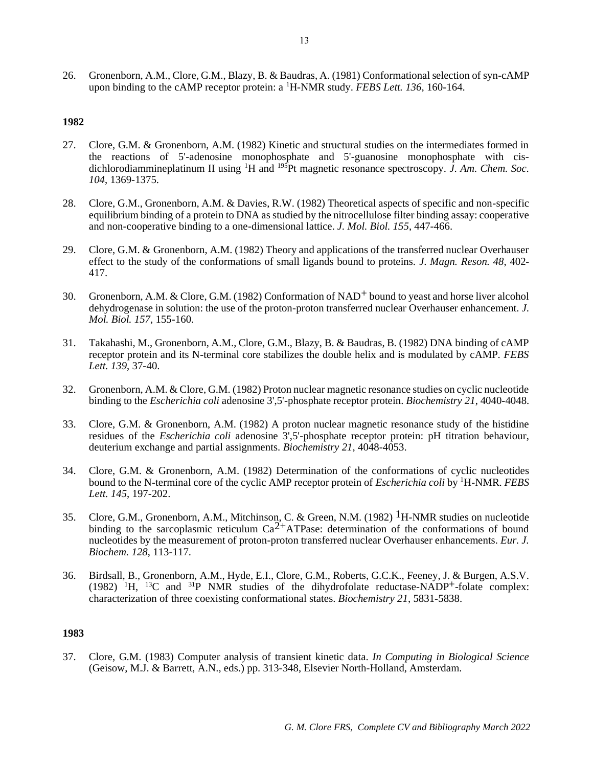26. Gronenborn, A.M., Clore, G.M., Blazy, B. & Baudras, A. (1981) Conformational selection of syn-cAMP upon binding to the cAMP receptor protein: a <sup>1</sup>H-NMR study. *FEBS Lett. 136*, 160-164.

# **1982**

- 27. Clore, G.M. & Gronenborn, A.M. (1982) Kinetic and structural studies on the intermediates formed in the reactions of 5'-adenosine monophosphate and 5'-guanosine monophosphate with cisdichlorodiammineplatinum II using <sup>1</sup>H and <sup>195</sup>Pt magnetic resonance spectroscopy. *J. Am. Chem. Soc. 104*, 1369-1375.
- 28. Clore, G.M., Gronenborn, A.M. & Davies, R.W. (1982) Theoretical aspects of specific and non-specific equilibrium binding of a protein to DNA as studied by the nitrocellulose filter binding assay: cooperative and non-cooperative binding to a one-dimensional lattice. *J. Mol. Biol. 155*, 447-466.
- 29. Clore, G.M. & Gronenborn, A.M. (1982) Theory and applications of the transferred nuclear Overhauser effect to the study of the conformations of small ligands bound to proteins. *J. Magn. Reson. 48*, 402- 417.
- 30. Gronenborn, A.M. & Clore, G.M. (1982) Conformation of NAD+ bound to yeast and horse liver alcohol dehydrogenase in solution: the use of the proton-proton transferred nuclear Overhauser enhancement. *J. Mol. Biol. 157*, 155-160.
- 31. Takahashi, M., Gronenborn, A.M., Clore, G.M., Blazy, B. & Baudras, B. (1982) DNA binding of cAMP receptor protein and its N-terminal core stabilizes the double helix and is modulated by cAMP. *FEBS Lett. 139*, 37-40.
- 32. Gronenborn, A.M. & Clore, G.M. (1982) Proton nuclear magnetic resonance studies on cyclic nucleotide binding to the *Escherichia coli* adenosine 3',5'-phosphate receptor protein. *Biochemistry 21*, 4040-4048.
- 33. Clore, G.M. & Gronenborn, A.M. (1982) A proton nuclear magnetic resonance study of the histidine residues of the *Escherichia coli* adenosine 3',5'-phosphate receptor protein: pH titration behaviour, deuterium exchange and partial assignments. *Biochemistry 21*, 4048-4053.
- 34. Clore, G.M. & Gronenborn, A.M. (1982) Determination of the conformations of cyclic nucleotides bound to the N-terminal core of the cyclic AMP receptor protein of *Escherichia coli* by <sup>1</sup>H-NMR. *FEBS Lett. 145*, 197-202.
- 35. Clore, G.M., Gronenborn, A.M., Mitchinson, C. & Green, N.M. (1982) <sup>1</sup>H-NMR studies on nucleotide binding to the sarcoplasmic reticulum  $Ca^{2+}ATPase$ : determination of the conformations of bound nucleotides by the measurement of proton-proton transferred nuclear Overhauser enhancements. *Eur. J. Biochem. 128*, 113-117.
- 36. Birdsall, B., Gronenborn, A.M., Hyde, E.I., Clore, G.M., Roberts, G.C.K., Feeney, J. & Burgen, A.S.V.  $(1982)$  <sup>1</sup>H, <sup>13</sup>C and <sup>31</sup>P NMR studies of the dihydrofolate reductase-NADP<sup>+</sup>-folate complex: characterization of three coexisting conformational states. *Biochemistry 21*, 5831-5838.

## **1983**

37. Clore, G.M. (1983) Computer analysis of transient kinetic data. *In Computing in Biological Science* (Geisow, M.J. & Barrett, A.N., eds.) pp. 313-348, Elsevier North-Holland, Amsterdam.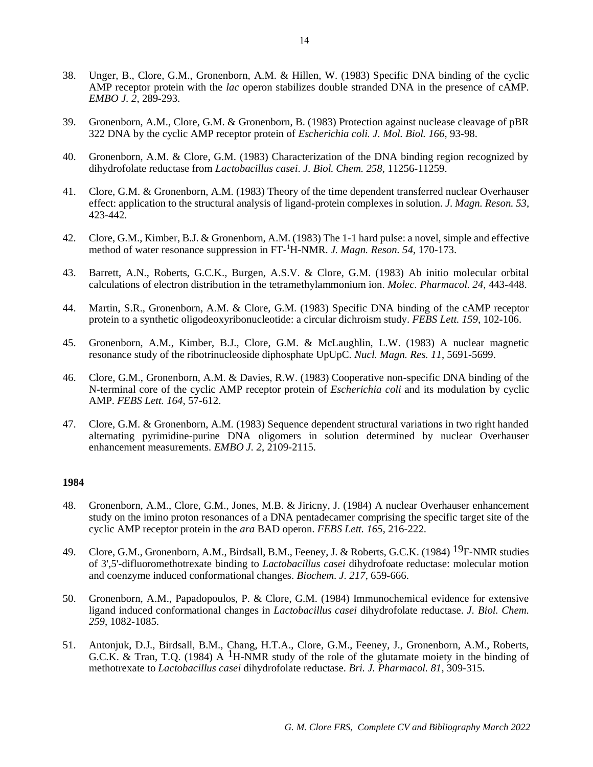- 38. Unger, B., Clore, G.M., Gronenborn, A.M. & Hillen, W. (1983) Specific DNA binding of the cyclic AMP receptor protein with the *lac* operon stabilizes double stranded DNA in the presence of cAMP. *EMBO J. 2*, 289-293.
- 39. Gronenborn, A.M., Clore, G.M. & Gronenborn, B. (1983) Protection against nuclease cleavage of pBR 322 DNA by the cyclic AMP receptor protein of *Escherichia coli. J. Mol. Biol. 166*, 93-98.
- 40. Gronenborn, A.M. & Clore, G.M. (1983) Characterization of the DNA binding region recognized by dihydrofolate reductase from *Lactobacillus casei*. *J. Biol. Chem. 258*, 11256-11259.
- 41. Clore, G.M. & Gronenborn, A.M. (1983) Theory of the time dependent transferred nuclear Overhauser effect: application to the structural analysis of ligand-protein complexes in solution. *J. Magn. Reson. 53*, 423-442.
- 42. Clore, G.M., Kimber, B.J. & Gronenborn, A.M. (1983) The 1-1 hard pulse: a novel, simple and effective method of water resonance suppression in FT-<sup>1</sup>H-NMR. *J. Magn. Reson. 54*, 170-173.
- 43. Barrett, A.N., Roberts, G.C.K., Burgen, A.S.V. & Clore, G.M. (1983) Ab initio molecular orbital calculations of electron distribution in the tetramethylammonium ion. *Molec. Pharmacol. 24*, 443-448.
- 44. Martin, S.R., Gronenborn, A.M. & Clore, G.M. (1983) Specific DNA binding of the cAMP receptor protein to a synthetic oligodeoxyribonucleotide: a circular dichroism study. *FEBS Lett. 159*, 102-106.
- 45. Gronenborn, A.M., Kimber, B.J., Clore, G.M. & McLaughlin, L.W. (1983) A nuclear magnetic resonance study of the ribotrinucleoside diphosphate UpUpC. *Nucl. Magn. Res. 11*, 5691-5699.
- 46. Clore, G.M., Gronenborn, A.M. & Davies, R.W. (1983) Cooperative non-specific DNA binding of the N-terminal core of the cyclic AMP receptor protein of *Escherichia coli* and its modulation by cyclic AMP. *FEBS Lett. 164*, 57-612.
- 47. Clore, G.M. & Gronenborn, A.M. (1983) Sequence dependent structural variations in two right handed alternating pyrimidine-purine DNA oligomers in solution determined by nuclear Overhauser enhancement measurements. *EMBO J. 2*, 2109-2115.

- 48. Gronenborn, A.M., Clore, G.M., Jones, M.B. & Jiricny, J. (1984) A nuclear Overhauser enhancement study on the imino proton resonances of a DNA pentadecamer comprising the specific target site of the cyclic AMP receptor protein in the *ara* BAD operon. *FEBS Lett. 165*, 216-222.
- 49. Clore, G.M., Gronenborn, A.M., Birdsall, B.M., Feeney, J. & Roberts, G.C.K. (1984) <sup>19</sup>F-NMR studies of 3',5'-difluoromethotrexate binding to *Lactobacillus casei* dihydrofoate reductase: molecular motion and coenzyme induced conformational changes. *Biochem. J. 217*, 659-666.
- 50. Gronenborn, A.M., Papadopoulos, P. & Clore, G.M. (1984) Immunochemical evidence for extensive ligand induced conformational changes in *Lactobacillus casei* dihydrofolate reductase. *J. Biol. Chem. 259*, 1082-1085.
- 51. Antonjuk, D.J., Birdsall, B.M., Chang, H.T.A., Clore, G.M., Feeney, J., Gronenborn, A.M., Roberts, G.C.K. & Tran, T.O. (1984) A <sup>1</sup>H-NMR study of the role of the glutamate moiety in the binding of methotrexate to *Lactobacillus casei* dihydrofolate reductase. *Bri. J. Pharmacol. 81*, 309-315.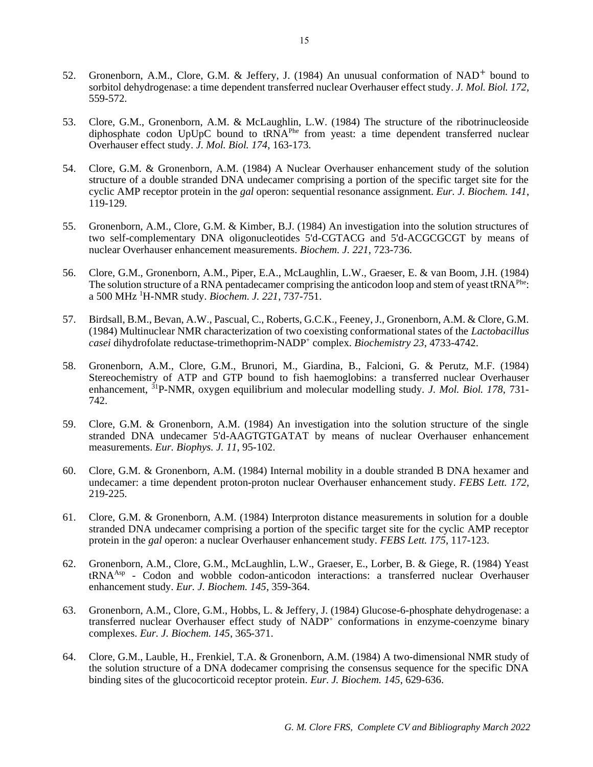- 52. Gronenborn, A.M., Clore, G.M. & Jeffery, J. (1984) An unusual conformation of NAD<sup>+</sup> bound to sorbitol dehydrogenase: a time dependent transferred nuclear Overhauser effect study. *J. Mol. Biol. 172*, 559-572.
- 53. Clore, G.M., Gronenborn, A.M. & McLaughlin, L.W. (1984) The structure of the ribotrinucleoside diphosphate codon UpUpC bound to tRNA<sup>Phe</sup> from yeast: a time dependent transferred nuclear Overhauser effect study. *J. Mol. Biol. 174*, 163-173.
- 54. Clore, G.M. & Gronenborn, A.M. (1984) A Nuclear Overhauser enhancement study of the solution structure of a double stranded DNA undecamer comprising a portion of the specific target site for the cyclic AMP receptor protein in the *gal* operon: sequential resonance assignment. *Eur. J. Biochem. 141*, 119-129.
- 55. Gronenborn, A.M., Clore, G.M. & Kimber, B.J. (1984) An investigation into the solution structures of two self-complementary DNA oligonucleotides 5'd-CGTACG and 5'd-ACGCGCGT by means of nuclear Overhauser enhancement measurements. *Biochem. J. 221*, 723-736.
- 56. Clore, G.M., Gronenborn, A.M., Piper, E.A., McLaughlin, L.W., Graeser, E. & van Boom, J.H. (1984) The solution structure of a RNA pentadecamer comprising the anticodon loop and stem of yeast tRNA<sup>Phe</sup>: a 500 MHz <sup>1</sup>H-NMR study. *Biochem. J. 221*, 737-751.
- 57. Birdsall, B.M., Bevan, A.W., Pascual, C., Roberts, G.C.K., Feeney, J., Gronenborn, A.M. & Clore, G.M. (1984) Multinuclear NMR characterization of two coexisting conformational states of the *Lactobacillus casei* dihydrofolate reductase-trimethoprim-NADP<sup>+</sup> complex. *Biochemistry 23*, 4733-4742.
- 58. Gronenborn, A.M., Clore, G.M., Brunori, M., Giardina, B., Falcioni, G. & Perutz, M.F. (1984) Stereochemistry of ATP and GTP bound to fish haemoglobins: a transferred nuclear Overhauser enhancement, <sup>31</sup>P-NMR, oxygen equilibrium and molecular modelling study. *J. Mol. Biol.* 178, 731-742.
- 59. Clore, G.M. & Gronenborn, A.M. (1984) An investigation into the solution structure of the single stranded DNA undecamer 5'd-AAGTGTGATAT by means of nuclear Overhauser enhancement measurements. *Eur. Biophys. J. 11*, 95-102.
- 60. Clore, G.M. & Gronenborn, A.M. (1984) Internal mobility in a double stranded B DNA hexamer and undecamer: a time dependent proton-proton nuclear Overhauser enhancement study. *FEBS Lett. 172*, 219-225.
- 61. Clore, G.M. & Gronenborn, A.M. (1984) Interproton distance measurements in solution for a double stranded DNA undecamer comprising a portion of the specific target site for the cyclic AMP receptor protein in the *gal* operon: a nuclear Overhauser enhancement study. *FEBS Lett. 175*, 117-123.
- 62. Gronenborn, A.M., Clore, G.M., McLaughlin, L.W., Graeser, E., Lorber, B. & Giege, R. (1984) Yeast tRNAAsp - Codon and wobble codon-anticodon interactions: a transferred nuclear Overhauser enhancement study. *Eur. J. Biochem. 145*, 359-364.
- 63. Gronenborn, A.M., Clore, G.M., Hobbs, L. & Jeffery, J. (1984) Glucose-6-phosphate dehydrogenase: a transferred nuclear Overhauser effect study of NADP<sup>+</sup> conformations in enzyme-coenzyme binary complexes. *Eur. J. Biochem. 145*, 365-371.
- 64. Clore, G.M., Lauble, H., Frenkiel, T.A. & Gronenborn, A.M. (1984) A two-dimensional NMR study of the solution structure of a DNA dodecamer comprising the consensus sequence for the specific DNA binding sites of the glucocorticoid receptor protein. *Eur. J. Biochem. 145*, 629-636.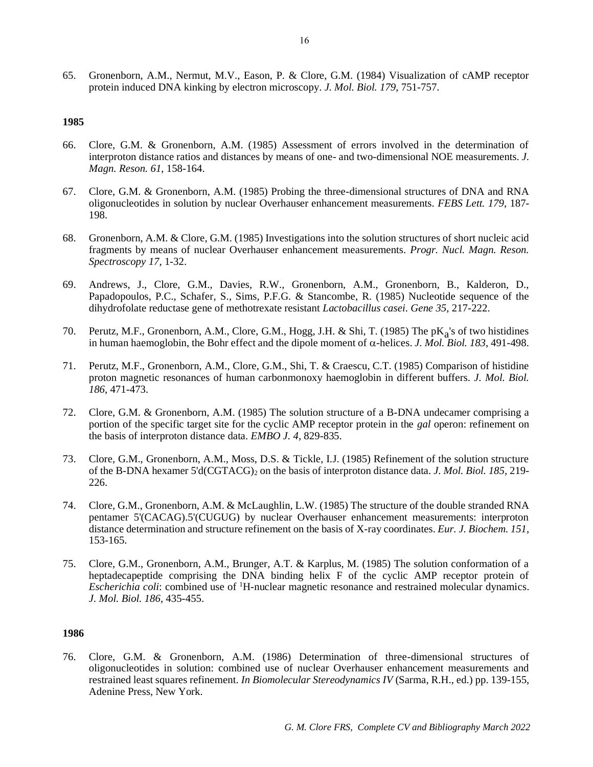65. Gronenborn, A.M., Nermut, M.V., Eason, P. & Clore, G.M. (1984) Visualization of cAMP receptor protein induced DNA kinking by electron microscopy. *J. Mol. Biol. 179*, 751-757.

# **1985**

- 66. Clore, G.M. & Gronenborn, A.M. (1985) Assessment of errors involved in the determination of interproton distance ratios and distances by means of one- and two-dimensional NOE measurements. *J. Magn. Reson. 61*, 158-164.
- 67. Clore, G.M. & Gronenborn, A.M. (1985) Probing the three-dimensional structures of DNA and RNA oligonucleotides in solution by nuclear Overhauser enhancement measurements. *FEBS Lett. 179*, 187- 198.
- 68. Gronenborn, A.M. & Clore, G.M. (1985) Investigations into the solution structures of short nucleic acid fragments by means of nuclear Overhauser enhancement measurements. *Progr. Nucl. Magn. Reson. Spectroscopy 17*, 1-32.
- 69. Andrews, J., Clore, G.M., Davies, R.W., Gronenborn, A.M., Gronenborn, B., Kalderon, D., Papadopoulos, P.C., Schafer, S., Sims, P.F.G. & Stancombe, R. (1985) Nucleotide sequence of the dihydrofolate reductase gene of methotrexate resistant *Lactobacillus casei*. *Gene 35*, 217-222.
- 70. Perutz, M.F., Gronenborn, A.M., Clore, G.M., Hogg, J.H. & Shi, T. (1985) The pK<sub>a</sub>'s of two histidines in human haemoglobin, the Bohr effect and the dipole moment of  $\alpha$ -helices. *J. Mol. Biol. 183*, 491-498.
- 71. Perutz, M.F., Gronenborn, A.M., Clore, G.M., Shi, T. & Craescu, C.T. (1985) Comparison of histidine proton magnetic resonances of human carbonmonoxy haemoglobin in different buffers. *J. Mol. Biol. 186*, 471-473.
- 72. Clore, G.M. & Gronenborn, A.M. (1985) The solution structure of a B-DNA undecamer comprising a portion of the specific target site for the cyclic AMP receptor protein in the *gal* operon: refinement on the basis of interproton distance data. *EMBO J. 4*, 829-835.
- 73. Clore, G.M., Gronenborn, A.M., Moss, D.S. & Tickle, I.J. (1985) Refinement of the solution structure of the B-DNA hexamer 5'd(CGTACG)<sup>2</sup> on the basis of interproton distance data. *J. Mol. Biol. 185*, 219- 226.
- 74. Clore, G.M., Gronenborn, A.M. & McLaughlin, L.W. (1985) The structure of the double stranded RNA pentamer 5'(CACAG).5'(CUGUG) by nuclear Overhauser enhancement measurements: interproton distance determination and structure refinement on the basis of X-ray coordinates. *Eur. J. Biochem. 151*, 153-165.
- 75. Clore, G.M., Gronenborn, A.M., Brunger, A.T. & Karplus, M. (1985) The solution conformation of a heptadecapeptide comprising the DNA binding helix F of the cyclic AMP receptor protein of *Escherichia coli:* combined use of <sup>1</sup>H-nuclear magnetic resonance and restrained molecular dynamics. *J. Mol. Biol. 186*, 435-455.

# **1986**

76. Clore, G.M. & Gronenborn, A.M. (1986) Determination of three-dimensional structures of oligonucleotides in solution: combined use of nuclear Overhauser enhancement measurements and restrained least squares refinement. *In Biomolecular Stereodynamics IV* (Sarma, R.H., ed.) pp. 139-155, Adenine Press, New York.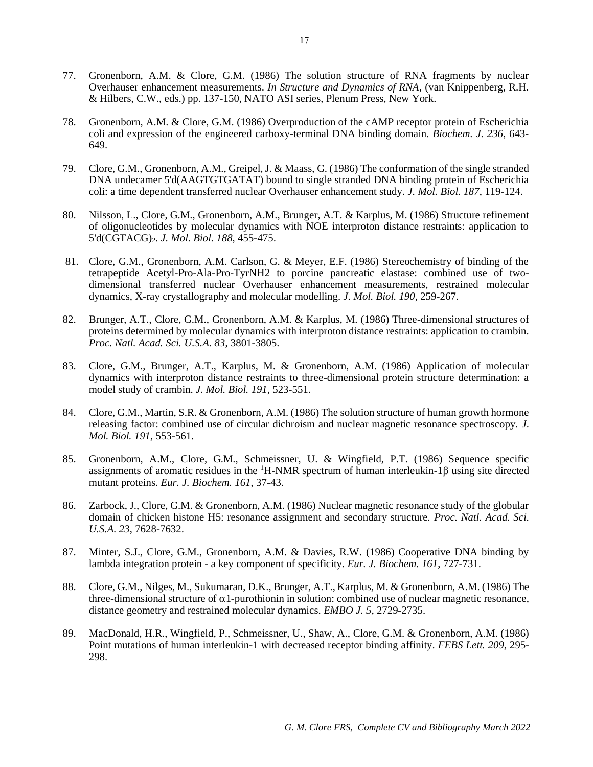- 77. Gronenborn, A.M. & Clore, G.M. (1986) The solution structure of RNA fragments by nuclear Overhauser enhancement measurements. *In Structure and Dynamics of RNA*, (van Knippenberg, R.H. & Hilbers, C.W., eds.) pp. 137-150, NATO ASI series, Plenum Press, New York.
- 78. Gronenborn, A.M. & Clore, G.M. (1986) Overproduction of the cAMP receptor protein of Escherichia coli and expression of the engineered carboxy-terminal DNA binding domain. *Biochem. J. 236*, 643- 649.
- 79. Clore, G.M., Gronenborn, A.M., Greipel, J. & Maass, G. (1986) The conformation of the single stranded DNA undecamer 5'd(AAGTGTGATAT) bound to single stranded DNA binding protein of Escherichia coli: a time dependent transferred nuclear Overhauser enhancement study*. J. Mol. Biol. 187*, 119-124.
- 80. Nilsson, L., Clore, G.M., Gronenborn, A.M., Brunger, A.T. & Karplus, M. (1986) Structure refinement of oligonucleotides by molecular dynamics with NOE interproton distance restraints: application to 5'd(CGTACG)2. *J. Mol. Biol. 188*, 455-475.
- 81. Clore, G.M., Gronenborn, A.M. Carlson, G. & Meyer, E.F. (1986) Stereochemistry of binding of the tetrapeptide Acetyl-Pro-Ala-Pro-TyrNH2 to porcine pancreatic elastase: combined use of twodimensional transferred nuclear Overhauser enhancement measurements, restrained molecular dynamics, X-ray crystallography and molecular modelling. *J. Mol. Biol. 190*, 259-267.
- 82. Brunger, A.T., Clore, G.M., Gronenborn, A.M. & Karplus, M. (1986) Three-dimensional structures of proteins determined by molecular dynamics with interproton distance restraints: application to crambin. *Proc. Natl. Acad. Sci. U.S.A. 83*, 3801-3805.
- 83. Clore, G.M., Brunger, A.T., Karplus, M. & Gronenborn, A.M. (1986) Application of molecular dynamics with interproton distance restraints to three-dimensional protein structure determination: a model study of crambin. *J. Mol. Biol. 191*, 523-551.
- 84. Clore, G.M., Martin, S.R. & Gronenborn, A.M. (1986) The solution structure of human growth hormone releasing factor: combined use of circular dichroism and nuclear magnetic resonance spectroscopy. *J. Mol. Biol. 191*, 553-561.
- 85. Gronenborn, A.M., Clore, G.M., Schmeissner, U. & Wingfield, P.T. (1986) Sequence specific assignments of aromatic residues in the  ${}^{1}$ H-NMR spectrum of human interleukin-1 $\beta$  using site directed mutant proteins. *Eur. J. Biochem. 161*, 37-43.
- 86. Zarbock, J., Clore, G.M. & Gronenborn, A.M. (1986) Nuclear magnetic resonance study of the globular domain of chicken histone H5: resonance assignment and secondary structure*. Proc. Natl. Acad. Sci. U.S.A. 23*, 7628-7632.
- 87. Minter, S.J., Clore, G.M., Gronenborn, A.M. & Davies, R.W. (1986) Cooperative DNA binding by lambda integration protein - a key component of specificity. *Eur. J. Biochem. 161*, 727-731.
- 88. Clore, G.M., Nilges, M., Sukumaran, D.K., Brunger, A.T., Karplus, M. & Gronenborn, A.M. (1986) The three-dimensional structure of  $\alpha$ 1-purothionin in solution: combined use of nuclear magnetic resonance, distance geometry and restrained molecular dynamics. *EMBO J. 5*, 2729-2735.
- 89. MacDonald, H.R., Wingfield, P., Schmeissner, U., Shaw, A., Clore, G.M. & Gronenborn, A.M. (1986) Point mutations of human interleukin-1 with decreased receptor binding affinity. *FEBS Lett. 209*, 295- 298.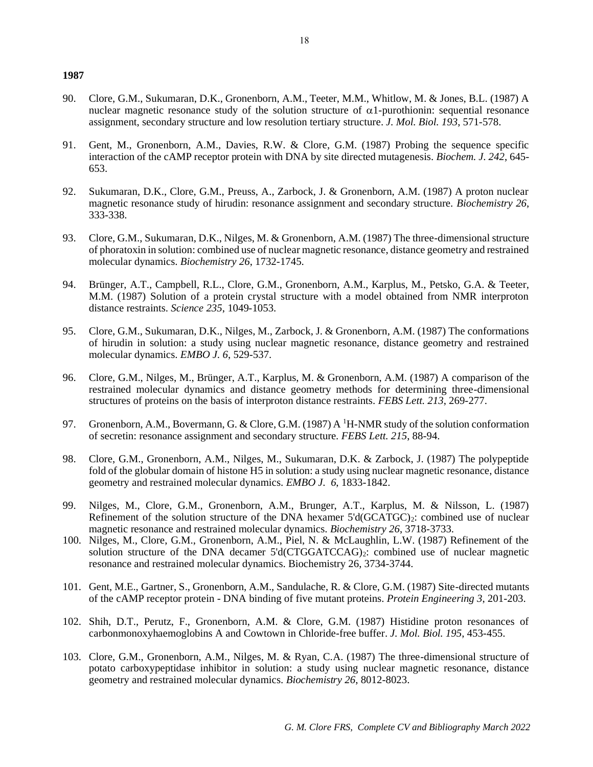- 90. Clore, G.M., Sukumaran, D.K., Gronenborn, A.M., Teeter, M.M., Whitlow, M. & Jones, B.L. (1987) A nuclear magnetic resonance study of the solution structure of  $\alpha$ 1-purothionin: sequential resonance assignment, secondary structure and low resolution tertiary structure. *J. Mol. Biol. 193*, 571-578.
- 91. Gent, M., Gronenborn, A.M., Davies, R.W. & Clore, G.M. (1987) Probing the sequence specific interaction of the cAMP receptor protein with DNA by site directed mutagenesis*. Biochem. J. 242*, 645- 653.
- 92. Sukumaran, D.K., Clore, G.M., Preuss, A., Zarbock, J. & Gronenborn, A.M. (1987) A proton nuclear magnetic resonance study of hirudin: resonance assignment and secondary structure. *Biochemistry 26*, 333-338.
- 93. Clore, G.M., Sukumaran, D.K., Nilges, M. & Gronenborn, A.M. (1987) The three-dimensional structure of phoratoxin in solution: combined use of nuclear magnetic resonance, distance geometry and restrained molecular dynamics. *Biochemistry 26*, 1732-1745.
- 94. Brünger, A.T., Campbell, R.L., Clore, G.M., Gronenborn, A.M., Karplus, M., Petsko, G.A. & Teeter, M.M. (1987) Solution of a protein crystal structure with a model obtained from NMR interproton distance restraints. *Science 235*, 1049-1053.
- 95. Clore, G.M., Sukumaran, D.K., Nilges, M., Zarbock, J. & Gronenborn, A.M. (1987) The conformations of hirudin in solution: a study using nuclear magnetic resonance, distance geometry and restrained molecular dynamics. *EMBO J. 6*, 529-537.
- 96. Clore, G.M., Nilges, M., Brünger, A.T., Karplus, M. & Gronenborn, A.M. (1987) A comparison of the restrained molecular dynamics and distance geometry methods for determining three-dimensional structures of proteins on the basis of interproton distance restraints. *FEBS Lett. 213*, 269-277.
- 97. Gronenborn, A.M., Bovermann, G. & Clore, G.M. (1987) A <sup>1</sup>H-NMR study of the solution conformation of secretin: resonance assignment and secondary structure. *FEBS Lett. 215*, 88-94.
- 98. Clore, G.M., Gronenborn, A.M., Nilges, M., Sukumaran, D.K. & Zarbock, J. (1987) The polypeptide fold of the globular domain of histone H5 in solution: a study using nuclear magnetic resonance, distance geometry and restrained molecular dynamics. *EMBO J. 6*, 1833-1842.
- 99. Nilges, M., Clore, G.M., Gronenborn, A.M., Brunger, A.T., Karplus, M. & Nilsson, L. (1987) Refinement of the solution structure of the DNA hexamer  $5'd(GCATGC)_2$ : combined use of nuclear magnetic resonance and restrained molecular dynamics. *Biochemistry 26*, 3718-3733.
- 100. Nilges, M., Clore, G.M., Gronenborn, A.M., Piel, N. & McLaughlin, L.W. (1987) Refinement of the solution structure of the DNA decamer 5'd(CTGGATCCAG)<sub>2</sub>: combined use of nuclear magnetic resonance and restrained molecular dynamics. Biochemistry 26, 3734-3744.
- 101. Gent, M.E., Gartner, S., Gronenborn, A.M., Sandulache, R. & Clore, G.M. (1987) Site-directed mutants of the cAMP receptor protein - DNA binding of five mutant proteins. *Protein Engineering 3*, 201-203.
- 102. Shih, D.T., Perutz, F., Gronenborn, A.M. & Clore, G.M. (1987) Histidine proton resonances of carbonmonoxyhaemoglobins A and Cowtown in Chloride-free buffer. *J. Mol. Biol. 195*, 453-455.
- 103. Clore, G.M., Gronenborn, A.M., Nilges, M. & Ryan, C.A. (1987) The three-dimensional structure of potato carboxypeptidase inhibitor in solution: a study using nuclear magnetic resonance, distance geometry and restrained molecular dynamics. *Biochemistry 26*, 8012-8023.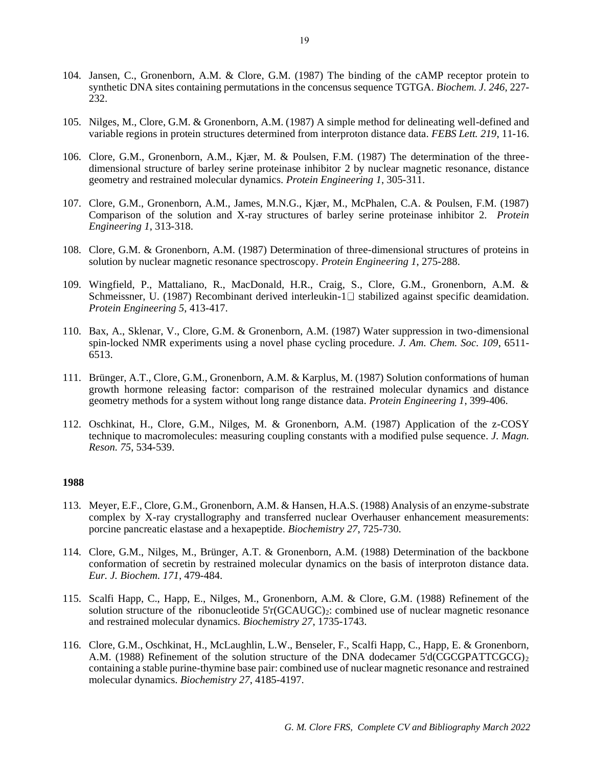- 104. Jansen, C., Gronenborn, A.M. & Clore, G.M. (1987) The binding of the cAMP receptor protein to synthetic DNA sites containing permutations in the concensus sequence TGTGA. *Biochem. J. 246*, 227- 232.
- 105. Nilges, M., Clore, G.M. & Gronenborn, A.M. (1987) A simple method for delineating well-defined and variable regions in protein structures determined from interproton distance data. *FEBS Lett. 219*, 11-16.
- 106. Clore, G.M., Gronenborn, A.M., Kjær, M. & Poulsen, F.M. (1987) The determination of the threedimensional structure of barley serine proteinase inhibitor 2 by nuclear magnetic resonance, distance geometry and restrained molecular dynamics. *Protein Engineering 1*, 305-311.
- 107. Clore, G.M., Gronenborn, A.M., James, M.N.G., Kjær, M., McPhalen, C.A. & Poulsen, F.M. (1987) Comparison of the solution and X-ray structures of barley serine proteinase inhibitor 2. *Protein Engineering 1*, 313-318.
- 108. Clore, G.M. & Gronenborn, A.M. (1987) Determination of three-dimensional structures of proteins in solution by nuclear magnetic resonance spectroscopy. *Protein Engineering 1*, 275-288.
- 109. Wingfield, P., Mattaliano, R., MacDonald, H.R., Craig, S., Clore, G.M., Gronenborn, A.M. & Schmeissner, U. (1987) Recombinant derived interleukin- $1 \Box$  stabilized against specific deamidation. *Protein Engineering 5*, 413-417.
- 110. Bax, A., Sklenar, V., Clore, G.M. & Gronenborn, A.M. (1987) Water suppression in two-dimensional spin-locked NMR experiments using a novel phase cycling procedure. *J. Am. Chem. Soc. 109*, 6511- 6513.
- 111. Brünger, A.T., Clore, G.M., Gronenborn, A.M. & Karplus, M. (1987) Solution conformations of human growth hormone releasing factor: comparison of the restrained molecular dynamics and distance geometry methods for a system without long range distance data. *Protein Engineering 1*, 399-406.
- 112. Oschkinat, H., Clore, G.M., Nilges, M. & Gronenborn, A.M. (1987) Application of the z-COSY technique to macromolecules: measuring coupling constants with a modified pulse sequence. *J. Magn. Reson. 75*, 534-539.

- 113. Meyer, E.F., Clore, G.M., Gronenborn, A.M. & Hansen, H.A.S. (1988) Analysis of an enzyme-substrate complex by X-ray crystallography and transferred nuclear Overhauser enhancement measurements: porcine pancreatic elastase and a hexapeptide. *Biochemistry 27*, 725-730.
- 114. Clore, G.M., Nilges, M., Brünger, A.T. & Gronenborn, A.M. (1988) Determination of the backbone conformation of secretin by restrained molecular dynamics on the basis of interproton distance data. *Eur. J. Biochem. 171*, 479-484.
- 115. Scalfi Happ, C., Happ, E., Nilges, M., Gronenborn, A.M. & Clore, G.M. (1988) Refinement of the solution structure of the ribonucleotide  $5r(GCAUGC)_2$ : combined use of nuclear magnetic resonance and restrained molecular dynamics. *Biochemistry 27*, 1735-1743.
- 116. Clore, G.M., Oschkinat, H., McLaughlin, L.W., Benseler, F., Scalfi Happ, C., Happ, E. & Gronenborn, A.M. (1988) Refinement of the solution structure of the DNA dodecamer 5'd(CGCGPATTCGCG)<sub>2</sub> containing a stable purine-thymine base pair: combined use of nuclear magnetic resonance and restrained molecular dynamics. *Biochemistry 27*, 4185-4197.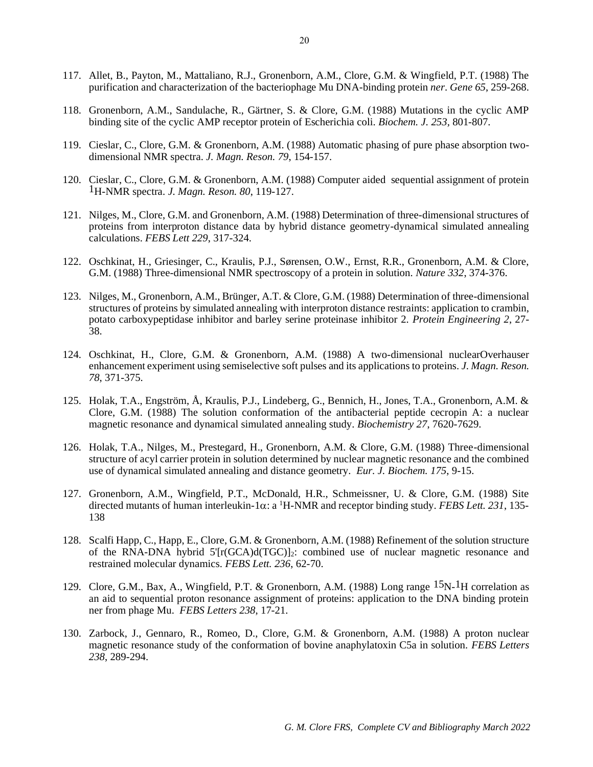- 117. Allet, B., Payton, M., Mattaliano, R.J., Gronenborn, A.M., Clore, G.M. & Wingfield, P.T. (1988) The purification and characterization of the bacteriophage Mu DNA-binding protein *ner*. *Gene 65*, 259-268.
- 118. Gronenborn, A.M., Sandulache, R., Gärtner, S. & Clore, G.M. (1988) Mutations in the cyclic AMP binding site of the cyclic AMP receptor protein of Escherichia coli. *Biochem. J. 253,* 801-807.
- 119. Cieslar, C., Clore, G.M. & Gronenborn, A.M. (1988) Automatic phasing of pure phase absorption twodimensional NMR spectra. *J. Magn. Reson. 79*, 154-157.
- 120. Cieslar, C., Clore, G.M. & Gronenborn, A.M. (1988) Computer aided sequential assignment of protein 1H-NMR spectra. *J. Magn. Reson. 80*, 119-127.
- 121. Nilges, M., Clore, G.M. and Gronenborn, A.M. (1988) Determination of three-dimensional structures of proteins from interproton distance data by hybrid distance geometry-dynamical simulated annealing calculations. *FEBS Lett 229*, 317-324.
- 122. Oschkinat, H., Griesinger, C., Kraulis, P.J., Sørensen, O.W., Ernst, R.R., Gronenborn, A.M. & Clore, G.M. (1988) Three-dimensional NMR spectroscopy of a protein in solution. *Nature 332*, 374-376.
- 123. Nilges, M., Gronenborn, A.M., Brünger, A.T. & Clore, G.M. (1988) Determination of three-dimensional structures of proteins by simulated annealing with interproton distance restraints: application to crambin, potato carboxypeptidase inhibitor and barley serine proteinase inhibitor 2. *Protein Engineering 2*, 27- 38.
- 124. Oschkinat, H., Clore, G.M. & Gronenborn, A.M. (1988) A two-dimensional nuclearOverhauser enhancement experiment using semiselective soft pulses and its applications to proteins. *J. Magn. Reson. 78*, 371-375.
- 125. Holak, T.A., Engström, Å, Kraulis, P.J., Lindeberg, G., Bennich, H., Jones, T.A., Gronenborn, A.M. & Clore, G.M. (1988) The solution conformation of the antibacterial peptide cecropin A: a nuclear magnetic resonance and dynamical simulated annealing study. *Biochemistry 27*, 7620-7629.
- 126. Holak, T.A., Nilges, M., Prestegard, H., Gronenborn, A.M. & Clore, G.M. (1988) Three-dimensional structure of acyl carrier protein in solution determined by nuclear magnetic resonance and the combined use of dynamical simulated annealing and distance geometry. *Eur. J. Biochem. 175*, 9-15.
- 127. Gronenborn, A.M., Wingfield, P.T., McDonald, H.R., Schmeissner, U. & Clore, G.M. (1988) Site directed mutants of human interleukin-1 $\alpha$ : a <sup>1</sup>H-NMR and receptor binding study. *FEBS Lett.* 231, 135-138
- 128. Scalfi Happ, C., Happ, E., Clore, G.M. & Gronenborn, A.M. (1988) Refinement of the solution structure of the RNA-DNA hybrid  $5'[r(GCA)d(TGC)]_2$ : combined use of nuclear magnetic resonance and restrained molecular dynamics. *FEBS Lett. 236*, 62-70.
- 129. Clore, G.M., Bax, A., Wingfield, P.T. & Gronenborn, A.M. (1988) Long range <sup>15</sup>N-<sup>1</sup>H correlation as an aid to sequential proton resonance assignment of proteins: application to the DNA binding protein ner from phage Mu. *FEBS Letters 238*, 17-21.
- 130. Zarbock, J., Gennaro, R., Romeo, D., Clore, G.M. & Gronenborn, A.M. (1988) A proton nuclear magnetic resonance study of the conformation of bovine anaphylatoxin C5a in solution. *FEBS Letters 238*, 289-294.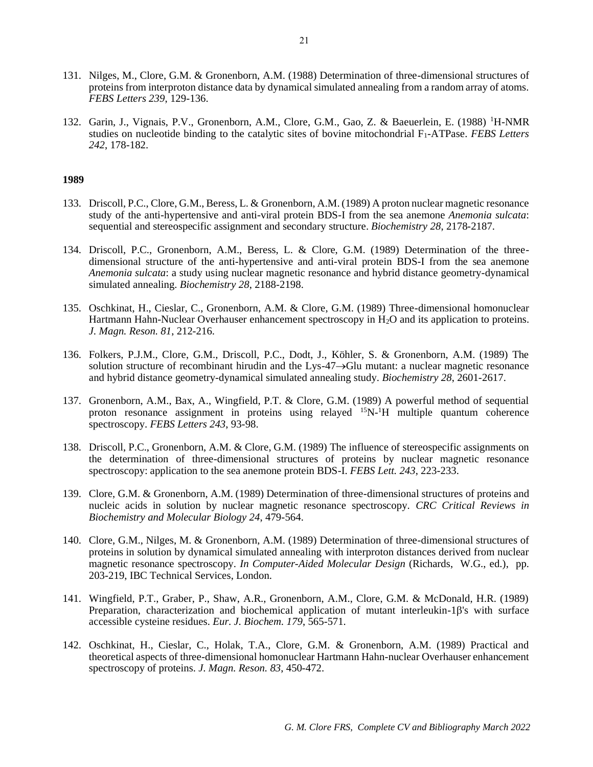- 131. Nilges, M., Clore, G.M. & Gronenborn, A.M. (1988) Determination of three-dimensional structures of proteins from interproton distance data by dynamical simulated annealing from a random array of atoms. *FEBS Letters 239*, 129-136.
- 132. Garin, J., Vignais, P.V., Gronenborn, A.M., Clore, G.M., Gao, Z. & Baeuerlein, E. (1988) <sup>1</sup>H-NMR studies on nucleotide binding to the catalytic sites of bovine mitochondrial F<sub>1</sub>-ATPase. *FEBS Letters 242*, 178-182.

- 133. Driscoll, P.C., Clore, G.M., Beress, L. & Gronenborn, A.M. (1989) A proton nuclear magnetic resonance study of the anti-hypertensive and anti-viral protein BDS-I from the sea anemone *Anemonia sulcata*: sequential and stereospecific assignment and secondary structure. *Biochemistry 28*, 2178-2187.
- 134. Driscoll, P.C., Gronenborn, A.M., Beress, L. & Clore, G.M. (1989) Determination of the threedimensional structure of the anti-hypertensive and anti-viral protein BDS-I from the sea anemone *Anemonia sulcata*: a study using nuclear magnetic resonance and hybrid distance geometry-dynamical simulated annealing. *Biochemistry 28*, 2188-2198.
- 135. Oschkinat, H., Cieslar, C., Gronenborn, A.M. & Clore, G.M. (1989) Three-dimensional homonuclear Hartmann Hahn-Nuclear Overhauser enhancement spectroscopy in H<sub>2</sub>O and its application to proteins. *J. Magn. Reson. 81*, 212-216.
- 136. Folkers, P.J.M., Clore, G.M., Driscoll, P.C., Dodt, J., Köhler, S. & Gronenborn, A.M. (1989) The solution structure of recombinant hirudin and the Lys-47→Glu mutant: a nuclear magnetic resonance and hybrid distance geometry-dynamical simulated annealing study. *Biochemistry 28*, 2601-2617.
- 137. Gronenborn, A.M., Bax, A., Wingfield, P.T. & Clore, G.M. (1989) A powerful method of sequential proton resonance assignment in proteins using relayed  ${}^{15}N-{}^{1}H$  multiple quantum coherence spectroscopy. *FEBS Letters 243*, 93-98.
- 138. Driscoll, P.C., Gronenborn, A.M. & Clore, G.M. (1989) The influence of stereospecific assignments on the determination of three-dimensional structures of proteins by nuclear magnetic resonance spectroscopy: application to the sea anemone protein BDS-I. *FEBS Lett. 243*, 223-233.
- 139. Clore, G.M. & Gronenborn, A.M. (1989) Determination of three-dimensional structures of proteins and nucleic acids in solution by nuclear magnetic resonance spectroscopy. *CRC Critical Reviews in Biochemistry and Molecular Biology 24*, 479-564.
- 140. Clore, G.M., Nilges, M. & Gronenborn, A.M. (1989) Determination of three-dimensional structures of proteins in solution by dynamical simulated annealing with interproton distances derived from nuclear magnetic resonance spectroscopy. *In Computer-Aided Molecular Design* (Richards, W.G., ed.), pp. 203-219, IBC Technical Services, London.
- 141. Wingfield, P.T., Graber, P., Shaw, A.R., Gronenborn, A.M., Clore, G.M. & McDonald, H.R. (1989) Preparation, characterization and biochemical application of mutant interleukin- $1\beta$ 's with surface accessible cysteine residues. *Eur. J. Biochem. 179*, 565-571.
- 142. Oschkinat, H., Cieslar, C., Holak, T.A., Clore, G.M. & Gronenborn, A.M. (1989) Practical and theoretical aspects of three-dimensional homonuclear Hartmann Hahn-nuclear Overhauser enhancement spectroscopy of proteins. *J. Magn. Reson. 83*, 450-472.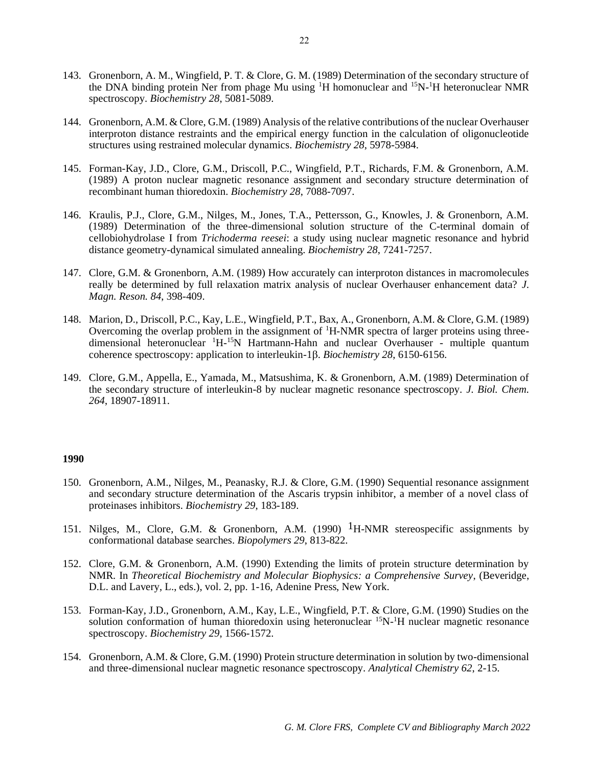- 143. Gronenborn, A. M., Wingfield, P. T. & Clore, G. M. (1989) Determination of the secondary structure of the DNA binding protein Ner from phage Mu using <sup>1</sup>H homonuclear and <sup>15</sup>N-<sup>1</sup>H heteronuclear NMR spectroscopy. *Biochemistry 28*, 5081-5089.
- 144. Gronenborn, A.M. & Clore, G.M. (1989) Analysis of the relative contributions of the nuclear Overhauser interproton distance restraints and the empirical energy function in the calculation of oligonucleotide structures using restrained molecular dynamics. *Biochemistry 28*, 5978-5984.
- 145. Forman-Kay, J.D., Clore, G.M., Driscoll, P.C., Wingfield, P.T., Richards, F.M. & Gronenborn, A.M. (1989) A proton nuclear magnetic resonance assignment and secondary structure determination of recombinant human thioredoxin. *Biochemistry 28*, 7088-7097.
- 146. Kraulis, P.J., Clore, G.M., Nilges, M., Jones, T.A., Pettersson, G., Knowles, J. & Gronenborn, A.M. (1989) Determination of the three-dimensional solution structure of the C-terminal domain of cellobiohydrolase I from *Trichoderma reesei*: a study using nuclear magnetic resonance and hybrid distance geometry-dynamical simulated annealing. *Biochemistry 28*, 7241-7257.
- 147. Clore, G.M. & Gronenborn, A.M. (1989) How accurately can interproton distances in macromolecules really be determined by full relaxation matrix analysis of nuclear Overhauser enhancement data? *J. Magn. Reson. 84*, 398-409.
- 148. Marion, D., Driscoll, P.C., Kay, L.E., Wingfield, P.T., Bax, A., Gronenborn, A.M. & Clore, G.M. (1989) Overcoming the overlap problem in the assignment of <sup>1</sup>H-NMR spectra of larger proteins using threedimensional heteronuclear <sup>1</sup>H-<sup>15</sup>N Hartmann-Hahn and nuclear Overhauser - multiple quantum coherence spectroscopy: application to interleukin-1 $\beta$ . *Biochemistry 28*, 6150-6156.
- 149. Clore, G.M., Appella, E., Yamada, M., Matsushima, K. & Gronenborn, A.M. (1989) Determination of the secondary structure of interleukin-8 by nuclear magnetic resonance spectroscopy. *J. Biol. Chem. 264*, 18907-18911.

- 150. Gronenborn, A.M., Nilges, M., Peanasky, R.J. & Clore, G.M. (1990) Sequential resonance assignment and secondary structure determination of the Ascaris trypsin inhibitor, a member of a novel class of proteinases inhibitors. *Biochemistry 29*, 183-189.
- 151. Nilges, M., Clore, G.M. & Gronenborn, A.M. (1990)  ${}^{1}$ H-NMR stereospecific assignments by conformational database searches. *Biopolymers 29*, 813-822.
- 152. Clore, G.M. & Gronenborn, A.M. (1990) Extending the limits of protein structure determination by NMR. In *Theoretical Biochemistry and Molecular Biophysics: a Comprehensive Survey*, (Beveridge, D.L. and Lavery, L., eds.), vol. 2, pp. 1-16, Adenine Press, New York.
- 153. Forman-Kay, J.D., Gronenborn, A.M., Kay, L.E., Wingfield, P.T. & Clore, G.M. (1990) Studies on the solution conformation of human thioredoxin using heteronuclear  ${}^{15}N$ -<sup>1</sup>H nuclear magnetic resonance spectroscopy. *Biochemistry 29*, 1566-1572.
- 154. Gronenborn, A.M. & Clore, G.M. (1990) Protein structure determination in solution by two-dimensional and three-dimensional nuclear magnetic resonance spectroscopy. *Analytical Chemistry 62*, 2-15.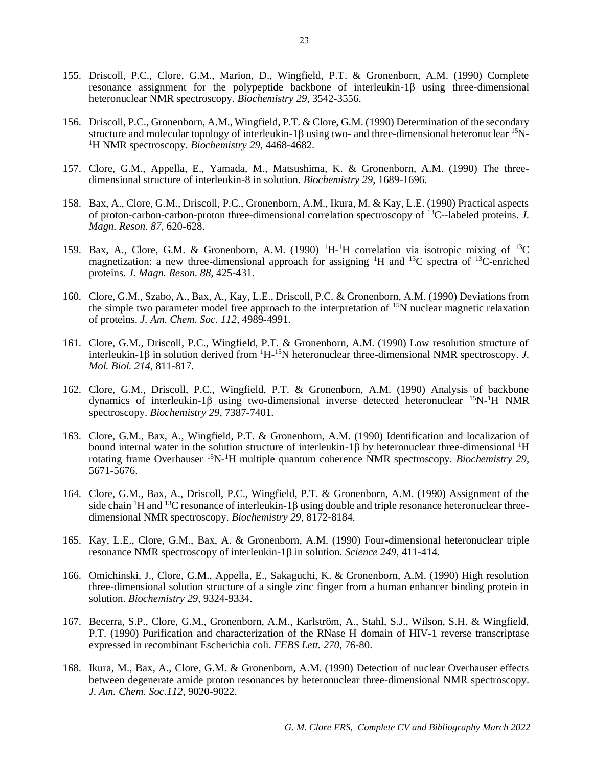- 155. Driscoll, P.C., Clore, G.M., Marion, D., Wingfield, P.T. & Gronenborn, A.M. (1990) Complete resonance assignment for the polypeptide backbone of interleukin-1 $\beta$  using three-dimensional heteronuclear NMR spectroscopy. *Biochemistry 29*, 3542-3556.
- 156. Driscoll, P.C., Gronenborn, A.M., Wingfield, P.T. & Clore, G.M. (1990) Determination of the secondary structure and molecular topology of interleukin-1 $\beta$  using two- and three-dimensional heteronuclear  $15N$ -<sup>1</sup>H NMR spectroscopy. *Biochemistry 29*, 4468-4682.
- 157. Clore, G.M., Appella, E., Yamada, M., Matsushima, K. & Gronenborn, A.M. (1990) The threedimensional structure of interleukin-8 in solution. *Biochemistry 29*, 1689-1696.
- 158. Bax, A., Clore, G.M., Driscoll, P.C., Gronenborn, A.M., Ikura, M. & Kay, L.E. (1990) Practical aspects of proton-carbon-carbon-proton three-dimensional correlation spectroscopy of <sup>13</sup>C--labeled proteins. *J. Magn. Reson. 87*, 620-628.
- 159. Bax, A., Clore, G.M. & Gronenborn, A.M. (1990) <sup>1</sup>H-<sup>1</sup>H correlation via isotropic mixing of <sup>13</sup>C magnetization: a new three-dimensional approach for assigning <sup>1</sup>H and <sup>13</sup>C spectra of <sup>13</sup>C-enriched proteins. *J. Magn. Reson. 88*, 425-431.
- 160. Clore, G.M., Szabo, A., Bax, A., Kay, L.E., Driscoll, P.C. & Gronenborn, A.M. (1990) Deviations from the simple two parameter model free approach to the interpretation of  $15N$  nuclear magnetic relaxation of proteins. *J. Am. Chem. Soc. 112*, 4989-4991.
- 161. Clore, G.M., Driscoll, P.C., Wingfield, P.T. & Gronenborn, A.M. (1990) Low resolution structure of interleukin-1 $\beta$  in solution derived from  ${}^{1}H^{-15}N$  heteronuclear three-dimensional NMR spectroscopy. *J. Mol. Biol. 214*, 811-817.
- 162. Clore, G.M., Driscoll, P.C., Wingfield, P.T. & Gronenborn, A.M. (1990) Analysis of backbone dynamics of interleukin-1 $\beta$  using two-dimensional inverse detected heteronuclear  $^{15}N^{-1}H$  NMR spectroscopy. *Biochemistry 29*, 7387-7401.
- 163. Clore, G.M., Bax, A., Wingfield, P.T. & Gronenborn, A.M. (1990) Identification and localization of bound internal water in the solution structure of interleukin-1 $\beta$  by heteronuclear three-dimensional <sup>1</sup>H rotating frame Overhauser <sup>15</sup>N-<sup>1</sup>H multiple quantum coherence NMR spectroscopy. *Biochemistry 29*, 5671-5676.
- 164. Clore, G.M., Bax, A., Driscoll, P.C., Wingfield, P.T. & Gronenborn, A.M. (1990) Assignment of the side chain <sup>1</sup>H and <sup>13</sup>C resonance of interleukin-1 $\beta$  using double and triple resonance heteronuclear threedimensional NMR spectroscopy. *Biochemistry 29*, 8172-8184.
- 165. Kay, L.E., Clore, G.M., Bax, A. & Gronenborn, A.M. (1990) Four-dimensional heteronuclear triple resonance NMR spectroscopy of interleukin-1 $\beta$  in solution. *Science 249*, 411-414.
- 166. Omichinski, J., Clore, G.M., Appella, E., Sakaguchi, K. & Gronenborn, A.M. (1990) High resolution three-dimensional solution structure of a single zinc finger from a human enhancer binding protein in solution. *Biochemistry 29*, 9324-9334.
- 167. Becerra, S.P., Clore, G.M., Gronenborn, A.M., Karlström, A., Stahl, S.J., Wilson, S.H. & Wingfield, P.T. (1990) Purification and characterization of the RNase H domain of HIV-1 reverse transcriptase expressed in recombinant Escherichia coli. *FEBS Lett. 270*, 76-80.
- 168. Ikura, M., Bax, A., Clore, G.M. & Gronenborn, A.M. (1990) Detection of nuclear Overhauser effects between degenerate amide proton resonances by heteronuclear three-dimensional NMR spectroscopy. *J. Am. Chem. Soc.112*, 9020-9022.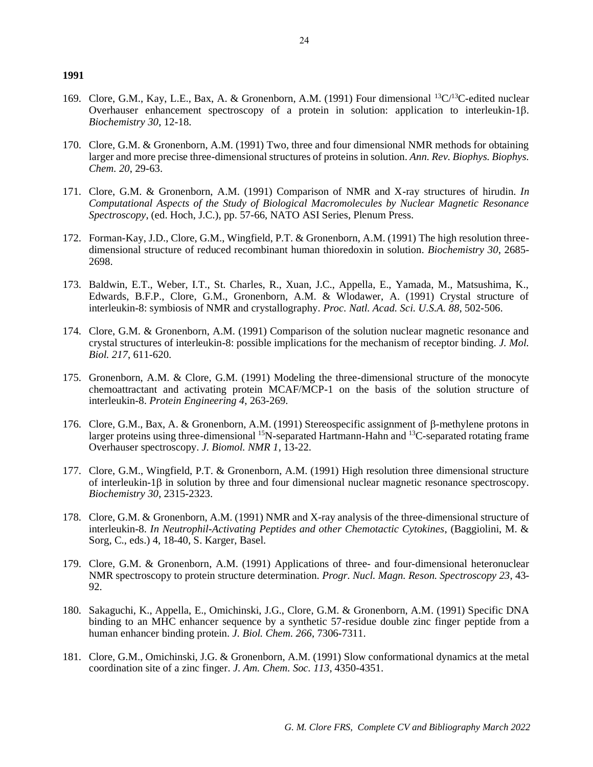- 169. Clore, G.M., Kay, L.E., Bax, A. & Gronenborn, A.M. (1991) Four dimensional <sup>13</sup>C/<sup>13</sup>C-edited nuclear Overhauser enhancement spectroscopy of a protein in solution: application to interleukin-1 $\beta$ . *Biochemistry 30*, 12-18.
- 170. Clore, G.M. & Gronenborn, A.M. (1991) Two, three and four dimensional NMR methods for obtaining larger and more precise three-dimensional structures of proteins in solution. *Ann. Rev. Biophys. Biophys. Chem. 20*, 29-63.
- 171. Clore, G.M. & Gronenborn, A.M. (1991) Comparison of NMR and X-ray structures of hirudin. *In Computational Aspects of the Study of Biological Macromolecules by Nuclear Magnetic Resonance Spectroscopy*, (ed. Hoch, J.C.), pp. 57-66, NATO ASI Series, Plenum Press.
- 172. Forman-Kay, J.D., Clore, G.M., Wingfield, P.T. & Gronenborn, A.M. (1991) The high resolution threedimensional structure of reduced recombinant human thioredoxin in solution. *Biochemistry 30*, 2685- 2698.
- 173. Baldwin, E.T., Weber, I.T., St. Charles, R., Xuan, J.C., Appella, E., Yamada, M., Matsushima, K., Edwards, B.F.P., Clore, G.M., Gronenborn, A.M. & Wlodawer, A. (1991) Crystal structure of interleukin-8: symbiosis of NMR and crystallography. *Proc. Natl. Acad. Sci. U.S.A. 88*, 502-506.
- 174. Clore, G.M. & Gronenborn, A.M. (1991) Comparison of the solution nuclear magnetic resonance and crystal structures of interleukin-8: possible implications for the mechanism of receptor binding. *J. Mol. Biol. 217*, 611-620.
- 175. Gronenborn, A.M. & Clore, G.M. (1991) Modeling the three-dimensional structure of the monocyte chemoattractant and activating protein MCAF/MCP-1 on the basis of the solution structure of interleukin-8. *Protein Engineering 4*, 263-269.
- 176. Clore, G.M., Bax, A. & Gronenborn, A.M. (1991) Stereospecific assignment of  $\beta$ -methylene protons in larger proteins using three-dimensional <sup>15</sup>N-separated Hartmann-Hahn and <sup>13</sup>C-separated rotating frame Overhauser spectroscopy. *J. Biomol. NMR 1*, 13-22.
- 177. Clore, G.M., Wingfield, P.T. & Gronenborn, A.M. (1991) High resolution three dimensional structure of interleukin-1 $\beta$  in solution by three and four dimensional nuclear magnetic resonance spectroscopy. *Biochemistry 30*, 2315-2323.
- 178. Clore, G.M. & Gronenborn, A.M. (1991) NMR and X-ray analysis of the three-dimensional structure of interleukin-8. *In Neutrophil-Activating Peptides and other Chemotactic Cytokines*, (Baggiolini, M. & Sorg, C., eds.) 4, 18-40, S. Karger, Basel.
- 179. Clore, G.M. & Gronenborn, A.M. (1991) Applications of three- and four-dimensional heteronuclear NMR spectroscopy to protein structure determination. *Progr. Nucl. Magn. Reson. Spectroscopy 23*, 43- 92.
- 180. Sakaguchi, K., Appella, E., Omichinski, J.G., Clore, G.M. & Gronenborn, A.M. (1991) Specific DNA binding to an MHC enhancer sequence by a synthetic 57-residue double zinc finger peptide from a human enhancer binding protein. *J. Biol. Chem. 266*, 7306-7311.
- 181. Clore, G.M., Omichinski, J.G. & Gronenborn, A.M. (1991) Slow conformational dynamics at the metal coordination site of a zinc finger. *J. Am. Chem. Soc. 113*, 4350-4351.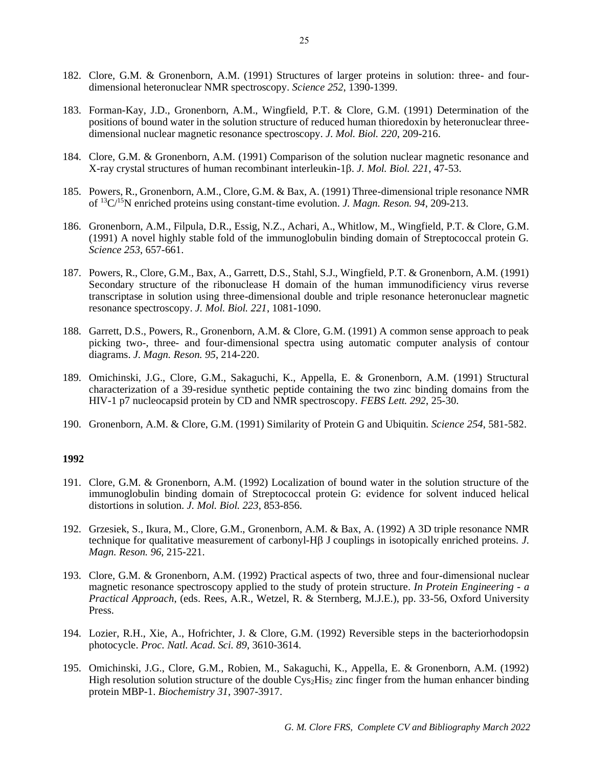- 182. Clore, G.M. & Gronenborn, A.M. (1991) Structures of larger proteins in solution: three- and fourdimensional heteronuclear NMR spectroscopy. *Science 252*, 1390-1399.
- 183. Forman-Kay, J.D., Gronenborn, A.M., Wingfield, P.T. & Clore, G.M. (1991) Determination of the positions of bound water in the solution structure of reduced human thioredoxin by heteronuclear threedimensional nuclear magnetic resonance spectroscopy. *J. Mol. Biol. 220*, 209-216.
- 184. Clore, G.M. & Gronenborn, A.M. (1991) Comparison of the solution nuclear magnetic resonance and X-ray crystal structures of human recombinant interleukin-1 $\beta$ . *J. Mol. Biol.* 221, 47-53.
- 185. Powers, R., Gronenborn, A.M., Clore, G.M. & Bax, A. (1991) Three-dimensional triple resonance NMR of <sup>13</sup>C/<sup>15</sup>N enriched proteins using constant-time evolution. *J. Magn. Reson. 94*, 209-213.
- 186. Gronenborn, A.M., Filpula, D.R., Essig, N.Z., Achari, A., Whitlow, M., Wingfield, P.T. & Clore, G.M. (1991) A novel highly stable fold of the immunoglobulin binding domain of Streptococcal protein G. *Science 253*, 657-661.
- 187. Powers, R., Clore, G.M., Bax, A., Garrett, D.S., Stahl, S.J., Wingfield, P.T. & Gronenborn, A.M. (1991) Secondary structure of the ribonuclease H domain of the human immunodificiency virus reverse transcriptase in solution using three-dimensional double and triple resonance heteronuclear magnetic resonance spectroscopy. *J. Mol. Biol. 221*, 1081-1090.
- 188. Garrett, D.S., Powers, R., Gronenborn, A.M. & Clore, G.M. (1991) A common sense approach to peak picking two-, three- and four-dimensional spectra using automatic computer analysis of contour diagrams. *J. Magn. Reson. 95*, 214-220.
- 189. Omichinski, J.G., Clore, G.M., Sakaguchi, K., Appella, E. & Gronenborn, A.M. (1991) Structural characterization of a 39-residue synthetic peptide containing the two zinc binding domains from the HIV-1 p7 nucleocapsid protein by CD and NMR spectroscopy. *FEBS Lett. 292*, 25-30.
- 190. Gronenborn, A.M. & Clore, G.M. (1991) Similarity of Protein G and Ubiquitin. *Science 254*, 581-582.

- 191. Clore, G.M. & Gronenborn, A.M. (1992) Localization of bound water in the solution structure of the immunoglobulin binding domain of Streptococcal protein G: evidence for solvent induced helical distortions in solution. *J. Mol. Biol. 223*, 853-856.
- 192. Grzesiek, S., Ikura, M., Clore, G.M., Gronenborn, A.M. & Bax, A. (1992) A 3D triple resonance NMR technique for qualitative measurement of carbonyl-H $\beta$  J couplings in isotopically enriched proteins. *J. Magn. Reson. 96*, 215-221.
- 193. Clore, G.M. & Gronenborn, A.M. (1992) Practical aspects of two, three and four-dimensional nuclear magnetic resonance spectroscopy applied to the study of protein structure. *In Protein Engineering - a Practical Approach*, (eds. Rees, A.R., Wetzel, R. & Sternberg, M.J.E.), pp. 33-56, Oxford University Press.
- 194. Lozier, R.H., Xie, A., Hofrichter, J. & Clore, G.M. (1992) Reversible steps in the bacteriorhodopsin photocycle. *Proc. Natl. Acad. Sci. 89*, 3610-3614.
- 195. Omichinski, J.G., Clore, G.M., Robien, M., Sakaguchi, K., Appella, E. & Gronenborn, A.M. (1992) High resolution solution structure of the double  $\text{Cys}_2\text{His}_2$  zinc finger from the human enhancer binding protein MBP-1. *Biochemistry 31*, 3907-3917.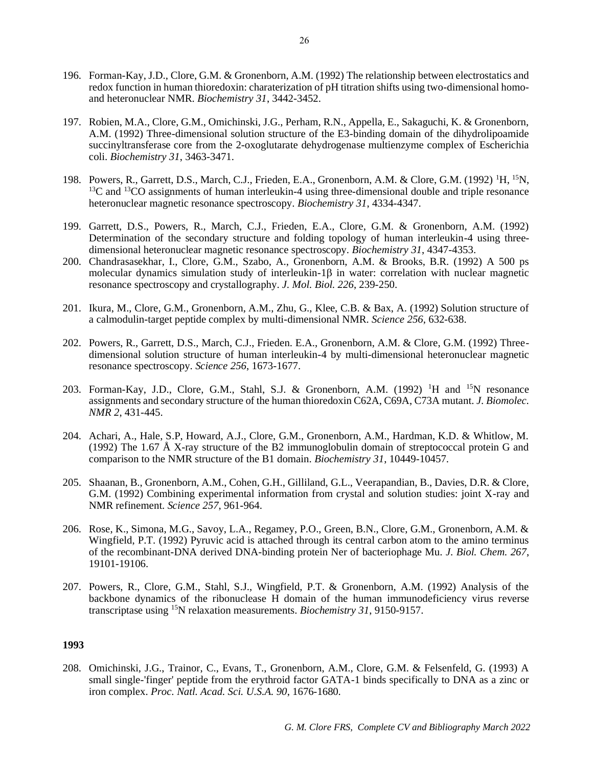- 196. Forman-Kay, J.D., Clore, G.M. & Gronenborn, A.M. (1992) The relationship between electrostatics and redox function in human thioredoxin: charaterization of pH titration shifts using two-dimensional homoand heteronuclear NMR. *Biochemistry 31*, 3442-3452.
- 197. Robien, M.A., Clore, G.M., Omichinski, J.G., Perham, R.N., Appella, E., Sakaguchi, K. & Gronenborn, A.M. (1992) Three-dimensional solution structure of the E3-binding domain of the dihydrolipoamide succinyltransferase core from the 2-oxoglutarate dehydrogenase multienzyme complex of Escherichia coli. *Biochemistry 31*, 3463-3471.
- 198. Powers, R., Garrett, D.S., March, C.J., Frieden, E.A., Gronenborn, A.M. & Clore, G.M. (1992) <sup>1</sup>H, <sup>15</sup>N, <sup>13</sup>C and <sup>13</sup>CO assignments of human interleukin-4 using three-dimensional double and triple resonance heteronuclear magnetic resonance spectroscopy. *Biochemistry 31*, 4334-4347.
- 199. Garrett, D.S., Powers, R., March, C.J., Frieden, E.A., Clore, G.M. & Gronenborn, A.M. (1992) Determination of the secondary structure and folding topology of human interleukin-4 using threedimensional heteronuclear magnetic resonance spectroscopy. *Biochemistry 31*, 4347-4353.
- 200. Chandrasasekhar, I., Clore, G.M., Szabo, A., Gronenborn, A.M. & Brooks, B.R. (1992) A 500 ps molecular dynamics simulation study of interleukin-1 $\beta$  in water: correlation with nuclear magnetic resonance spectroscopy and crystallography. *J. Mol. Biol. 226*, 239-250.
- 201. Ikura, M., Clore, G.M., Gronenborn, A.M., Zhu, G., Klee, C.B. & Bax, A. (1992) Solution structure of a calmodulin-target peptide complex by multi-dimensional NMR. *Science 256*, 632-638.
- 202. Powers, R., Garrett, D.S., March, C.J., Frieden. E.A., Gronenborn, A.M. & Clore, G.M. (1992) Threedimensional solution structure of human interleukin-4 by multi-dimensional heteronuclear magnetic resonance spectroscopy. *Science 256*, 1673-1677.
- 203. Forman-Kay, J.D., Clore, G.M., Stahl, S.J. & Gronenborn, A.M. (1992) <sup>1</sup>H and <sup>15</sup>N resonance assignments and secondary structure of the human thioredoxin C62A, C69A, C73A mutant. *J. Biomolec. NMR 2*, 431-445.
- 204. Achari, A., Hale, S.P, Howard, A.J., Clore, G.M., Gronenborn, A.M., Hardman, K.D. & Whitlow, M. (1992) The 1.67 Å X-ray structure of the B2 immunoglobulin domain of streptococcal protein G and comparison to the NMR structure of the B1 domain. *Biochemistry 31*, 10449-10457.
- 205. Shaanan, B., Gronenborn, A.M., Cohen, G.H., Gilliland, G.L., Veerapandian, B., Davies, D.R. & Clore, G.M. (1992) Combining experimental information from crystal and solution studies: joint X-ray and NMR refinement. *Science 257*, 961-964.
- 206. Rose, K., Simona, M.G., Savoy, L.A., Regamey, P.O., Green, B.N., Clore, G.M., Gronenborn, A.M. & Wingfield, P.T. (1992) Pyruvic acid is attached through its central carbon atom to the amino terminus of the recombinant-DNA derived DNA-binding protein Ner of bacteriophage Mu. *J. Biol. Chem. 267*, 19101-19106.
- 207. Powers, R., Clore, G.M., Stahl, S.J., Wingfield, P.T. & Gronenborn, A.M. (1992) Analysis of the backbone dynamics of the ribonuclease H domain of the human immunodeficiency virus reverse transcriptase using <sup>15</sup>N relaxation measurements. *Biochemistry 31*, 9150-9157.

208. Omichinski, J.G., Trainor, C., Evans, T., Gronenborn, A.M., Clore, G.M. & Felsenfeld, G. (1993) A small single-'finger' peptide from the erythroid factor GATA-1 binds specifically to DNA as a zinc or iron complex. *Proc. Natl. Acad. Sci. U.S.A. 90*, 1676-1680.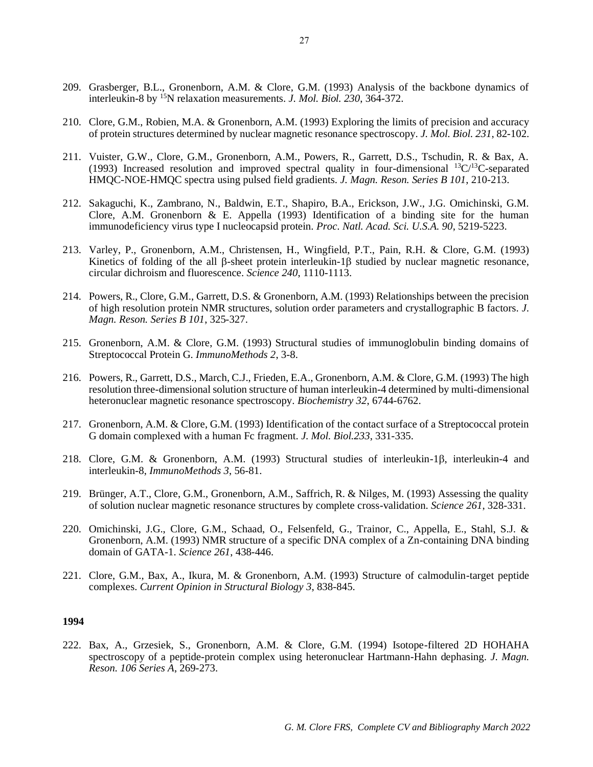- 209. Grasberger, B.L., Gronenborn, A.M. & Clore, G.M. (1993) Analysis of the backbone dynamics of interleukin-8 by <sup>15</sup>N relaxation measurements. *J. Mol. Biol. 230*, 364-372.
- 210. Clore, G.M., Robien, M.A. & Gronenborn, A.M. (1993) Exploring the limits of precision and accuracy of protein structures determined by nuclear magnetic resonance spectroscopy. *J. Mol. Biol. 231*, 82-102.
- 211. Vuister, G.W., Clore, G.M., Gronenborn, A.M., Powers, R., Garrett, D.S., Tschudin, R. & Bax, A. (1993) Increased resolution and improved spectral quality in four-dimensional  ${}^{13}C/{}^{13}C$ -separated HMQC-NOE-HMQC spectra using pulsed field gradients. *J. Magn. Reson. Series B 101*, 210-213.
- 212. Sakaguchi, K., Zambrano, N., Baldwin, E.T., Shapiro, B.A., Erickson, J.W., J.G. Omichinski, G.M. Clore, A.M. Gronenborn  $\&$  E. Appella (1993) Identification of a binding site for the human immunodeficiency virus type I nucleocapsid protein. *Proc. Natl. Acad. Sci. U.S.A. 90*, 5219-5223.
- 213. Varley, P., Gronenborn, A.M., Christensen, H., Wingfield, P.T., Pain, R.H. & Clore, G.M. (1993) Kinetics of folding of the all  $\beta$ -sheet protein interleukin-1 $\beta$  studied by nuclear magnetic resonance, circular dichroism and fluorescence. *Science 240*, 1110-1113.
- 214. Powers, R., Clore, G.M., Garrett, D.S. & Gronenborn, A.M. (1993) Relationships between the precision of high resolution protein NMR structures, solution order parameters and crystallographic B factors. *J. Magn. Reson. Series B 101*, 325-327.
- 215. Gronenborn, A.M. & Clore, G.M. (1993) Structural studies of immunoglobulin binding domains of Streptococcal Protein G. *ImmunoMethods 2*, 3-8.
- 216. Powers, R., Garrett, D.S., March, C.J., Frieden, E.A., Gronenborn, A.M. & Clore, G.M. (1993) The high resolution three-dimensional solution structure of human interleukin-4 determined by multi-dimensional heteronuclear magnetic resonance spectroscopy. *Biochemistry 32*, 6744-6762.
- 217. Gronenborn, A.M. & Clore, G.M. (1993) Identification of the contact surface of a Streptococcal protein G domain complexed with a human Fc fragment. *J. Mol. Biol.233*, 331-335.
- 218. Clore, G.M. & Gronenborn, A.M. (1993) Structural studies of interleukin-1 $\beta$ , interleukin-4 and interleukin-8, *ImmunoMethods 3*, 56-81.
- 219. Brünger, A.T., Clore, G.M., Gronenborn, A.M., Saffrich, R. & Nilges, M. (1993) Assessing the quality of solution nuclear magnetic resonance structures by complete cross-validation. *Science 261*, 328-331.
- 220. Omichinski, J.G., Clore, G.M., Schaad, O., Felsenfeld, G., Trainor, C., Appella, E., Stahl, S.J. & Gronenborn, A.M. (1993) NMR structure of a specific DNA complex of a Zn-containing DNA binding domain of GATA-1. *Science 261*, 438-446.
- 221. Clore, G.M., Bax, A., Ikura, M. & Gronenborn, A.M. (1993) Structure of calmodulin-target peptide complexes. *Current Opinion in Structural Biology 3*, 838-845.

222. Bax, A., Grzesiek, S., Gronenborn, A.M. & Clore, G.M. (1994) Isotope-filtered 2D HOHAHA spectroscopy of a peptide-protein complex using heteronuclear Hartmann-Hahn dephasing. *J. Magn. Reson. 106 Series A*, 269-273.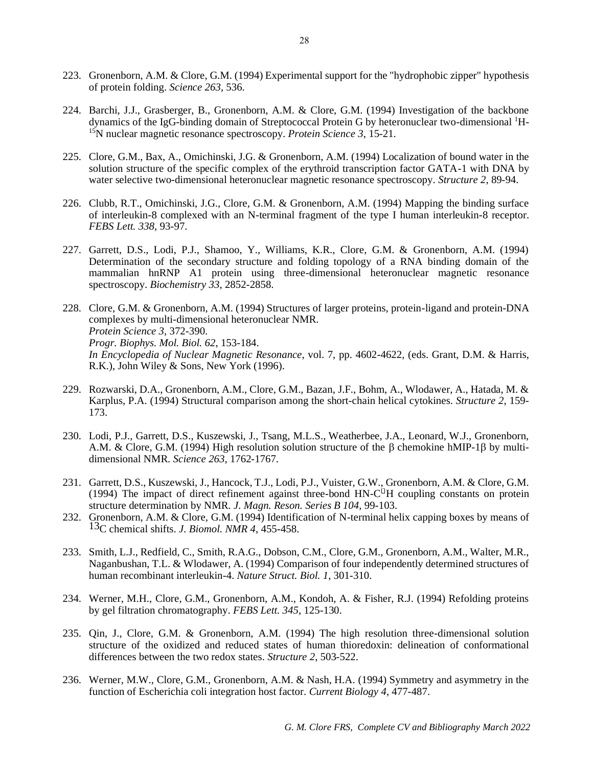- 223. Gronenborn, A.M. & Clore, G.M. (1994) Experimental support for the "hydrophobic zipper" hypothesis of protein folding. *Science 263*, 536.
- 224. Barchi, J.J., Grasberger, B., Gronenborn, A.M. & Clore, G.M. (1994) Investigation of the backbone dynamics of the IgG-binding domain of Streptococcal Protein G by heteronuclear two-dimensional 1H-<sup>15</sup>N nuclear magnetic resonance spectroscopy. *Protein Science 3*, 15-21.
- 225. Clore, G.M., Bax, A., Omichinski, J.G. & Gronenborn, A.M. (1994) Localization of bound water in the solution structure of the specific complex of the erythroid transcription factor GATA-1 with DNA by water selective two-dimensional heteronuclear magnetic resonance spectroscopy. *Structure 2*, 89-94.
- 226. Clubb, R.T., Omichinski, J.G., Clore, G.M. & Gronenborn, A.M. (1994) Mapping the binding surface of interleukin-8 complexed with an N-terminal fragment of the type I human interleukin-8 receptor. *FEBS Lett. 338*, 93-97.
- 227. Garrett, D.S., Lodi, P.J., Shamoo, Y., Williams, K.R., Clore, G.M. & Gronenborn, A.M. (1994) Determination of the secondary structure and folding topology of a RNA binding domain of the mammalian hnRNP A1 protein using three-dimensional heteronuclear magnetic resonance spectroscopy. *Biochemistry 33*, 2852-2858.
- 228. Clore, G.M. & Gronenborn, A.M. (1994) Structures of larger proteins, protein-ligand and protein-DNA complexes by multi-dimensional heteronuclear NMR. *Protein Science 3*, 372-390. *Progr. Biophys. Mol. Biol. 62*, 153-184. *In Encyclopedia of Nuclear Magnetic Resonance*, vol. 7, pp. 4602-4622, (eds. Grant, D.M. & Harris, R.K.), John Wiley & Sons, New York (1996).
- 229. Rozwarski, D.A., Gronenborn, A.M., Clore, G.M., Bazan, J.F., Bohm, A., Wlodawer, A., Hatada, M. & Karplus, P.A. (1994) Structural comparison among the short-chain helical cytokines. *Structure 2*, 159- 173.
- 230. Lodi, P.J., Garrett, D.S., Kuszewski, J., Tsang, M.L.S., Weatherbee, J.A., Leonard, W.J., Gronenborn, A.M. & Clore, G.M. (1994) High resolution solution structure of the  $\beta$  chemokine hMIP-1 $\beta$  by multidimensional NMR. *Science 263*, 1762-1767.
- 231. Garrett, D.S., Kuszewski, J., Hancock, T.J., Lodi, P.J., Vuister, G.W., Gronenborn, A.M. & Clore, G.M. (1994) The impact of direct refinement against three-bond  $HN-C<sup>[]</sup>H$  coupling constants on protein structure determination by NMR. *J. Magn. Reson. Series B 104*, 99-103.
- 232. Gronenborn, A.M. & Clore, G.M. (1994) Identification of N-terminal helix capping boxes by means of 13C chemical shifts. *J. Biomol. NMR 4*, 455-458.
- 233. Smith, L.J., Redfield, C., Smith, R.A.G., Dobson, C.M., Clore, G.M., Gronenborn, A.M., Walter, M.R., Naganbushan, T.L. & Wlodawer, A. (1994) Comparison of four independently determined structures of human recombinant interleukin-4. *Nature Struct. Biol. 1*, 301-310.
- 234. Werner, M.H., Clore, G.M., Gronenborn, A.M., Kondoh, A. & Fisher, R.J. (1994) Refolding proteins by gel filtration chromatography. *FEBS Lett. 345*, 125-130.
- 235. Qin, J., Clore, G.M. & Gronenborn, A.M. (1994) The high resolution three-dimensional solution structure of the oxidized and reduced states of human thioredoxin: delineation of conformational differences between the two redox states. *Structure 2*, 503-522.
- 236. Werner, M.W., Clore, G.M., Gronenborn, A.M. & Nash, H.A. (1994) Symmetry and asymmetry in the function of Escherichia coli integration host factor. *Current Biology 4*, 477-487.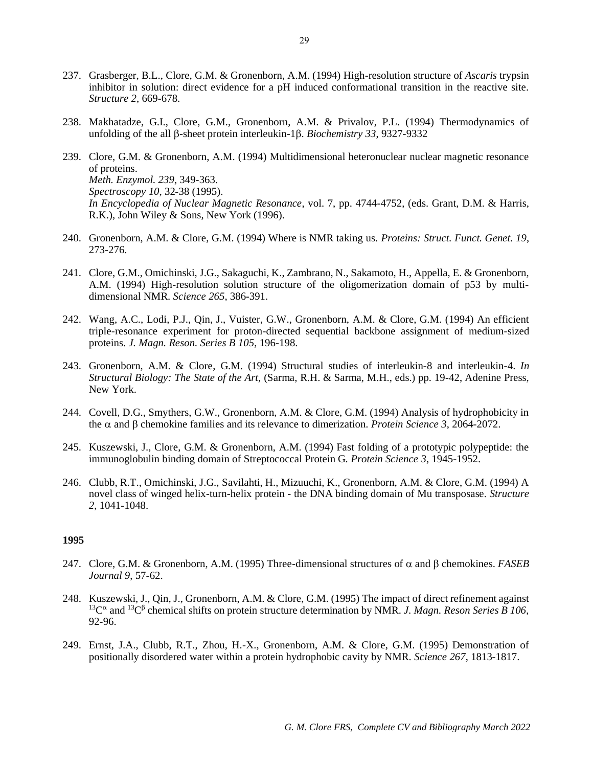- 237. Grasberger, B.L., Clore, G.M. & Gronenborn, A.M. (1994) High-resolution structure of *Ascaris* trypsin inhibitor in solution: direct evidence for a pH induced conformational transition in the reactive site. *Structure 2*, 669-678.
- 238. Makhatadze, G.I., Clore, G.M., Gronenborn, A.M. & Privalov, P.L. (1994) Thermodynamics of unfolding of the all  $\beta$ -sheet protein interleukin-1 $\beta$ . *Biochemistry 33*, 9327-9332
- 239. Clore, G.M. & Gronenborn, A.M. (1994) Multidimensional heteronuclear nuclear magnetic resonance of proteins. *Meth. Enzymol. 239*, 349-363. *Spectroscopy 10*, 32-38 (1995). *In Encyclopedia of Nuclear Magnetic Resonance*, vol. 7, pp. 4744-4752, (eds. Grant, D.M. & Harris, R.K.), John Wiley & Sons, New York (1996).
- 240. Gronenborn, A.M. & Clore, G.M. (1994) Where is NMR taking us. *Proteins: Struct. Funct. Genet. 19*, 273-276.
- 241. Clore, G.M., Omichinski, J.G., Sakaguchi, K., Zambrano, N., Sakamoto, H., Appella, E. & Gronenborn, A.M. (1994) High-resolution solution structure of the oligomerization domain of p53 by multidimensional NMR. *Science 265*, 386-391.
- 242. Wang, A.C., Lodi, P.J., Qin, J., Vuister, G.W., Gronenborn, A.M. & Clore, G.M. (1994) An efficient triple-resonance experiment for proton-directed sequential backbone assignment of medium-sized proteins. *J. Magn. Reson. Series B 105*, 196-198.
- 243. Gronenborn, A.M. & Clore, G.M. (1994) Structural studies of interleukin-8 and interleukin-4. *In Structural Biology: The State of the Art,* (Sarma, R.H. & Sarma, M.H., eds.) pp. 19-42, Adenine Press, New York.
- 244. Covell, D.G., Smythers, G.W., Gronenborn, A.M. & Clore, G.M. (1994) Analysis of hydrophobicity in the  $\alpha$  and  $\beta$  chemokine families and its relevance to dimerization. *Protein Science 3*, 2064-2072.
- 245. Kuszewski, J., Clore, G.M. & Gronenborn, A.M. (1994) Fast folding of a prototypic polypeptide: the immunoglobulin binding domain of Streptococcal Protein G. *Protein Science 3*, 1945-1952.
- 246. Clubb, R.T., Omichinski, J.G., Savilahti, H., Mizuuchi, K., Gronenborn, A.M. & Clore, G.M. (1994) A novel class of winged helix-turn-helix protein - the DNA binding domain of Mu transposase. *Structure 2*, 1041-1048.

- 247. Clore, G.M. & Gronenborn, A.M. (1995) Three-dimensional structures of  $\alpha$  and  $\beta$  chemokines. *FASEB Journal 9*, 57-62.
- 248. Kuszewski, J., Qin, J., Gronenborn, A.M. & Clore, G.M. (1995) The impact of direct refinement against <sup>13</sup>C<sup> $\alpha$ </sup> and <sup>13</sup>C<sup> $\beta$ </sup> chemical shifts on protein structure determination by NMR. *J. Magn. Reson Series B 106*, 92-96.
- 249. Ernst, J.A., Clubb, R.T., Zhou, H.-X., Gronenborn, A.M. & Clore, G.M. (1995) Demonstration of positionally disordered water within a protein hydrophobic cavity by NMR. *Science 267*, 1813-1817.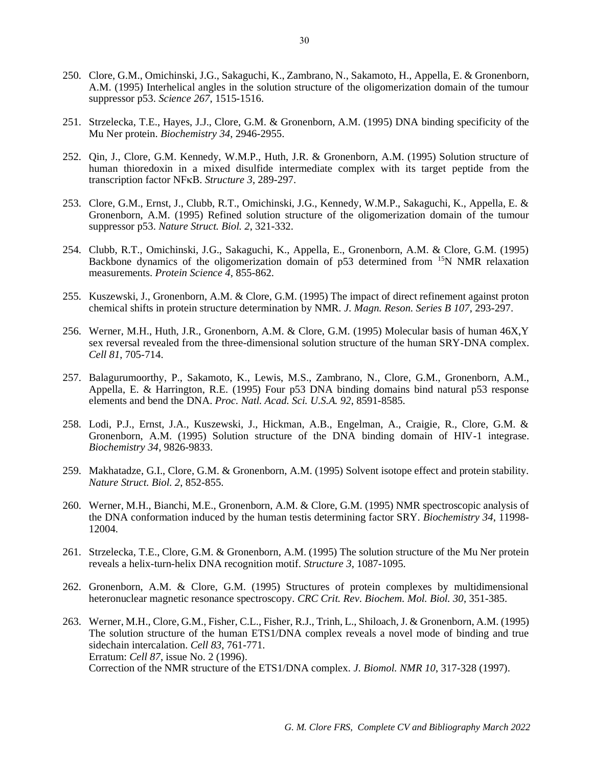- 250. Clore, G.M., Omichinski, J.G., Sakaguchi, K., Zambrano, N., Sakamoto, H., Appella, E. & Gronenborn, A.M. (1995) Interhelical angles in the solution structure of the oligomerization domain of the tumour suppressor p53. *Science 267*, 1515-1516.
- 251. Strzelecka, T.E., Hayes, J.J., Clore, G.M. & Gronenborn, A.M. (1995) DNA binding specificity of the Mu Ner protein. *Biochemistry 34*, 2946-2955.
- 252. Qin, J., Clore, G.M. Kennedy, W.M.P., Huth, J.R. & Gronenborn, A.M. (1995) Solution structure of human thioredoxin in a mixed disulfide intermediate complex with its target peptide from the transcription factor NFKB. Structure 3, 289-297.
- 253. Clore, G.M., Ernst, J., Clubb, R.T., Omichinski, J.G., Kennedy, W.M.P., Sakaguchi, K., Appella, E. & Gronenborn, A.M. (1995) Refined solution structure of the oligomerization domain of the tumour suppressor p53. *Nature Struct. Biol. 2*, 321-332.
- 254. Clubb, R.T., Omichinski, J.G., Sakaguchi, K., Appella, E., Gronenborn, A.M. & Clore, G.M. (1995) Backbone dynamics of the oligomerization domain of p53 determined from <sup>15</sup>N NMR relaxation measurements. *Protein Science 4*, 855-862.
- 255. Kuszewski, J., Gronenborn, A.M. & Clore, G.M. (1995) The impact of direct refinement against proton chemical shifts in protein structure determination by NMR. *J. Magn. Reson. Series B 107*, 293-297.
- 256. Werner, M.H., Huth, J.R., Gronenborn, A.M. & Clore, G.M. (1995) Molecular basis of human 46X,Y sex reversal revealed from the three-dimensional solution structure of the human SRY-DNA complex. *Cell 81*, 705-714.
- 257. Balagurumoorthy, P., Sakamoto, K., Lewis, M.S., Zambrano, N., Clore, G.M., Gronenborn, A.M., Appella, E. & Harrington, R.E. (1995) Four p53 DNA binding domains bind natural p53 response elements and bend the DNA. *Proc. Natl. Acad. Sci. U.S.A. 92*, 8591-8585.
- 258. Lodi, P.J., Ernst, J.A., Kuszewski, J., Hickman, A.B., Engelman, A., Craigie, R., Clore, G.M. & Gronenborn, A.M. (1995) Solution structure of the DNA binding domain of HIV-1 integrase. *Biochemistry 34*, 9826-9833.
- 259. Makhatadze, G.I., Clore, G.M. & Gronenborn, A.M. (1995) Solvent isotope effect and protein stability. *Nature Struct. Biol. 2*, 852-855.
- 260. Werner, M.H., Bianchi, M.E., Gronenborn, A.M. & Clore, G.M. (1995) NMR spectroscopic analysis of the DNA conformation induced by the human testis determining factor SRY. *Biochemistry 34*, 11998- 12004.
- 261. Strzelecka, T.E., Clore, G.M. & Gronenborn, A.M. (1995) The solution structure of the Mu Ner protein reveals a helix-turn-helix DNA recognition motif. *Structure 3*, 1087-1095.
- 262. Gronenborn, A.M. & Clore, G.M. (1995) Structures of protein complexes by multidimensional heteronuclear magnetic resonance spectroscopy. *CRC Crit. Rev. Biochem. Mol. Biol. 30*, 351-385.
- 263. Werner, M.H., Clore, G.M., Fisher, C.L., Fisher, R.J., Trinh, L., Shiloach, J. & Gronenborn, A.M. (1995) The solution structure of the human ETS1/DNA complex reveals a novel mode of binding and true sidechain intercalation. *Cell 83*, 761-771. Erratum: *Cell 87*, issue No. 2 (1996). Correction of the NMR structure of the ETS1/DNA complex. *J. Biomol. NMR 10*, 317-328 (1997).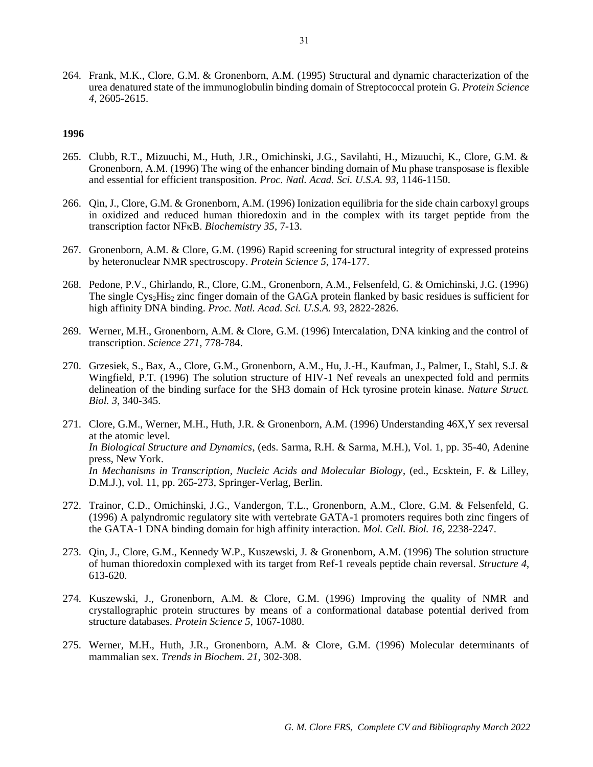264. Frank, M.K., Clore, G.M. & Gronenborn, A.M. (1995) Structural and dynamic characterization of the urea denatured state of the immunoglobulin binding domain of Streptococcal protein G. *Protein Science 4*, 2605-2615.

- 265. Clubb, R.T., Mizuuchi, M., Huth, J.R., Omichinski, J.G., Savilahti, H., Mizuuchi, K., Clore, G.M. & Gronenborn, A.M. (1996) The wing of the enhancer binding domain of Mu phase transposase is flexible and essential for efficient transposition. *Proc. Natl. Acad. Sci. U.S.A. 93*, 1146-1150.
- 266. Qin, J., Clore, G.M. & Gronenborn, A.M. (1996) Ionization equilibria for the side chain carboxyl groups in oxidized and reduced human thioredoxin and in the complex with its target peptide from the transcription factor NF<sub>K</sub>B. *Biochemistry 35*, 7-13.
- 267. Gronenborn, A.M. & Clore, G.M. (1996) Rapid screening for structural integrity of expressed proteins by heteronuclear NMR spectroscopy. *Protein Science 5*, 174-177.
- 268. Pedone, P.V., Ghirlando, R., Clore, G.M., Gronenborn, A.M., Felsenfeld, G. & Omichinski, J.G. (1996) The single Cys<sub>2</sub>His<sub>2</sub> zinc finger domain of the GAGA protein flanked by basic residues is sufficient for high affinity DNA binding. *Proc. Natl. Acad. Sci. U.S.A. 93*, 2822-2826.
- 269. Werner, M.H., Gronenborn, A.M. & Clore, G.M. (1996) Intercalation, DNA kinking and the control of transcription. *Science 271*, 778-784.
- 270. Grzesiek, S., Bax, A., Clore, G.M., Gronenborn, A.M., Hu, J.-H., Kaufman, J., Palmer, I., Stahl, S.J. & Wingfield, P.T. (1996) The solution structure of HIV-1 Nef reveals an unexpected fold and permits delineation of the binding surface for the SH3 domain of Hck tyrosine protein kinase. *Nature Struct. Biol. 3*, 340-345.
- 271. Clore, G.M., Werner, M.H., Huth, J.R. & Gronenborn, A.M. (1996) Understanding 46X,Y sex reversal at the atomic level. *In Biological Structure and Dynamics*, (eds. Sarma, R.H. & Sarma, M.H.), Vol. 1, pp. 35-40, Adenine press, New York. *In Mechanisms in Transcription, Nucleic Acids and Molecular Biology*, (ed., Ecsktein, F. & Lilley, D.M.J.), vol. 11, pp. 265-273, Springer-Verlag, Berlin.
- 272. Trainor, C.D., Omichinski, J.G., Vandergon, T.L., Gronenborn, A.M., Clore, G.M. & Felsenfeld, G. (1996) A palyndromic regulatory site with vertebrate GATA-1 promoters requires both zinc fingers of the GATA-1 DNA binding domain for high affinity interaction. *Mol. Cell. Biol. 16*, 2238-2247.
- 273. Qin, J., Clore, G.M., Kennedy W.P., Kuszewski, J. & Gronenborn, A.M. (1996) The solution structure of human thioredoxin complexed with its target from Ref-1 reveals peptide chain reversal. *Structure 4*, 613-620.
- 274. Kuszewski, J., Gronenborn, A.M. & Clore, G.M. (1996) Improving the quality of NMR and crystallographic protein structures by means of a conformational database potential derived from structure databases. *Protein Science 5*, 1067-1080.
- 275. Werner, M.H., Huth, J.R., Gronenborn, A.M. & Clore, G.M. (1996) Molecular determinants of mammalian sex. *Trends in Biochem. 21*, 302-308.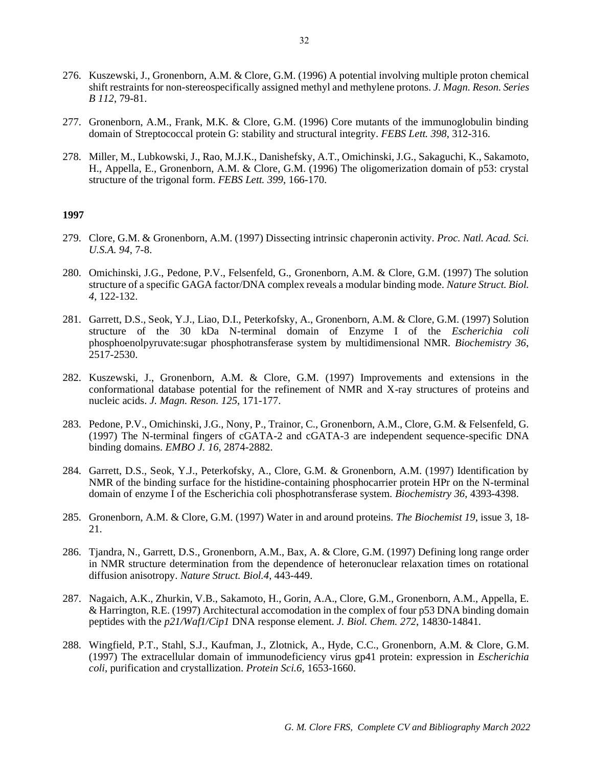- 276. Kuszewski, J., Gronenborn, A.M. & Clore, G.M. (1996) A potential involving multiple proton chemical shift restraints for non-stereospecifically assigned methyl and methylene protons. *J. Magn. Reson. Series B 112*, 79-81.
- 277. Gronenborn, A.M., Frank, M.K. & Clore, G.M. (1996) Core mutants of the immunoglobulin binding domain of Streptococcal protein G: stability and structural integrity. *FEBS Lett. 398*, 312-316.
- 278. Miller, M., Lubkowski, J., Rao, M.J.K., Danishefsky, A.T., Omichinski, J.G., Sakaguchi, K., Sakamoto, H., Appella, E., Gronenborn, A.M. & Clore, G.M. (1996) The oligomerization domain of p53: crystal structure of the trigonal form. *FEBS Lett. 399*, 166-170.

- 279. Clore, G.M. & Gronenborn, A.M. (1997) Dissecting intrinsic chaperonin activity. *Proc. Natl. Acad. Sci. U.S.A. 94*, 7-8.
- 280. Omichinski, J.G., Pedone, P.V., Felsenfeld, G., Gronenborn, A.M. & Clore, G.M. (1997) The solution structure of a specific GAGA factor/DNA complex reveals a modular binding mode. *Nature Struct. Biol. 4*, 122-132.
- 281. Garrett, D.S., Seok, Y.J., Liao, D.I., Peterkofsky, A., Gronenborn, A.M. & Clore, G.M. (1997) Solution structure of the 30 kDa N-terminal domain of Enzyme I of the *Escherichia coli* phosphoenolpyruvate:sugar phosphotransferase system by multidimensional NMR. *Biochemistry 36*, 2517-2530.
- 282. Kuszewski, J., Gronenborn, A.M. & Clore, G.M. (1997) Improvements and extensions in the conformational database potential for the refinement of NMR and X-ray structures of proteins and nucleic acids. *J. Magn. Reson. 125*, 171-177.
- 283. Pedone, P.V., Omichinski, J.G., Nony, P., Trainor, C., Gronenborn, A.M., Clore, G.M. & Felsenfeld, G. (1997) The N-terminal fingers of cGATA-2 and cGATA-3 are independent sequence-specific DNA binding domains. *EMBO J. 16*, 2874-2882.
- 284. Garrett, D.S., Seok, Y.J., Peterkofsky, A., Clore, G.M. & Gronenborn, A.M. (1997) Identification by NMR of the binding surface for the histidine-containing phosphocarrier protein HPr on the N-terminal domain of enzyme I of the Escherichia coli phosphotransferase system. *Biochemistry 36*, 4393-4398.
- 285. Gronenborn, A.M. & Clore, G.M. (1997) Water in and around proteins. *The Biochemist 19*, issue 3, 18- 21.
- 286. Tjandra, N., Garrett, D.S., Gronenborn, A.M., Bax, A. & Clore, G.M. (1997) Defining long range order in NMR structure determination from the dependence of heteronuclear relaxation times on rotational diffusion anisotropy. *Nature Struct. Biol.4*, 443-449.
- 287. Nagaich, A.K., Zhurkin, V.B., Sakamoto, H., Gorin, A.A., Clore, G.M., Gronenborn, A.M., Appella, E. & Harrington, R.E. (1997) Architectural accomodation in the complex of four p53 DNA binding domain peptides with the *p21/Waf1/Cip1* DNA response element. *J. Biol. Chem. 272*, 14830-14841.
- 288. Wingfield, P.T., Stahl, S.J., Kaufman, J., Zlotnick, A., Hyde, C.C., Gronenborn, A.M. & Clore, G.M. (1997) The extracellular domain of immunodeficiency virus gp41 protein: expression in *Escherichia coli*, purification and crystallization. *Protein Sci.6*, 1653-1660.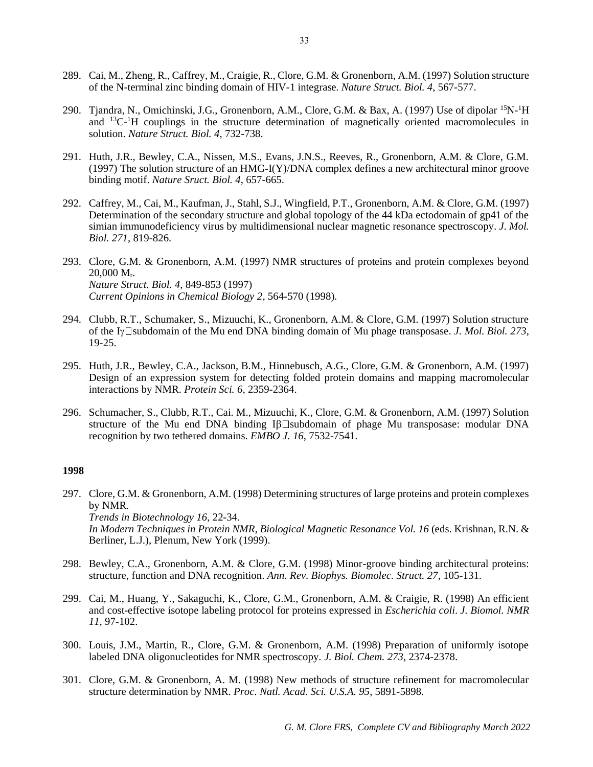- 289. Cai, M., Zheng, R., Caffrey, M., Craigie, R., Clore, G.M. & Gronenborn, A.M. (1997) Solution structure of the N-terminal zinc binding domain of HIV-1 integrase. *Nature Struct. Biol. 4*, 567-577.
- 290. Tjandra, N., Omichinski, J.G., Gronenborn, A.M., Clore, G.M. & Bax, A. (1997) Use of dipolar <sup>15</sup>N-<sup>1</sup>H and <sup>13</sup>C-<sup>1</sup>H couplings in the structure determination of magnetically oriented macromolecules in solution. *Nature Struct. Biol. 4*, 732-738.
- 291. Huth, J.R., Bewley, C.A., Nissen, M.S., Evans, J.N.S., Reeves, R., Gronenborn, A.M. & Clore, G.M. (1997) The solution structure of an HMG-I(Y)/DNA complex defines a new architectural minor groove binding motif. *Nature Sruct. Biol. 4*, 657-665.
- 292. Caffrey, M., Cai, M., Kaufman, J., Stahl, S.J., Wingfield, P.T., Gronenborn, A.M. & Clore, G.M. (1997) Determination of the secondary structure and global topology of the 44 kDa ectodomain of gp41 of the simian immunodeficiency virus by multidimensional nuclear magnetic resonance spectroscopy. *J. Mol. Biol. 271*, 819-826.
- 293. Clore, G.M. & Gronenborn, A.M. (1997) NMR structures of proteins and protein complexes beyond 20,000 Mr. *Nature Struct. Biol. 4*, 849-853 (1997) *Current Opinions in Chemical Biology 2*, 564-570 (1998).
- 294. Clubb, R.T., Schumaker, S., Mizuuchi, K., Gronenborn, A.M. & Clore, G.M. (1997) Solution structure of the I<sub>Y</sub> $\square$ subdomain of the Mu end DNA binding domain of Mu phage transposase. *J. Mol. Biol.* 273, 19-25.
- 295. Huth, J.R., Bewley, C.A., Jackson, B.M., Hinnebusch, A.G., Clore, G.M. & Gronenborn, A.M. (1997) Design of an expression system for detecting folded protein domains and mapping macromolecular interactions by NMR. *Protein Sci. 6*, 2359-2364.
- 296. Schumacher, S., Clubb, R.T., Cai. M., Mizuuchi, K., Clore, G.M. & Gronenborn, A.M. (1997) Solution structure of the Mu end DNA binding  $I\beta\Box$ subdomain of phage Mu transposase: modular DNA recognition by two tethered domains. *EMBO J. 16*, 7532-7541.

- 297. Clore, G.M. & Gronenborn, A.M. (1998) Determining structures of large proteins and protein complexes by NMR. *Trends in Biotechnology 16*, 22-34. *In Modern Techniques in Protein NMR*, *Biological Magnetic Resonance Vol. 16* (eds. Krishnan, R.N. & Berliner, L.J.), Plenum, New York (1999).
- 298. Bewley, C.A., Gronenborn, A.M. & Clore, G.M. (1998) Minor-groove binding architectural proteins: structure, function and DNA recognition. *Ann. Rev. Biophys. Biomolec. Struct. 27*, 105-131.
- 299. Cai, M., Huang, Y., Sakaguchi, K., Clore, G.M., Gronenborn, A.M. & Craigie, R. (1998) An efficient and cost-effective isotope labeling protocol for proteins expressed in *Escherichia coli*. *J. Biomol. NMR 11*, 97-102.
- 300. Louis, J.M., Martin, R., Clore, G.M. & Gronenborn, A.M. (1998) Preparation of uniformly isotope labeled DNA oligonucleotides for NMR spectroscopy. *J. Biol. Chem. 273*, 2374-2378.
- 301. Clore, G.M. & Gronenborn, A. M. (1998) New methods of structure refinement for macromolecular structure determination by NMR. *Proc. Natl. Acad. Sci. U.S.A. 95*, 5891-5898.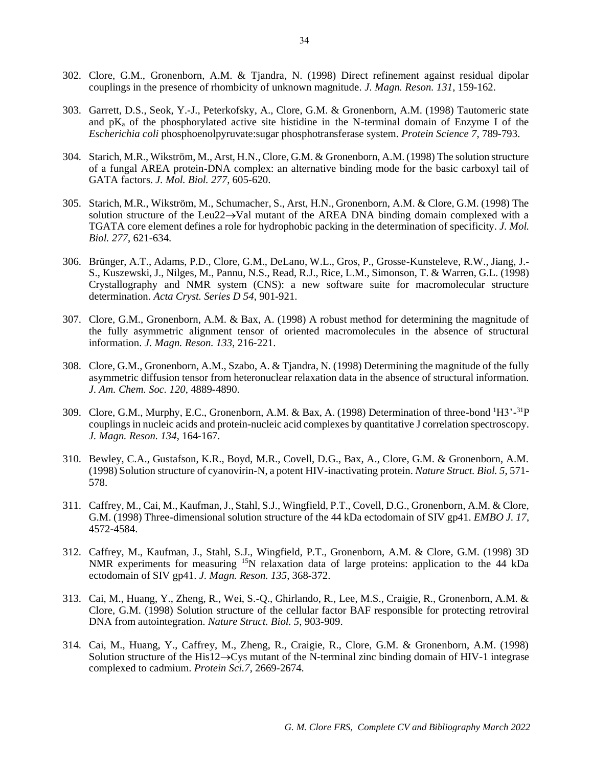- 302. Clore, G.M., Gronenborn, A.M. & Tjandra, N. (1998) Direct refinement against residual dipolar couplings in the presence of rhombicity of unknown magnitude. *J. Magn. Reson. 131*, 159-162.
- 303. Garrett, D.S., Seok, Y.-J., Peterkofsky, A., Clore, G.M. & Gronenborn, A.M. (1998) Tautomeric state and  $pK_a$  of the phosphorylated active site histidine in the N-terminal domain of Enzyme I of the *Escherichia coli* phosphoenolpyruvate:sugar phosphotransferase system. *Protein Science 7*, 789-793.
- 304. Starich, M.R., Wikström, M., Arst, H.N., Clore, G.M. & Gronenborn, A.M. (1998) The solution structure of a fungal AREA protein-DNA complex: an alternative binding mode for the basic carboxyl tail of GATA factors. *J. Mol. Biol. 277*, 605-620.
- 305. Starich, M.R., Wikström, M., Schumacher, S., Arst, H.N., Gronenborn, A.M. & Clore, G.M. (1998) The solution structure of the Leu22→Val mutant of the AREA DNA binding domain complexed with a TGATA core element defines a role for hydrophobic packing in the determination of specificity. *J. Mol. Biol. 277*, 621-634.
- 306. Brünger, A.T., Adams, P.D., Clore, G.M., DeLano, W.L., Gros, P., Grosse-Kunsteleve, R.W., Jiang, J.- S., Kuszewski, J., Nilges, M., Pannu, N.S., Read, R.J., Rice, L.M., Simonson, T. & Warren, G.L. (1998) Crystallography and NMR system (CNS): a new software suite for macromolecular structure determination. *Acta Cryst. Series D 54*, 901-921.
- 307. Clore, G.M., Gronenborn, A.M. & Bax, A. (1998) A robust method for determining the magnitude of the fully asymmetric alignment tensor of oriented macromolecules in the absence of structural information. *J. Magn. Reson. 133*, 216-221.
- 308. Clore, G.M., Gronenborn, A.M., Szabo, A. & Tjandra, N. (1998) Determining the magnitude of the fully asymmetric diffusion tensor from heteronuclear relaxation data in the absence of structural information. *J. Am. Chem. Soc. 120*, 4889-4890.
- 309. Clore, G.M., Murphy, E.C., Gronenborn, A.M. & Bax, A. (1998) Determination of three-bond <sup>1</sup>H3'-<sup>31</sup>P couplings in nucleic acids and protein-nucleic acid complexes by quantitative J correlation spectroscopy. *J. Magn. Reson. 134*, 164-167.
- 310. Bewley, C.A., Gustafson, K.R., Boyd, M.R., Covell, D.G., Bax, A., Clore, G.M. & Gronenborn, A.M. (1998) Solution structure of cyanovirin-N, a potent HIV-inactivating protein. *Nature Struct. Biol. 5*, 571- 578.
- 311. Caffrey, M., Cai, M., Kaufman, J., Stahl, S.J., Wingfield, P.T., Covell, D.G., Gronenborn, A.M. & Clore, G.M. (1998) Three-dimensional solution structure of the 44 kDa ectodomain of SIV gp41. *EMBO J. 17*, 4572-4584.
- 312. Caffrey, M., Kaufman, J., Stahl, S.J., Wingfield, P.T., Gronenborn, A.M. & Clore, G.M. (1998) 3D NMR experiments for measuring <sup>15</sup>N relaxation data of large proteins: application to the 44 kDa ectodomain of SIV gp41. *J. Magn. Reson. 135*, 368-372.
- 313. Cai, M., Huang, Y., Zheng, R., Wei, S.-Q., Ghirlando, R., Lee, M.S., Craigie, R., Gronenborn, A.M. & Clore, G.M. (1998) Solution structure of the cellular factor BAF responsible for protecting retroviral DNA from autointegration. *Nature Struct. Biol. 5*, 903-909.
- 314. Cai, M., Huang, Y., Caffrey, M., Zheng, R., Craigie, R., Clore, G.M. & Gronenborn, A.M. (1998) Solution structure of the His12→Cys mutant of the N-terminal zinc binding domain of HIV-1 integrase complexed to cadmium. *Protein Sci.7*, 2669-2674.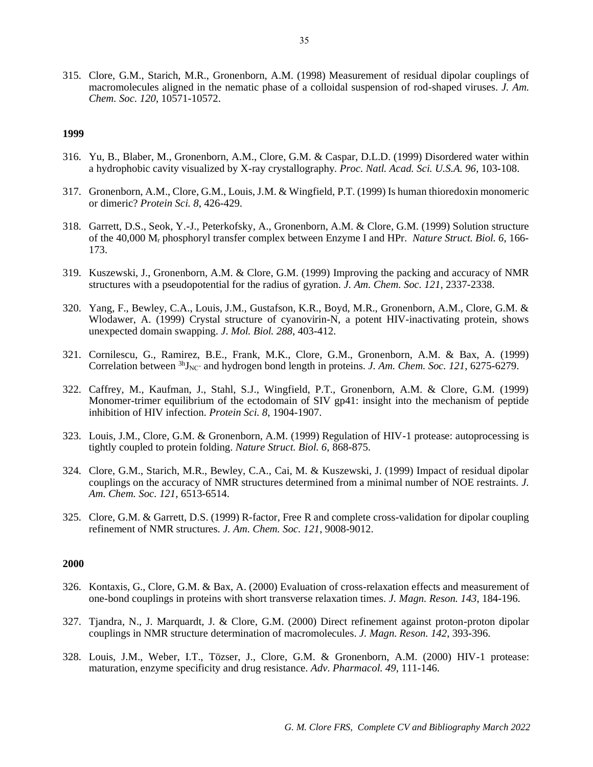315. Clore, G.M., Starich, M.R., Gronenborn, A.M. (1998) Measurement of residual dipolar couplings of macromolecules aligned in the nematic phase of a colloidal suspension of rod-shaped viruses. *J. Am. Chem. Soc. 120*, 10571-10572.

### **1999**

- 316. Yu, B., Blaber, M., Gronenborn, A.M., Clore, G.M. & Caspar, D.L.D. (1999) Disordered water within a hydrophobic cavity visualized by X-ray crystallography. *Proc. Natl. Acad. Sci. U.S.A. 96*, 103-108.
- 317. Gronenborn, A.M., Clore, G.M., Louis, J.M. & Wingfield, P.T. (1999) Is human thioredoxin monomeric or dimeric? *Protein Sci. 8*, 426-429.
- 318. Garrett, D.S., Seok, Y.-J., Peterkofsky, A., Gronenborn, A.M. & Clore, G.M. (1999) Solution structure of the 40,000 M<sup>r</sup> phosphoryl transfer complex between Enzyme I and HPr. *Nature Struct. Biol. 6*, 166- 173.
- 319. Kuszewski, J., Gronenborn, A.M. & Clore, G.M. (1999) Improving the packing and accuracy of NMR structures with a pseudopotential for the radius of gyration. *J. Am. Chem. Soc. 121*, 2337-2338.
- 320. Yang, F., Bewley, C.A., Louis, J.M., Gustafson, K.R., Boyd, M.R., Gronenborn, A.M., Clore, G.M. & Wlodawer, A. (1999) Crystal structure of cyanovirin-N, a potent HIV-inactivating protein, shows unexpected domain swapping. *J. Mol. Biol. 288*, 403-412.
- 321. Cornilescu, G., Ramirez, B.E., Frank, M.K., Clore, G.M., Gronenborn, A.M. & Bax, A. (1999) Correlation between  ${}^{3h}$ <sub>NC</sub>' and hydrogen bond length in proteins. *J. Am. Chem. Soc. 121*, 6275-6279.
- 322. Caffrey, M., Kaufman, J., Stahl, S.J., Wingfield, P.T., Gronenborn, A.M. & Clore, G.M. (1999) Monomer-trimer equilibrium of the ectodomain of SIV gp41: insight into the mechanism of peptide inhibition of HIV infection. *Protein Sci. 8*, 1904-1907.
- 323. Louis, J.M., Clore, G.M. & Gronenborn, A.M. (1999) Regulation of HIV-1 protease: autoprocessing is tightly coupled to protein folding. *Nature Struct. Biol. 6*, 868-875.
- 324. Clore, G.M., Starich, M.R., Bewley, C.A., Cai, M. & Kuszewski, J. (1999) Impact of residual dipolar couplings on the accuracy of NMR structures determined from a minimal number of NOE restraints. *J. Am. Chem. Soc. 121*, 6513-6514.
- 325. Clore, G.M. & Garrett, D.S. (1999) R-factor, Free R and complete cross-validation for dipolar coupling refinement of NMR structures. *J. Am. Chem. Soc. 121*, 9008-9012.

- 326. Kontaxis, G., Clore, G.M. & Bax, A. (2000) Evaluation of cross-relaxation effects and measurement of one-bond couplings in proteins with short transverse relaxation times. *J. Magn. Reson. 143*, 184-196.
- 327. Tjandra, N., J. Marquardt, J. & Clore, G.M. (2000) Direct refinement against proton-proton dipolar couplings in NMR structure determination of macromolecules. *J. Magn. Reson. 142*, 393-396.
- 328. Louis, J.M., Weber, I.T., Tözser, J., Clore, G.M. & Gronenborn, A.M. (2000) HIV-1 protease: maturation, enzyme specificity and drug resistance. *Adv. Pharmacol. 49*, 111-146.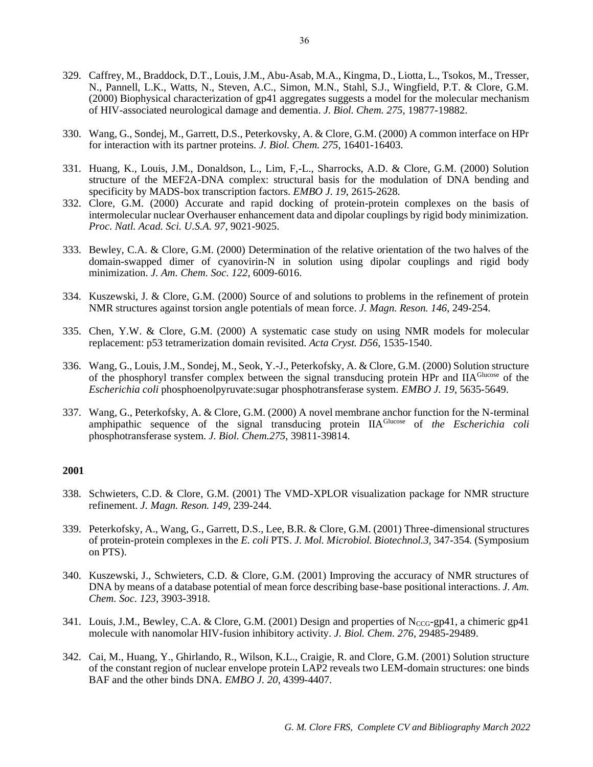- 329. Caffrey, M., Braddock, D.T., Louis, J.M., Abu-Asab, M.A., Kingma, D., Liotta, L., Tsokos, M., Tresser, N., Pannell, L.K., Watts, N., Steven, A.C., Simon, M.N., Stahl, S.J., Wingfield, P.T. & Clore, G.M. (2000) Biophysical characterization of gp41 aggregates suggests a model for the molecular mechanism of HIV-associated neurological damage and dementia. *J. Biol. Chem. 275*, 19877-19882.
- 330. Wang, G., Sondej, M., Garrett, D.S., Peterkovsky, A. & Clore, G.M. (2000) A common interface on HPr for interaction with its partner proteins. *J. Biol. Chem. 275*, 16401-16403.
- 331. Huang, K., Louis, J.M., Donaldson, L., Lim, F,-L., Sharrocks, A.D. & Clore, G.M. (2000) Solution structure of the MEF2A-DNA complex: structural basis for the modulation of DNA bending and specificity by MADS-box transcription factors. *EMBO J. 19*, 2615-2628.
- 332. Clore, G.M. (2000) Accurate and rapid docking of protein-protein complexes on the basis of intermolecular nuclear Overhauser enhancement data and dipolar couplings by rigid body minimization. *Proc. Natl. Acad. Sci. U.S.A. 97*, 9021-9025.
- 333. Bewley, C.A. & Clore, G.M. (2000) Determination of the relative orientation of the two halves of the domain-swapped dimer of cyanovirin-N in solution using dipolar couplings and rigid body minimization. *J. Am. Chem. Soc. 122*, 6009-6016.
- 334. Kuszewski, J. & Clore, G.M. (2000) Source of and solutions to problems in the refinement of protein NMR structures against torsion angle potentials of mean force. *J. Magn. Reson. 146*, 249-254.
- 335. Chen, Y.W. & Clore, G.M. (2000) A systematic case study on using NMR models for molecular replacement: p53 tetramerization domain revisited. *Acta Cryst. D56*, 1535-1540.
- 336. Wang, G., Louis, J.M., Sondej, M., Seok, Y.-J., Peterkofsky, A. & Clore, G.M. (2000) Solution structure of the phosphoryl transfer complex between the signal transducing protein HPr and IIA<sup>Glucose</sup> of the *Escherichia coli* phosphoenolpyruvate:sugar phosphotransferase system. *EMBO J. 19*, 5635-5649.
- 337. Wang, G., Peterkofsky, A. & Clore, G.M. (2000) A novel membrane anchor function for the N-terminal amphipathic sequence of the signal transducing protein IIAGlucose of *the Escherichia coli* phosphotransferase system. *J. Biol. Chem.275*, 39811-39814.

- 338. Schwieters, C.D. & Clore, G.M. (2001) The VMD-XPLOR visualization package for NMR structure refinement. *J. Magn. Reson. 149*, 239-244.
- 339. Peterkofsky, A., Wang, G., Garrett, D.S., Lee, B.R. & Clore, G.M. (2001) Three-dimensional structures of protein-protein complexes in the *E. coli* PTS. *J. Mol. Microbiol. Biotechnol.3,* 347-354*.* (Symposium on PTS).
- 340. Kuszewski, J., Schwieters, C.D. & Clore, G.M. (2001) Improving the accuracy of NMR structures of DNA by means of a database potential of mean force describing base-base positional interactions. *J. Am. Chem. Soc. 123*, 3903-3918.
- 341. Louis, J.M., Bewley, C.A. & Clore, G.M. (2001) Design and properties of  $N_{CCG-}$ gp41, a chimeric gp41 molecule with nanomolar HIV-fusion inhibitory activity. *J. Biol. Chem. 276*, 29485-29489.
- 342. Cai, M., Huang, Y., Ghirlando, R., Wilson, K.L., Craigie, R. and Clore, G.M. (2001) Solution structure of the constant region of nuclear envelope protein LAP2 reveals two LEM-domain structures: one binds BAF and the other binds DNA. *EMBO J. 20*, 4399-4407.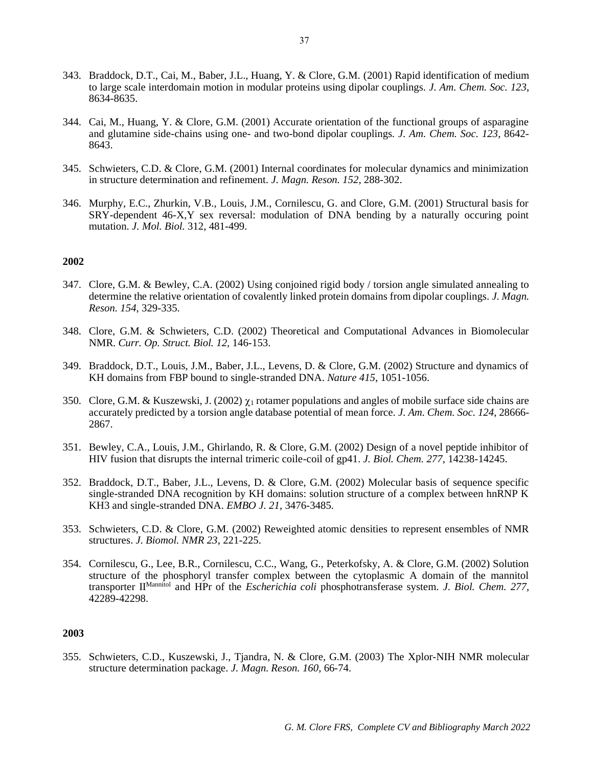- 343. Braddock, D.T., Cai, M., Baber, J.L., Huang, Y. & Clore, G.M. (2001) Rapid identification of medium to large scale interdomain motion in modular proteins using dipolar couplings*. J. Am. Chem. Soc. 123*, 8634-8635.
- 344. Cai, M., Huang, Y. & Clore, G.M. (2001) Accurate orientation of the functional groups of asparagine and glutamine side-chains using one- and two-bond dipolar couplings*. J. Am. Chem. Soc. 123*, 8642- 8643.
- 345. Schwieters, C.D. & Clore, G.M. (2001) Internal coordinates for molecular dynamics and minimization in structure determination and refinement. *J. Magn. Reson. 152*, 288-302.
- 346. Murphy, E.C., Zhurkin, V.B., Louis, J.M., Cornilescu, G. and Clore, G.M. (2001) Structural basis for SRY-dependent 46-X,Y sex reversal: modulation of DNA bending by a naturally occuring point mutation. *J. Mol. Biol.* 312, 481-499.

- 347. Clore, G.M. & Bewley, C.A. (2002) Using conjoined rigid body / torsion angle simulated annealing to determine the relative orientation of covalently linked protein domains from dipolar couplings. *J. Magn. Reson. 154*, 329-335.
- 348. Clore, G.M. & Schwieters, C.D. (2002) Theoretical and Computational Advances in Biomolecular NMR. *Curr. Op. Struct. Biol. 12,* 146-153.
- 349. Braddock, D.T., Louis, J.M., Baber, J.L., Levens, D. & Clore, G.M. (2002) Structure and dynamics of KH domains from FBP bound to single-stranded DNA. *Nature 415*, 1051-1056.
- 350. Clore, G.M. & Kuszewski, J. (2002)  $\chi_1$  rotamer populations and angles of mobile surface side chains are accurately predicted by a torsion angle database potential of mean force. *J. Am. Chem. Soc. 124*, 28666- 2867.
- 351. Bewley, C.A., Louis, J.M., Ghirlando, R. & Clore, G.M. (2002) Design of a novel peptide inhibitor of HIV fusion that disrupts the internal trimeric coile-coil of gp41. *J. Biol. Chem. 277*, 14238-14245.
- 352. Braddock, D.T., Baber, J.L., Levens, D. & Clore, G.M. (2002) Molecular basis of sequence specific single-stranded DNA recognition by KH domains: solution structure of a complex between hnRNP K KH3 and single-stranded DNA. *EMBO J. 21*, 3476-3485.
- 353. Schwieters, C.D. & Clore, G.M. (2002) Reweighted atomic densities to represent ensembles of NMR structures. *J. Biomol. NMR 23*, 221-225.
- 354. Cornilescu, G., Lee, B.R., Cornilescu, C.C., Wang, G., Peterkofsky, A. & Clore, G.M. (2002) Solution structure of the phosphoryl transfer complex between the cytoplasmic A domain of the mannitol transporter IIMannitol and HPr of the *Escherichia coli* phosphotransferase system. *J. Biol. Chem. 277*, 42289-42298.

## **2003**

355. Schwieters, C.D., Kuszewski, J., Tjandra, N. & Clore, G.M. (2003) The Xplor-NIH NMR molecular structure determination package. *J. Magn. Reson. 160*, 66-74.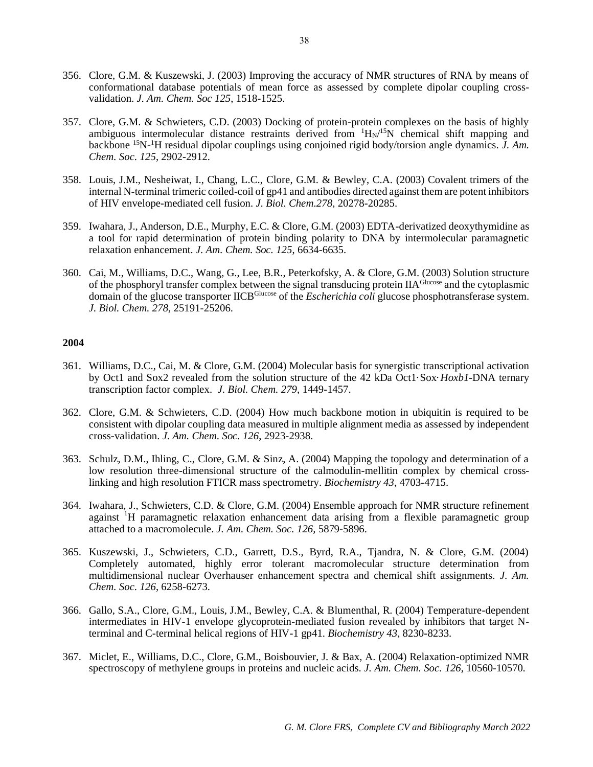- 356. Clore, G.M. & Kuszewski, J. (2003) Improving the accuracy of NMR structures of RNA by means of conformational database potentials of mean force as assessed by complete dipolar coupling crossvalidation. *J. Am. Chem. Soc 125*, 1518-1525.
- 357. Clore, G.M. & Schwieters, C.D. (2003) Docking of protein-protein complexes on the basis of highly ambiguous intermolecular distance restraints derived from  $H_N/^{15}N$  chemical shift mapping and backbone 15N-<sup>1</sup>H residual dipolar couplings using conjoined rigid body/torsion angle dynamics. *J. Am. Chem. Soc. 125*, 2902-2912.
- 358. Louis, J.M., Nesheiwat, I., Chang, L.C., Clore, G.M. & Bewley, C.A. (2003) Covalent trimers of the internal N-terminal trimeric coiled-coil of gp41 and antibodies directed against them are potent inhibitors of HIV envelope-mediated cell fusion. *J. Biol. Chem.278*, 20278-20285.
- 359. Iwahara, J., Anderson, D.E., Murphy, E.C. & Clore, G.M. (2003) EDTA-derivatized deoxythymidine as a tool for rapid determination of protein binding polarity to DNA by intermolecular paramagnetic relaxation enhancement. *J. Am. Chem. Soc. 125*, 6634-6635.
- 360. Cai, M., Williams, D.C., Wang, G., Lee, B.R., Peterkofsky, A. & Clore, G.M. (2003) Solution structure of the phosphoryl transfer complex between the signal transducing protein IIAGlucose and the cytoplasmic domain of the glucose transporter IICBGlucose of the *Escherichia coli* glucose phosphotransferase system. *J. Biol. Chem. 278,* 25191-25206.

- 361. Williams, D.C., Cai, M. & Clore, G.M. (2004) Molecular basis for synergistic transcriptional activation by Oct1 and Sox2 revealed from the solution structure of the 42 kDa Oct1·Sox·*Hoxb1*-DNA ternary transcription factor complex. *J. Biol. Chem. 279*, 1449-1457.
- 362. Clore, G.M. & Schwieters, C.D. (2004) How much backbone motion in ubiquitin is required to be consistent with dipolar coupling data measured in multiple alignment media as assessed by independent cross-validation. *J. Am. Chem. Soc. 126*, 2923-2938.
- 363. Schulz, D.M., Ihling, C., Clore, G.M. & Sinz, A. (2004) Mapping the topology and determination of a low resolution three-dimensional structure of the calmodulin-mellitin complex by chemical crosslinking and high resolution FTICR mass spectrometry. *Biochemistry 43*, 4703-4715.
- 364. Iwahara, J., Schwieters, C.D. & Clore, G.M. (2004) Ensemble approach for NMR structure refinement against <sup>1</sup>H paramagnetic relaxation enhancement data arising from a flexible paramagnetic group attached to a macromolecule. *J. Am. Chem. Soc. 126,* 5879-5896.
- 365. Kuszewski, J., Schwieters, C.D., Garrett, D.S., Byrd, R.A., Tjandra, N. & Clore, G.M. (2004) Completely automated, highly error tolerant macromolecular structure determination from multidimensional nuclear Overhauser enhancement spectra and chemical shift assignments. *J. Am. Chem. Soc. 126*, 6258-6273.
- 366. Gallo, S.A., Clore, G.M., Louis, J.M., Bewley, C.A. & Blumenthal, R. (2004) Temperature-dependent intermediates in HIV-1 envelope glycoprotein-mediated fusion revealed by inhibitors that target Nterminal and C-terminal helical regions of HIV-1 gp41. *Biochemistry 43*, 8230-8233.
- 367. Miclet, E., Williams, D.C., Clore, G.M., Boisbouvier, J. & Bax, A. (2004) Relaxation-optimized NMR spectroscopy of methylene groups in proteins and nucleic acids. *J. Am. Chem. Soc. 126,* 10560-10570*.*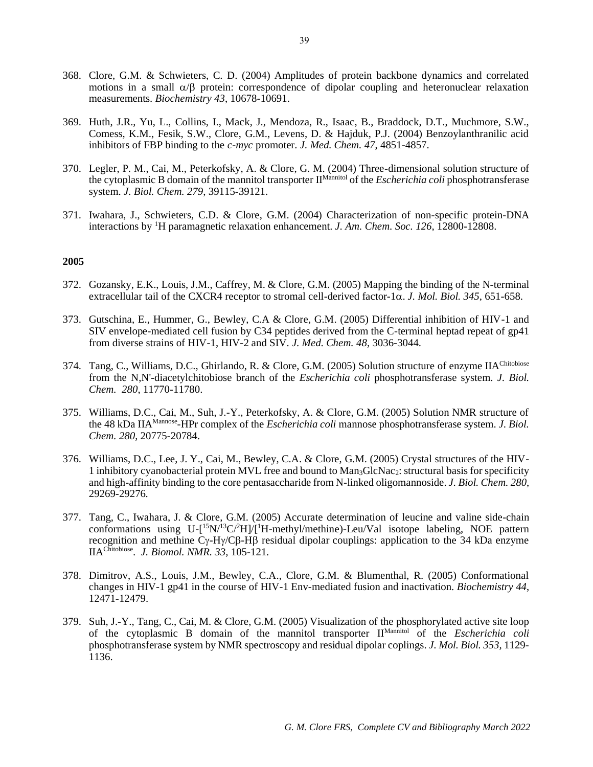- 368. Clore, G.M. & Schwieters, C. D. (2004) Amplitudes of protein backbone dynamics and correlated motions in a small  $\alpha/\beta$  protein: correspondence of dipolar coupling and heteronuclear relaxation measurements. *Biochemistry 43*, 10678-10691.
- 369. Huth, J.R., Yu, L., Collins, I., Mack, J., Mendoza, R., Isaac, B., Braddock, D.T., Muchmore, S.W., Comess, K.M., Fesik, S.W., Clore, G.M., Levens, D. & Hajduk, P.J. (2004) Benzoylanthranilic acid inhibitors of FBP binding to the *c-myc* promoter. *J. Med. Chem. 47*, 4851-4857.
- 370. Legler, P. M., Cai, M., Peterkofsky, A. & Clore, G. M. (2004) Three-dimensional solution structure of the cytoplasmic B domain of the mannitol transporter IIMannitol of the *Escherichia coli* phosphotransferase system. *J. Biol. Chem. 279*, 39115-39121.
- 371. Iwahara, J., Schwieters, C.D. & Clore, G.M. (2004) Characterization of non-specific protein-DNA interactions by <sup>1</sup>H paramagnetic relaxation enhancement. *J. Am. Chem. Soc. 126*, 12800-12808.

- 372. Gozansky, E.K., Louis, J.M., Caffrey, M. & Clore, G.M. (2005) Mapping the binding of the N-terminal extracellular tail of the CXCR4 receptor to stromal cell-derived factor-1 $\alpha$ . *J. Mol. Biol. 345*, 651-658.
- 373. Gutschina, E., Hummer, G., Bewley, C.A & Clore, G.M. (2005) Differential inhibition of HIV-1 and SIV envelope-mediated cell fusion by C34 peptides derived from the C-terminal heptad repeat of gp41 from diverse strains of HIV-1, HIV-2 and SIV. *J. Med. Chem. 48*, 3036-3044.
- 374. Tang, C., Williams, D.C., Ghirlando, R. & Clore, G.M. (2005) Solution structure of enzyme IIAChitobiose from the N,N'-diacetylchitobiose branch of the *Escherichia coli* phosphotransferase system. *J. Biol. Chem. 280*, 11770-11780.
- 375. Williams, D.C., Cai, M., Suh, J.-Y., Peterkofsky, A. & Clore, G.M. (2005) Solution NMR structure of the 48 kDa IIA<sup>Mannose</sup>-HPr complex of the *Escherichia coli* mannose phosphotransferase system. *J. Biol. Chem. 280*, 20775-20784.
- 376. Williams, D.C., Lee, J. Y., Cai, M., Bewley, C.A. & Clore, G.M. (2005) Crystal structures of the HIV-1 inhibitory cyanobacterial protein MVL free and bound to Man3GlcNac2: structural basis for specificity and high-affinity binding to the core pentasaccharide from N-linked oligomannoside. *J. Biol. Chem. 280*, 29269-29276*.*
- 377. Tang, C., Iwahara, J. & Clore, G.M. (2005) Accurate determination of leucine and valine side-chain conformations using  $U-[^{15}N/^{13}C/^{2}H]/[^{1}H$ -methyl/methine)-Leu/Val isotope labeling, NOE pattern recognition and methine  $C_V-H\gamma/C\beta-H\beta$  residual dipolar couplings: application to the 34 kDa enzyme IIAChitobiose . *J. Biomol. NMR. 33,* 105-121*.*
- 378. Dimitrov, A.S., Louis, J.M., Bewley, C.A., Clore, G.M. & Blumenthal, R. (2005) Conformational changes in HIV-1 gp41 in the course of HIV-1 Env-mediated fusion and inactivation. *Biochemistry 44*, 12471-12479.
- 379. Suh, J.-Y., Tang, C., Cai, M. & Clore, G.M. (2005) Visualization of the phosphorylated active site loop of the cytoplasmic B domain of the mannitol transporter IIMannitol of the *Escherichia coli*  phosphotransferase system by NMR spectroscopy and residual dipolar coplings. *J. Mol. Biol. 353,* 1129- 1136.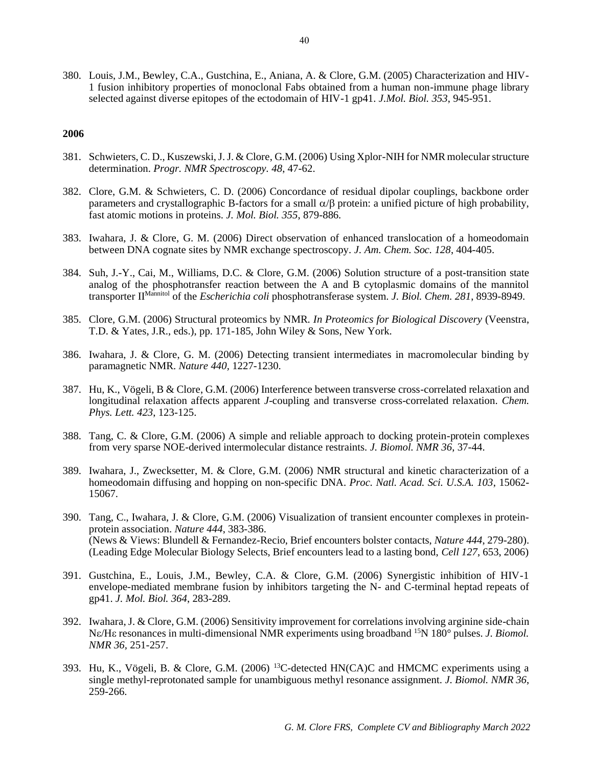380. Louis, J.M., Bewley, C.A., Gustchina, E., Aniana, A. & Clore, G.M. (2005) Characterization and HIV-1 fusion inhibitory properties of monoclonal Fabs obtained from a human non-immune phage library selected against diverse epitopes of the ectodomain of HIV-1 gp41. *J.Mol. Biol. 353*, 945-951.

- 381. Schwieters, C. D., Kuszewski, J. J. & Clore, G.M. (2006) Using Xplor-NIH for NMR molecular structure determination. *Progr. NMR Spectroscopy. 48*, 47-62.
- 382. Clore, G.M. & Schwieters, C. D. (2006) Concordance of residual dipolar couplings, backbone order parameters and crystallographic B-factors for a small  $\alpha/\beta$  protein: a unified picture of high probability, fast atomic motions in proteins. *J. Mol. Biol. 355*, 879-886.
- 383. Iwahara, J. & Clore, G. M. (2006) Direct observation of enhanced translocation of a homeodomain between DNA cognate sites by NMR exchange spectroscopy. *J. Am. Chem. Soc. 128*, 404-405.
- 384. Suh, J.-Y., Cai, M., Williams, D.C. & Clore, G.M. (2006) Solution structure of a post-transition state analog of the phosphotransfer reaction between the A and B cytoplasmic domains of the mannitol transporter II<sup>Mannitol</sup> of the *Escherichia coli* phosphotransferase system. *J. Biol. Chem.* 281, 8939-8949.
- 385. Clore, G.M. (2006) Structural proteomics by NMR. *In Proteomics for Biological Discovery* (Veenstra, T.D. & Yates, J.R., eds.), pp. 171-185, John Wiley & Sons, New York*.*
- 386. Iwahara, J. & Clore, G. M. (2006) Detecting transient intermediates in macromolecular binding by paramagnetic NMR. *Nature 440,* 1227-1230.
- 387. Hu, K., Vögeli, B & Clore, G.M. (2006) Interference between transverse cross-correlated relaxation and longitudinal relaxation affects apparent *J*-coupling and transverse cross-correlated relaxation. *Chem. Phys. Lett. 423*, 123-125.
- 388. Tang, C. & Clore, G.M. (2006) A simple and reliable approach to docking protein-protein complexes from very sparse NOE-derived intermolecular distance restraints. *J. Biomol. NMR 36*, 37-44.
- 389. Iwahara, J., Zwecksetter, M. & Clore, G.M. (2006) NMR structural and kinetic characterization of a homeodomain diffusing and hopping on non-specific DNA. *Proc. Natl. Acad. Sci. U.S.A. 103*, 15062- 15067.
- 390. Tang, C., Iwahara, J. & Clore, G.M. (2006) Visualization of transient encounter complexes in proteinprotein association. *Nature 444*, 383-386. (News & Views: Blundell & Fernandez-Recio, Brief encounters bolster contacts, *Nature 444*, 279-280). (Leading Edge Molecular Biology Selects, Brief encounters lead to a lasting bond, *Cell 127*, 653, 2006)
- 391. Gustchina, E., Louis, J.M., Bewley, C.A. & Clore, G.M. (2006) Synergistic inhibition of HIV-1 envelope-mediated membrane fusion by inhibitors targeting the N- and C-terminal heptad repeats of gp41. *J. Mol. Biol. 364*, 283-289.
- 392. Iwahara, J. & Clore, G.M. (2006) Sensitivity improvement for correlations involving arginine side-chain N $\varepsilon$ /H $\varepsilon$  resonances in multi-dimensional NMR experiments using broadband <sup>15</sup>N 180° pulses. *J. Biomol. NMR 36,* 251-257.
- 393. Hu, K., Vögeli, B. & Clore, G.M. (2006) <sup>13</sup>C-detected HN(CA)C and HMCMC experiments using a single methyl-reprotonated sample for unambiguous methyl resonance assignment. *J. Biomol. NMR 36*, 259-266.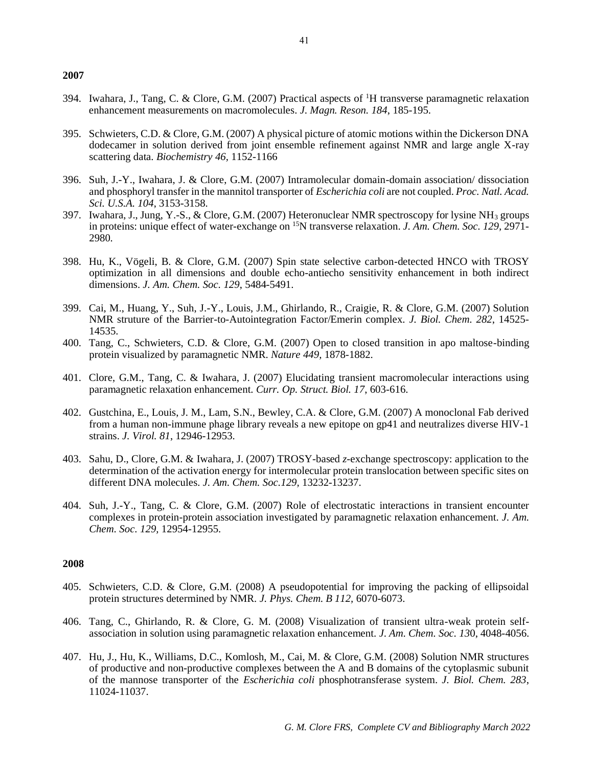- 394. Iwahara, J., Tang, C. & Clore, G.M. (2007) Practical aspects of <sup>1</sup>H transverse paramagnetic relaxation enhancement measurements on macromolecules. *J. Magn. Reson. 184*, 185-195.
- 395. Schwieters, C.D. & Clore, G.M. (2007) A physical picture of atomic motions within the Dickerson DNA dodecamer in solution derived from joint ensemble refinement against NMR and large angle X-ray scattering data. *Biochemistry 46,* 1152-1166
- 396. Suh, J.-Y., Iwahara, J. & Clore, G.M. (2007) Intramolecular domain-domain association/ dissociation and phosphoryl transfer in the mannitol transporter of *Escherichia coli* are not coupled. *Proc. Natl. Acad. Sci. U.S.A. 104*, 3153-3158.
- 397. Iwahara, J., Jung, Y.-S., & Clore, G.M. (2007) Heteronuclear NMR spectroscopy for lysine NH<sub>3</sub> groups in proteins: unique effect of water-exchange on <sup>15</sup>N transverse relaxation. *J. Am. Chem. Soc. 129,* 2971- 2980*.*
- 398. Hu, K., Vögeli, B. & Clore, G.M. (2007) Spin state selective carbon-detected HNCO with TROSY optimization in all dimensions and double echo-antiecho sensitivity enhancement in both indirect dimensions. *J. Am. Chem. Soc. 129*, 5484-5491.
- 399. Cai, M., Huang, Y., Suh, J.-Y., Louis, J.M., Ghirlando, R., Craigie, R. & Clore, G.M. (2007) Solution NMR struture of the Barrier-to-Autointegration Factor/Emerin complex. *J. Biol. Chem. 282*, 14525- 14535.
- 400. Tang, C., Schwieters, C.D. & Clore, G.M. (2007) Open to closed transition in apo maltose-binding protein visualized by paramagnetic NMR. *Nature 449,* 1878-1882.
- 401. Clore, G.M., Tang, C. & Iwahara, J. (2007) Elucidating transient macromolecular interactions using paramagnetic relaxation enhancement. *Curr. Op. Struct. Biol. 17*, 603-616.
- 402. Gustchina, E., Louis, J. M., Lam, S.N., Bewley, C.A. & Clore, G.M. (2007) A monoclonal Fab derived from a human non-immune phage library reveals a new epitope on gp41 and neutralizes diverse HIV-1 strains. *J. Virol. 81*, 12946-12953.
- 403. Sahu, D., Clore, G.M. & Iwahara, J. (2007) TROSY-based *z*-exchange spectroscopy: application to the determination of the activation energy for intermolecular protein translocation between specific sites on different DNA molecules. *J. Am. Chem. Soc.129,* 13232-13237.
- 404. Suh, J.-Y., Tang, C. & Clore, G.M. (2007) Role of electrostatic interactions in transient encounter complexes in protein-protein association investigated by paramagnetic relaxation enhancement. *J. Am. Chem. Soc. 129,* 12954-12955.

- 405. Schwieters, C.D. & Clore, G.M. (2008) A pseudopotential for improving the packing of ellipsoidal protein structures determined by NMR. *J. Phys. Chem. B 112,* 6070-6073.
- 406. Tang, C., Ghirlando, R. & Clore, G. M. (2008) Visualization of transient ultra-weak protein selfassociation in solution using paramagnetic relaxation enhancement. *J. Am. Chem. Soc. 13*0, 4048-4056.
- 407. Hu, J., Hu, K., Williams, D.C., Komlosh, M., Cai, M. & Clore, G.M. (2008) Solution NMR structures of productive and non-productive complexes between the A and B domains of the cytoplasmic subunit of the mannose transporter of the *Escherichia coli* phosphotransferase system. *J. Biol. Chem. 283*, 11024-11037.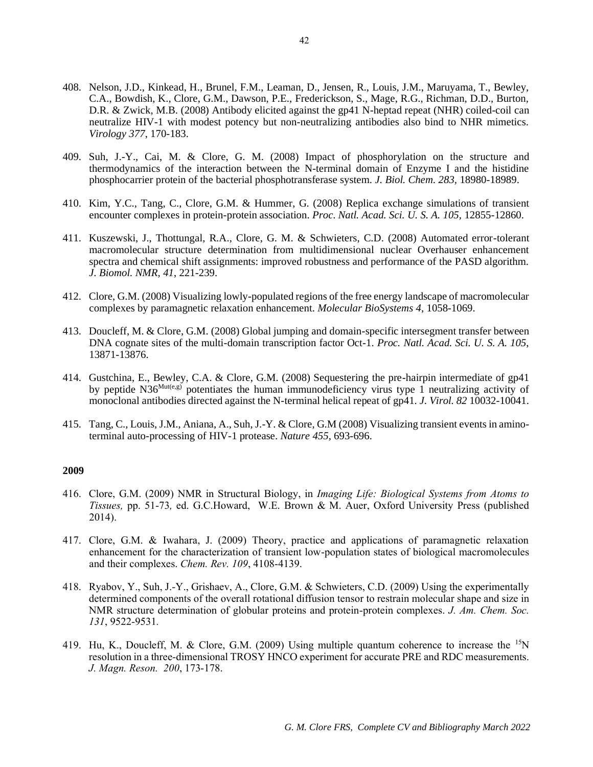- 408. Nelson, J.D., Kinkead, H., Brunel, F.M., Leaman, D., Jensen, R., Louis, J.M., Maruyama, T., Bewley, C.A., Bowdish, K., Clore, G.M., Dawson, P.E., Frederickson, S., Mage, R.G., Richman, D.D., Burton, D.R. & Zwick, M.B. (2008) Antibody elicited against the gp41 N-heptad repeat (NHR) coiled-coil can neutralize HIV-1 with modest potency but non-neutralizing antibodies also bind to NHR mimetics. *Virology 377*, 170-183.
- 409. Suh, J.-Y., Cai, M. & Clore, G. M. (2008) Impact of phosphorylation on the structure and thermodynamics of the interaction between the N-terminal domain of Enzyme I and the histidine phosphocarrier protein of the bacterial phosphotransferase system. *J. Biol. Chem. 283,* 18980-18989.
- 410. Kim, Y.C., Tang, C., Clore, G.M. & Hummer, G. (2008) Replica exchange simulations of transient encounter complexes in protein-protein association. *Proc. Natl. Acad. Sci. U. S. A. 105,* 12855-12860.
- 411. Kuszewski, J., Thottungal, R.A., Clore, G. M. & Schwieters, C.D. (2008) Automated error-tolerant macromolecular structure determination from multidimensional nuclear Overhauser enhancement spectra and chemical shift assignments: improved robustness and performance of the PASD algorithm. *J. Biomol. NMR, 41*, 221-239.
- 412. Clore, G.M. (2008) Visualizing lowly-populated regions of the free energy landscape of macromolecular complexes by paramagnetic relaxation enhancement. *Molecular BioSystems 4,* 1058-1069.
- 413. Doucleff, M. & Clore, G.M. (2008) Global jumping and domain-specific intersegment transfer between DNA cognate sites of the multi-domain transcription factor Oct-1. *Proc. Natl. Acad. Sci. U. S. A. 105,* 13871-13876.
- 414. Gustchina, E., Bewley, C.A. & Clore, G.M. (2008) Sequestering the pre-hairpin intermediate of gp41 by peptide  $N36^{Mut(e,g)}$  potentiates the human immunodeficiency virus type 1 neutralizing activity of monoclonal antibodies directed against the N-terminal helical repeat of gp41. *J. Virol. 82* 10032-10041.
- 415. Tang, C., Louis, J.M., Aniana, A., Suh, J.-Y. & Clore, G.M (2008) Visualizing transient events in aminoterminal auto-processing of HIV-1 protease. *Nature 455,* 693-696.

- 416. Clore, G.M. (2009) NMR in Structural Biology, in *Imaging Life: Biological Systems from Atoms to Tissues,* pp. 51-73*,* ed. G.C.Howard, W.E. Brown & M. Auer, Oxford University Press (published 2014).
- 417. Clore, G.M. & Iwahara, J. (2009) Theory, practice and applications of paramagnetic relaxation enhancement for the characterization of transient low-population states of biological macromolecules and their complexes. *Chem. Rev. 109*, 4108-4139.
- 418. Ryabov, Y., Suh, J.-Y., Grishaev, A., Clore, G.M. & Schwieters, C.D. (2009) Using the experimentally determined components of the overall rotational diffusion tensor to restrain molecular shape and size in NMR structure determination of globular proteins and protein-protein complexes. *J. Am. Chem. Soc. 131*, 9522-9531*.*
- 419. Hu, K., Doucleff, M. & Clore, G.M. (2009) Using multiple quantum coherence to increase the <sup>15</sup>N resolution in a three-dimensional TROSY HNCO experiment for accurate PRE and RDC measurements. *J. Magn. Reson. 200*, 173-178.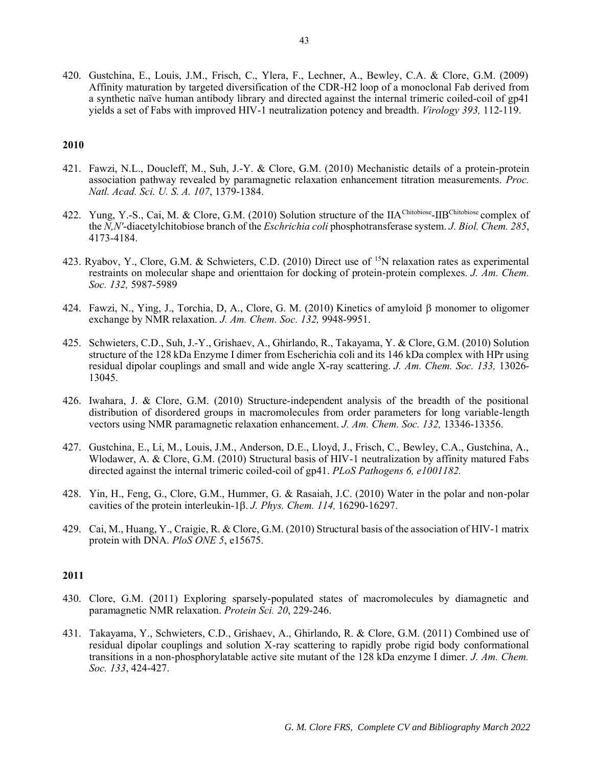420. Gustchina, E., Louis, J.M., Frisch, C., Ylera, F., Lechner, A., Bewley, C.A. & Clore, G.M. (2009) Affinity maturation by targeted diversification of the CDR-H2 loop of a monoclonal Fab derived from a synthetic naïve human antibody library and directed against the internal trimeric coiled-coil of gp41 yields a set of Fabs with improved HIV-1 neutralization potency and breadth. *Virology 393,* 112-119.

### **2010**

- 421. Fawzi, N.L., Doucleff, M., Suh, J.-Y. & Clore, G.M. (2010) Mechanistic details of a protein-protein association pathway revealed by paramagnetic relaxation enhancement titration measurements. *Proc. Natl. Acad. Sci. U. S. A. 107*, 1379-1384.
- 422. Yung, Y.-S., Cai, M. & Clore, G.M. (2010) Solution structure of the IIA<sup>Chitobiose</sup>-IIB<sup>Chitobiose</sup> complex of the *N,N'*-diacetylchitobiose branch of the *Eschrichia coli* phosphotransferase system. *J. Biol. Chem. 285*, 4173-4184.
- 423. Ryabov, Y., Clore, G.M. & Schwieters, C.D. (2010) Direct use of <sup>15</sup>N relaxation rates as experimental restraints on molecular shape and orienttaion for docking of protein-protein complexes. *J. Am. Chem. Soc. 132,* 5987-5989
- 424. Fawzi, N., Ying, J., Torchia, D. A., Clore, G. M. (2010) Kinetics of amyloid  $\beta$  monomer to oligomer exchange by NMR relaxation. *J. Am. Chem. Soc. 132,* 9948-9951.
- 425. Schwieters, C.D., Suh, J.-Y., Grishaev, A., Ghirlando, R., Takayama, Y. & Clore, G.M. (2010) Solution structure of the 128 kDa Enzyme I dimer from Escherichia coli and its 146 kDa complex with HPr using residual dipolar couplings and small and wide angle X-ray scattering. *J. Am. Chem. Soc. 133,* 13026- 13045.
- 426. Iwahara, J. & Clore, G.M. (2010) Structure-independent analysis of the breadth of the positional distribution of disordered groups in macromolecules from order parameters for long variable-length vectors using NMR paramagnetic relaxation enhancement. *J. Am. Chem. Soc. 132,* 13346-13356.
- 427. Gustchina, E., Li, M., Louis, J.M., Anderson, D.E., Lloyd, J., Frisch, C., Bewley, C.A., Gustchina, A., Wlodawer, A. & Clore, G.M. (2010) Structural basis of HIV-1 neutralization by affinity matured Fabs directed against the internal trimeric coiled-coil of gp41. *PLoS Pathogens 6, e1001182.*
- 428. Yin, H., Feng, G., Clore, G.M., Hummer, G. & Rasaiah, J.C. (2010) Water in the polar and non-polar cavities of the protein interleukin-1 $\beta$ . *J. Phys. Chem. 114*, 16290-16297.
- 429. Cai, M., Huang, Y., Craigie, R. & Clore, G.M. (2010) Structural basis of the association of HIV-1 matrix protein with DNA. *PloS ONE 5*, e15675.

- 430. Clore, G.M. (2011) Exploring sparsely-populated states of macromolecules by diamagnetic and paramagnetic NMR relaxation. *Protein Sci. 20*, 229-246.
- 431. Takayama, Y., Schwieters, C.D., Grishaev, A., Ghirlando, R. & Clore, G.M. (2011) Combined use of residual dipolar couplings and solution X-ray scattering to rapidly probe rigid body conformational transitions in a non-phosphorylatable active site mutant of the 128 kDa enzyme I dimer. *J. Am. Chem. Soc. 133*, 424-427.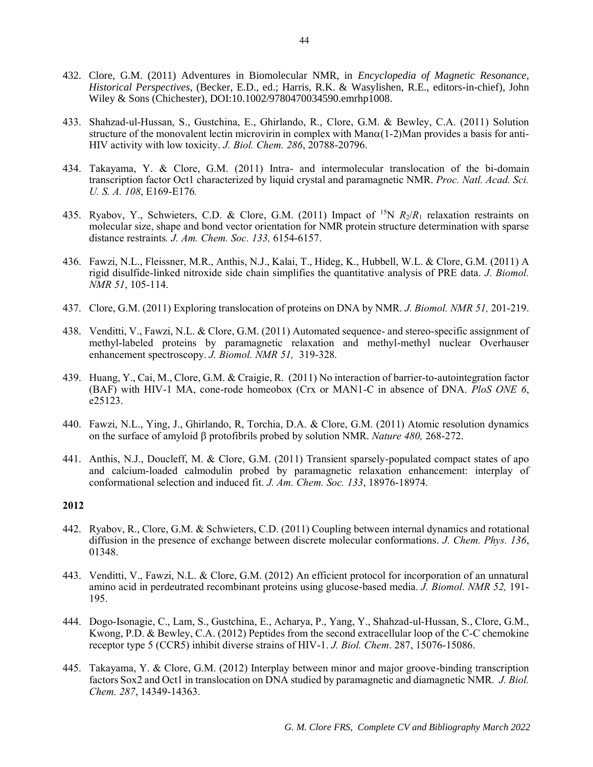- 432. Clore, G.M. (2011) Adventures in Biomolecular NMR, in *Encyclopedia of Magnetic Resonance, Historical Perspectives*, (Becker, E.D., ed.; Harris, R.K. & Wasylishen, R.E., editors-in-chief), John Wiley & Sons (Chichester), DOI:10.1002/9780470034590.emrhp1008.
- 433. Shahzad-ul-Hussan, S., Gustchina, E., Ghirlando, R., Clore, G.M. & Bewley, C.A. (2011) Solution structure of the monovalent lectin microvirin in complex with  ${\rm Man}\alpha(1-2)$ Man provides a basis for anti-HIV activity with low toxicity. *J. Biol. Chem. 286*, 20788-20796.
- 434. Takayama, Y. & Clore, G.M. (2011) Intra- and intermolecular translocation of the bi-domain transcription factor Oct1 characterized by liquid crystal and paramagnetic NMR. *Proc. Natl. Acad. Sci. U. S. A. 108*, E169-E176*.*
- 435. Ryabov, Y., Schwieters, C.D. & Clore, G.M. (2011) Impact of <sup>15</sup>N  $R_2/R_1$  relaxation restraints on molecular size, shape and bond vector orientation for NMR protein structure determination with sparse distance restraints*. J. Am. Chem. Soc. 133,* 6154-6157.
- 436. Fawzi, N.L., Fleissner, M.R., Anthis, N.J., Kalai, T., Hideg, K., Hubbell, W.L. & Clore, G.M. (2011) A rigid disulfide-linked nitroxide side chain simplifies the quantitative analysis of PRE data. *J. Biomol. NMR 51*, 105-114.
- 437. Clore, G.M. (2011) Exploring translocation of proteins on DNA by NMR. *J. Biomol. NMR 51,* 201-219.
- 438. Venditti, V., Fawzi, N.L. & Clore, G.M. (2011) Automated sequence- and stereo-specific assignment of methyl-labeled proteins by paramagnetic relaxation and methyl-methyl nuclear Overhauser enhancement spectroscopy. *J. Biomol. NMR 51,* 319-328.
- 439. Huang, Y., Cai, M., Clore, G.M. & Craigie, R. (2011) No interaction of barrier-to-autointegration factor (BAF) with HIV-1 MA, cone-rode homeobox (Crx or MAN1-C in absence of DNA. *PloS ONE 6*, e25123.
- 440. Fawzi, N.L., Ying, J., Ghirlando, R, Torchia, D.A. & Clore, G.M. (2011) Atomic resolution dynamics on the surface of amyloid protofibrils probed by solution NMR. *Nature 480,* 268-272.
- 441. Anthis, N.J., Doucleff, M. & Clore, G.M. (2011) Transient sparsely-populated compact states of apo and calcium-loaded calmodulin probed by paramagnetic relaxation enhancement: interplay of conformational selection and induced fit. *J. Am. Chem. Soc. 133*, 18976-18974.

- 442. Ryabov, R., Clore, G.M. & Schwieters, C.D. (2011) Coupling between internal dynamics and rotational diffusion in the presence of exchange between discrete molecular conformations. *J. Chem. Phys. 136*, 01348.
- 443. Venditti, V., Fawzi, N.L. & Clore, G.M. (2012) An efficient protocol for incorporation of an unnatural amino acid in perdeutrated recombinant proteins using glucose-based media. *J. Biomol. NMR 52,* 191- 195.
- 444. Dogo-Isonagie, C., Lam, S., Gustchina, E., Acharya, P., Yang, Y., Shahzad-ul-Hussan, S., Clore, G.M., Kwong, P.D. & Bewley, C.A. (2012) Peptides from the second extracellular loop of the C-C chemokine receptor type 5 (CCR5) inhibit diverse strains of HIV-1. *J. Biol. Chem*. 287, 15076-15086.
- 445. Takayama, Y. & Clore, G.M. (2012) Interplay between minor and major groove-binding transcription factors Sox2 and Oct1 in translocation on DNA studied by paramagnetic and diamagnetic NMR. *J. Biol. Chem. 287*, 14349-14363.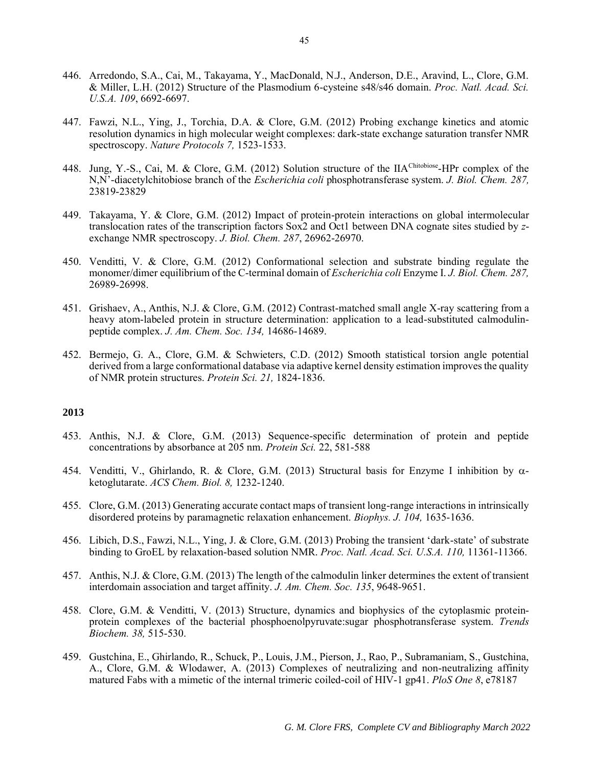- 446. Arredondo, S.A., Cai, M., Takayama, Y., MacDonald, N.J., Anderson, D.E., Aravind, L., Clore, G.M. & Miller, L.H. (2012) Structure of the Plasmodium 6-cysteine s48/s46 domain. *Proc. Natl. Acad. Sci. U.S.A. 109*, 6692-6697.
- 447. Fawzi, N.L., Ying, J., Torchia, D.A. & Clore, G.M. (2012) Probing exchange kinetics and atomic resolution dynamics in high molecular weight complexes: dark-state exchange saturation transfer NMR spectroscopy. *Nature Protocols 7,* 1523-1533.
- 448. Jung, Y.-S., Cai, M. & Clore, G.M. (2012) Solution structure of the IIA<sup>Chitobiose</sup>-HPr complex of the N,N'-diacetylchitobiose branch of the *Escherichia coli* phosphotransferase system. *J. Biol. Chem. 287,*  23819-23829
- 449. Takayama, Y. & Clore, G.M. (2012) Impact of protein-protein interactions on global intermolecular translocation rates of the transcription factors Sox2 and Oct1 between DNA cognate sites studied by *z*exchange NMR spectroscopy. *J. Biol. Chem. 287*, 26962-26970.
- 450. Venditti, V. & Clore, G.M. (2012) Conformational selection and substrate binding regulate the monomer/dimer equilibrium of the C-terminal domain of *Escherichia coli* Enzyme I. *J. Biol. Chem. 287,*  26989-26998.
- 451. Grishaev, A., Anthis, N.J. & Clore, G.M. (2012) Contrast-matched small angle X-ray scattering from a heavy atom-labeled protein in structure determination: application to a lead-substituted calmodulinpeptide complex. *J. Am. Chem. Soc. 134,* 14686-14689.
- 452. Bermejo, G. A., Clore, G.M. & Schwieters, C.D. (2012) Smooth statistical torsion angle potential derived from a large conformational database via adaptive kernel density estimation improves the quality of NMR protein structures. *Protein Sci. 21,* 1824-1836.

- 453. Anthis, N.J. & Clore, G.M. (2013) Sequence-specific determination of protein and peptide concentrations by absorbance at 205 nm. *Protein Sci.* 22, 581-588
- 454. Venditti, V., Ghirlando, R. & Clore, G.M. (2013) Structural basis for Enzyme I inhibition by  $\alpha$ ketoglutarate. *ACS Chem. Biol. 8,* 1232-1240.
- 455. Clore, G.M. (2013) Generating accurate contact maps of transient long-range interactions in intrinsically disordered proteins by paramagnetic relaxation enhancement. *Biophys. J. 104,* 1635-1636.
- 456. Libich, D.S., Fawzi, N.L., Ying, J. & Clore, G.M. (2013) Probing the transient 'dark-state' of substrate binding to GroEL by relaxation-based solution NMR. *Proc. Natl. Acad. Sci. U.S.A. 110,* 11361-11366.
- 457. Anthis, N.J. & Clore, G.M. (2013) The length of the calmodulin linker determines the extent of transient interdomain association and target affinity. *J. Am. Chem. Soc. 135*, 9648-9651.
- 458. Clore, G.M. & Venditti, V. (2013) Structure, dynamics and biophysics of the cytoplasmic proteinprotein complexes of the bacterial phosphoenolpyruvate:sugar phosphotransferase system. *Trends Biochem. 38,* 515-530.
- 459. Gustchina, E., Ghirlando, R., Schuck, P., Louis, J.M., Pierson, J., Rao, P., Subramaniam, S., Gustchina, A., Clore, G.M. & Wlodawer, A. (2013) Complexes of neutralizing and non-neutralizing affinity matured Fabs with a mimetic of the internal trimeric coiled-coil of HIV-1 gp41. *PloS One 8*, e78187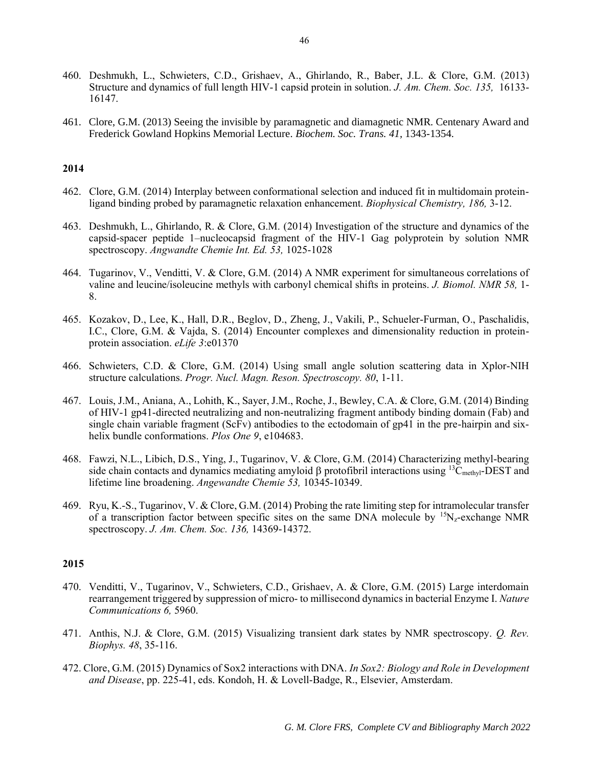- 460. Deshmukh, L., Schwieters, C.D., Grishaev, A., Ghirlando, R., Baber, J.L. & Clore, G.M. (2013) Structure and dynamics of full length HIV-1 capsid protein in solution. *J. Am. Chem. Soc. 135,* 16133- 16147.
- 461. Clore, G.M. (2013) Seeing the invisible by paramagnetic and diamagnetic NMR. Centenary Award and Frederick Gowland Hopkins Memorial Lecture. *Biochem. Soc. Trans. 41,* 1343-1354.

- 462. Clore, G.M. (2014) Interplay between conformational selection and induced fit in multidomain proteinligand binding probed by paramagnetic relaxation enhancement. *Biophysical Chemistry, 186,* 3-12.
- 463. Deshmukh, L., Ghirlando, R. & Clore, G.M. (2014) Investigation of the structure and dynamics of the capsid-spacer peptide 1–nucleocapsid fragment of the HIV-1 Gag polyprotein by solution NMR spectroscopy. *Angwandte Chemie Int. Ed. 53,* 1025-1028
- 464. Tugarinov, V., Venditti, V. & Clore, G.M. (2014) A NMR experiment for simultaneous correlations of valine and leucine/isoleucine methyls with carbonyl chemical shifts in proteins. *J. Biomol. NMR 58,* 1- 8.
- 465. Kozakov, D., Lee, K., Hall, D.R., Beglov, D., Zheng, J., Vakili, P., Schueler-Furman, O., Paschalidis, I.C., Clore, G.M. & Vajda, S. (2014) Encounter complexes and dimensionality reduction in proteinprotein association. *eLife 3*:e01370
- 466. Schwieters, C.D. & Clore, G.M. (2014) Using small angle solution scattering data in Xplor-NIH structure calculations. *Progr. Nucl. Magn. Reson. Spectroscopy. 80*, 1-11.
- 467. Louis, J.M., Aniana, A., Lohith, K., Sayer, J.M., Roche, J., Bewley, C.A. & Clore, G.M. (2014) Binding of HIV-1 gp41-directed neutralizing and non-neutralizing fragment antibody binding domain (Fab) and single chain variable fragment ( $ScFv$ ) antibodies to the ectodomain of gp41 in the pre-hairpin and sixhelix bundle conformations. *Plos One 9*, e104683.
- 468. Fawzi, N.L., Libich, D.S., Ying, J., Tugarinov, V. & Clore, G.M. (2014) Characterizing methyl-bearing side chain contacts and dynamics mediating amyloid  $\beta$  protofibril interactions using <sup>13</sup>C<sub>methyl</sub>-DEST and lifetime line broadening. *Angewandte Chemie 53,* 10345-10349.
- 469. Ryu, K.-S., Tugarinov, V. & Clore, G.M. (2014) Probing the rate limiting step for intramolecular transfer of a transcription factor between specific sites on the same DNA molecule by  $15N_z$ -exchange NMR spectroscopy. *J. Am. Chem. Soc. 136,* 14369-14372.

- 470. Venditti, V., Tugarinov, V., Schwieters, C.D., Grishaev, A. & Clore, G.M. (2015) Large interdomain rearrangement triggered by suppression of micro- to millisecond dynamics in bacterial Enzyme I. *Nature Communications 6,* 5960.
- 471. Anthis, N.J. & Clore, G.M. (2015) Visualizing transient dark states by NMR spectroscopy. *Q. Rev. Biophys. 48*, 35-116.
- 472. Clore, G.M. (2015) Dynamics of Sox2 interactions with DNA. *In Sox2: Biology and Role in Development and Disease*, pp. 225-41, eds. Kondoh, H. & Lovell-Badge, R., Elsevier, Amsterdam.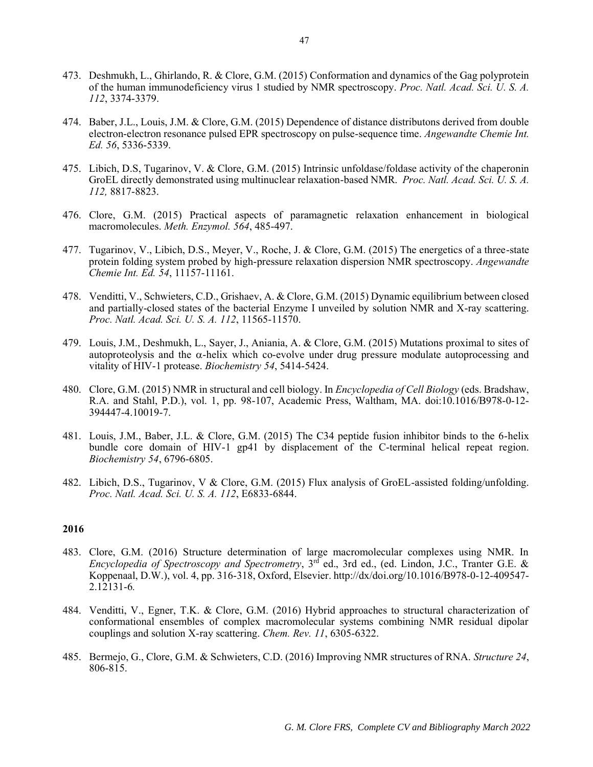- 473. Deshmukh, L., Ghirlando, R. & Clore, G.M. (2015) Conformation and dynamics of the Gag polyprotein of the human immunodeficiency virus 1 studied by NMR spectroscopy. *Proc. Natl. Acad. Sci. U. S. A. 112*, 3374-3379.
- 474. Baber, J.L., Louis, J.M. & Clore, G.M. (2015) Dependence of distance distributons derived from double electron-electron resonance pulsed EPR spectroscopy on pulse-sequence time. *Angewandte Chemie Int. Ed. 56*, 5336-5339.
- 475. Libich, D.S, Tugarinov, V. & Clore, G.M. (2015) Intrinsic unfoldase/foldase activity of the chaperonin GroEL directly demonstrated using multinuclear relaxation-based NMR. *Proc. Natl. Acad. Sci. U. S. A. 112,* 8817-8823.
- 476. Clore, G.M. (2015) Practical aspects of paramagnetic relaxation enhancement in biological macromolecules. *Meth. Enzymol. 564*, 485-497.
- 477. Tugarinov, V., Libich, D.S., Meyer, V., Roche, J. & Clore, G.M. (2015) The energetics of a three-state protein folding system probed by high-pressure relaxation dispersion NMR spectroscopy. *Angewandte Chemie Int. Ed. 54*, 11157-11161.
- 478. Venditti, V., Schwieters, C.D., Grishaev, A. & Clore, G.M. (2015) Dynamic equilibrium between closed and partially-closed states of the bacterial Enzyme I unveiled by solution NMR and X-ray scattering. *Proc. Natl. Acad. Sci. U. S. A. 112*, 11565-11570.
- 479. Louis, J.M., Deshmukh, L., Sayer, J., Aniania, A. & Clore, G.M. (2015) Mutations proximal to sites of autoproteolysis and the  $\alpha$ -helix which co-evolve under drug pressure modulate autoprocessing and vitality of HIV-1 protease. *Biochemistry 54*, 5414-5424.
- 480. Clore, G.M. (2015) NMR in structural and cell biology. In *Encyclopedia of Cell Biology* (eds. Bradshaw, R.A. and Stahl, P.D.), vol. 1, pp. 98-107, Academic Press, Waltham, MA. doi:10.1016/B978-0-12- 394447-4.10019-7.
- 481. Louis, J.M., Baber, J.L. & Clore, G.M. (2015) The C34 peptide fusion inhibitor binds to the 6-helix bundle core domain of HIV-1 gp41 by displacement of the C-terminal helical repeat region. *Biochemistry 54*, 6796-6805.
- 482. Libich, D.S., Tugarinov, V & Clore, G.M. (2015) Flux analysis of GroEL-assisted folding/unfolding. *Proc. Natl. Acad. Sci. U. S. A. 112*, E6833-6844.

- 483. Clore, G.M. (2016) Structure determination of large macromolecular complexes using NMR. In *Encyclopedia of Spectroscopy and Spectrometry*, 3rd ed., 3rd ed., (ed. Lindon, J.C., Tranter G.E. & Koppenaal, D.W.), vol. 4, pp. 316-318, Oxford, Elsevier. http://dx/doi.org/10.1016/B978-0-12-409547- 2.12131-6*.*
- 484. Venditti, V., Egner, T.K. & Clore, G.M. (2016) Hybrid approaches to structural characterization of conformational ensembles of complex macromolecular systems combining NMR residual dipolar couplings and solution X-ray scattering. *Chem. Rev. 11*, 6305-6322.
- 485. Bermejo, G., Clore, G.M. & Schwieters, C.D. (2016) Improving NMR structures of RNA. *Structure 24*, 806-815.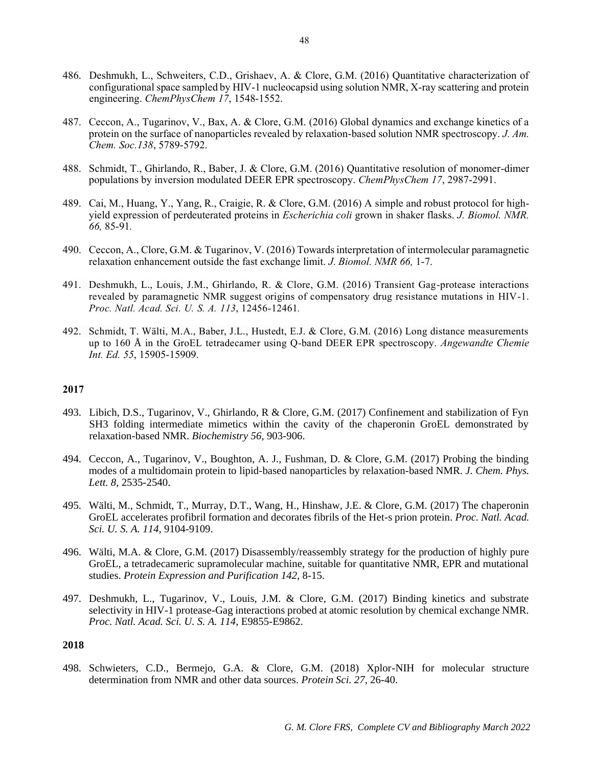- 486. Deshmukh, L., Schweiters, C.D., Grishaev, A. & Clore, G.M. (2016) Quantitative characterization of configurational space sampled by HIV-1 nucleocapsid using solution NMR, X-ray scattering and protein engineering. *ChemPhysChem 17*, 1548-1552.
- 487. Ceccon, A., Tugarinov, V., Bax, A. & Clore, G.M. (2016) Global dynamics and exchange kinetics of a protein on the surface of nanoparticles revealed by relaxation-based solution NMR spectroscopy. *J. Am. Chem. Soc.138*, 5789-5792.
- 488. Schmidt, T., Ghirlando, R., Baber, J. & Clore, G.M. (2016) Quantitative resolution of monomer-dimer populations by inversion modulated DEER EPR spectroscopy. *ChemPhysChem 17*, 2987-2991.
- 489. Cai, M., Huang, Y., Yang, R., Craigie, R. & Clore, G.M. (2016) A simple and robust protocol for highyield expression of perdeuterated proteins in *Escherichia coli* grown in shaker flasks. *J. Biomol. NMR. 66,* 85-91*.*
- 490. Ceccon, A., Clore, G.M. & Tugarinov, V. (2016) Towards interpretation of intermolecular paramagnetic relaxation enhancement outside the fast exchange limit. *J. Biomol. NMR 66,* 1-7.
- 491. Deshmukh, L., Louis, J.M., Ghirlando, R. & Clore, G.M. (2016) Transient Gag-protease interactions revealed by paramagnetic NMR suggest origins of compensatory drug resistance mutations in HIV-1. *Proc. Natl. Acad. Sci. U. S. A. 113*, 12456-12461*.*
- 492. Schmidt, T. Wälti, M.A., Baber, J.L., Hustedt, E.J. & Clore, G.M. (2016) Long distance measurements up to 160 Å in the GroEL tetradecamer using Q-band DEER EPR spectroscopy. *Angewandte Chemie Int. Ed. 55*, 15905-15909.

- 493. Libich, D.S., Tugarinov, V., Ghirlando, R & Clore, G.M. (2017) Confinement and stabilization of Fyn SH3 folding intermediate mimetics within the cavity of the chaperonin GroEL demonstrated by relaxation-based NMR. *Biochemistry 56*, 903-906.
- 494. Ceccon, A., Tugarinov, V., Boughton, A. J., Fushman, D. & Clore, G.M. (2017) Probing the binding modes of a multidomain protein to lipid-based nanoparticles by relaxation-based NMR. *J. Chem. Phys. Lett. 8*, 2535-2540.
- 495. Wälti, M., Schmidt, T., Murray, D.T., Wang, H., Hinshaw, J.E. & Clore, G.M. (2017) The chaperonin GroEL accelerates profibril formation and decorates fibrils of the Het-s prion protein. *Proc. Natl. Acad. Sci. U. S. A. 114,* 9104-9109.
- 496. Wälti, M.A. & Clore, G.M. (2017) Disassembly/reassembly strategy for the production of highly pure GroEL, a tetradecameric supramolecular machine, suitable for quantitative NMR, EPR and mutational studies. *Protein Expression and Purification 142*, 8-15.
- 497. Deshmukh, L., Tugarinov, V., Louis, J.M. & Clore, G.M. (2017) Binding kinetics and substrate selectivity in HIV-1 protease-Gag interactions probed at atomic resolution by chemical exchange NMR. *Proc. Natl. Acad. Sci. U. S. A. 114*, E9855-E9862.

# **2018**

498. Schwieters, C.D., Bermejo, G.A. & Clore, G.M. (2018) Xplor-NIH for molecular structure determination from NMR and other data sources. *Protein Sci. 27*, 26-40.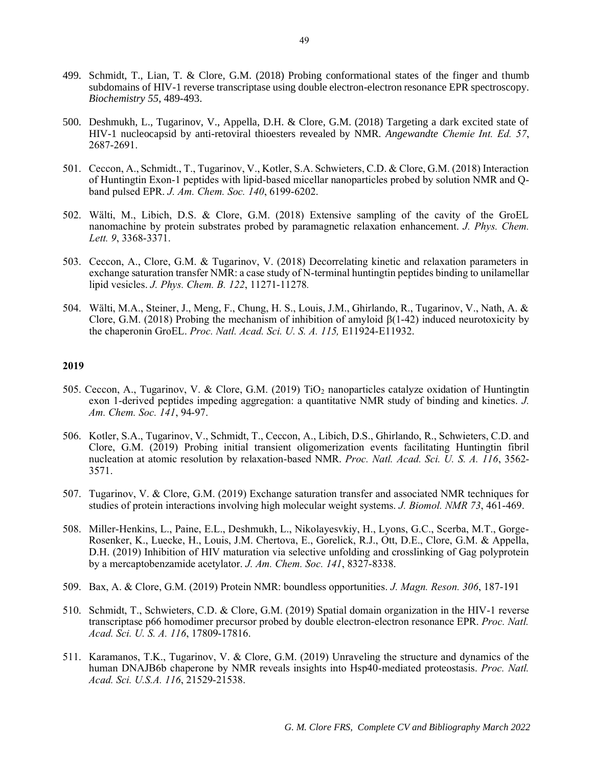- 499. Schmidt, T., Lian, T. & Clore, G.M. (2018) Probing conformational states of the finger and thumb subdomains of HIV-1 reverse transcriptase using double electron-electron resonance EPR spectroscopy. *Biochemistry 55*, 489-493.
- 500. Deshmukh, L., Tugarinov, V., Appella, D.H. & Clore, G.M. (2018) Targeting a dark excited state of HIV-1 nucleocapsid by anti-retoviral thioesters revealed by NMR. *Angewandte Chemie Int. Ed. 57*, 2687-2691.
- 501. Ceccon, A., Schmidt., T., Tugarinov, V., Kotler, S.A. Schwieters, C.D. & Clore, G.M. (2018) Interaction of Huntingtin Exon-1 peptides with lipid-based micellar nanoparticles probed by solution NMR and Qband pulsed EPR. *J. Am. Chem. Soc. 140*, 6199-6202.
- 502. Wälti, M., Libich, D.S. & Clore, G.M. (2018) Extensive sampling of the cavity of the GroEL nanomachine by protein substrates probed by paramagnetic relaxation enhancement. *J. Phys. Chem. Lett. 9*, 3368-3371.
- 503. Ceccon, A., Clore, G.M. & Tugarinov, V. (2018) Decorrelating kinetic and relaxation parameters in exchange saturation transfer NMR: a case study of N-terminal huntingtin peptides binding to unilamellar lipid vesicles. *J. Phys. Chem. B. 122*, 11271-11278*.*
- 504. Wälti, M.A., Steiner, J., Meng, F., Chung, H. S., Louis, J.M., Ghirlando, R., Tugarinov, V., Nath, A. & Clore, G.M. (2018) Probing the mechanism of inhibition of amyloid  $\beta$ (1-42) induced neurotoxicity by the chaperonin GroEL. *Proc. Natl. Acad. Sci. U. S. A. 115,* E11924-E11932.

- 505. Ceccon, A., Tugarinov, V. & Clore, G.M. (2019) TiO<sup>2</sup> nanoparticles catalyze oxidation of Huntingtin exon 1-derived peptides impeding aggregation: a quantitative NMR study of binding and kinetics. *J. Am. Chem. Soc. 141*, 94-97.
- 506. Kotler, S.A., Tugarinov, V., Schmidt, T., Ceccon, A., Libich, D.S., Ghirlando, R., Schwieters, C.D. and Clore, G.M. (2019) Probing initial transient oligomerization events facilitating Huntingtin fibril nucleation at atomic resolution by relaxation-based NMR. *Proc. Natl. Acad. Sci. U. S. A. 116*, 3562- 3571.
- 507. Tugarinov, V. & Clore, G.M. (2019) Exchange saturation transfer and associated NMR techniques for studies of protein interactions involving high molecular weight systems. *J. Biomol. NMR 73*, 461-469.
- 508. Miller-Henkins, L., Paine, E.L., Deshmukh, L., Nikolayesvkiy, H., Lyons, G.C., Scerba, M.T., Gorge-Rosenker, K., Luecke, H., Louis, J.M. Chertova, E., Gorelick, R.J., Ott, D.E., Clore, G.M. & Appella, D.H. (2019) Inhibition of HIV maturation via selective unfolding and crosslinking of Gag polyprotein by a mercaptobenzamide acetylator. *J. Am. Chem. Soc. 141*, 8327-8338.
- 509. Bax, A. & Clore, G.M. (2019) Protein NMR: boundless opportunities. *J. Magn. Reson. 306*, 187-191
- 510. Schmidt, T., Schwieters, C.D. & Clore, G.M. (2019) Spatial domain organization in the HIV-1 reverse transcriptase p66 homodimer precursor probed by double electron-electron resonance EPR. *Proc. Natl. Acad. Sci. U. S. A. 116*, 17809-17816.
- 511. Karamanos, T.K., Tugarinov, V. & Clore, G.M. (2019) Unraveling the structure and dynamics of the human DNAJB6b chaperone by NMR reveals insights into Hsp40-mediated proteostasis. *Proc. Natl. Acad. Sci. U.S.A. 116*, 21529-21538.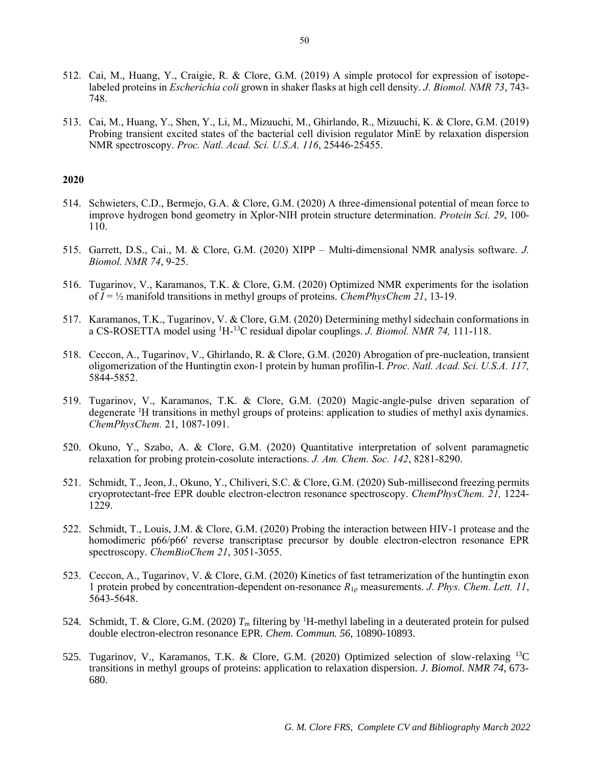- 512. Cai, M., Huang, Y., Craigie, R. & Clore, G.M. (2019) A simple protocol for expression of isotopelabeled proteins in *Escherichia coli* grown in shaker flasks at high cell density. *J. Biomol. NMR 73*, 743- 748.
- 513. Cai, M., Huang, Y., Shen, Y., Li, M., Mizuuchi, M., Ghirlando, R., Mizuuchi, K. & Clore, G.M. (2019) Probing transient excited states of the bacterial cell division regulator MinE by relaxation dispersion NMR spectroscopy. *Proc. Natl. Acad. Sci. U.S.A. 116*, 25446-25455.

- 514. Schwieters, C.D., Bermejo, G.A. & Clore, G.M. (2020) A three-dimensional potential of mean force to improve hydrogen bond geometry in Xplor-NIH protein structure determination. *Protein Sci. 29*, 100- 110.
- 515. Garrett, D.S., Cai., M. & Clore, G.M. (2020) XIPP Multi-dimensional NMR analysis software. *J. Biomol. NMR 74*, 9-25.
- 516. Tugarinov, V., Karamanos, T.K. & Clore, G.M. (2020) Optimized NMR experiments for the isolation of  $I = \frac{1}{2}$  manifold transitions in methyl groups of proteins. *ChemPhysChem* 21, 13-19.
- 517. Karamanos, T.K., Tugarinov, V. & Clore, G.M. (2020) Determining methyl sidechain conformations in a CS-ROSETTA model using 1H-<sup>13</sup>C residual dipolar couplings. *J. Biomol. NMR 74,* 111-118.
- 518. Ceccon, A., Tugarinov, V., Ghirlando, R. & Clore, G.M. (2020) Abrogation of pre-nucleation, transient oligomerization of the Huntingtin exon-1 protein by human profilin-I. *Proc. Natl. Acad. Sci. U.S.A. 117,*  5844-5852.
- 519. Tugarinov, V., Karamanos, T.K. & Clore, G.M. (2020) Magic-angle-pulse driven separation of degenerate <sup>1</sup>H transitions in methyl groups of proteins: application to studies of methyl axis dynamics. *ChemPhysChem.* 21, 1087-1091.
- 520. Okuno, Y., Szabo, A. & Clore, G.M. (2020) Quantitative interpretation of solvent paramagnetic relaxation for probing protein-cosolute interactions. *J. Am. Chem. Soc. 142*, 8281-8290.
- 521. Schmidt, T., Jeon, J., Okuno, Y., Chiliveri, S.C. & Clore, G.M. (2020) Sub-millisecond freezing permits cryoprotectant-free EPR double electron-electron resonance spectroscopy. *ChemPhysChem. 21,* 1224- 1229.
- 522. Schmidt, T., Louis, J.M. & Clore, G.M. (2020) Probing the interaction between HIV-1 protease and the homodimeric p66/p66' reverse transcriptase precursor by double electron-electron resonance EPR spectroscopy. *ChemBioChem 21*, 3051-3055.
- 523. Ceccon, A., Tugarinov, V. & Clore, G.M. (2020) Kinetics of fast tetramerization of the huntingtin exon 1 protein probed by concentration-dependent on-resonance  $R_{10}$  measurements. *J. Phys. Chem. Lett.* 11, 5643-5648.
- 524. Schmidt, T. & Clore, G.M. (2020)  $T_m$  filtering by <sup>1</sup>H-methyl labeling in a deuterated protein for pulsed double electron-electron resonance EPR. *Chem. Commun. 56*, 10890-10893.
- 525. Tugarinov, V., Karamanos, T.K. & Clore, G.M. (2020) Optimized selection of slow-relaxing <sup>13</sup>C transitions in methyl groups of proteins: application to relaxation dispersion. *J. Biomol. NMR 74*, 673- 680.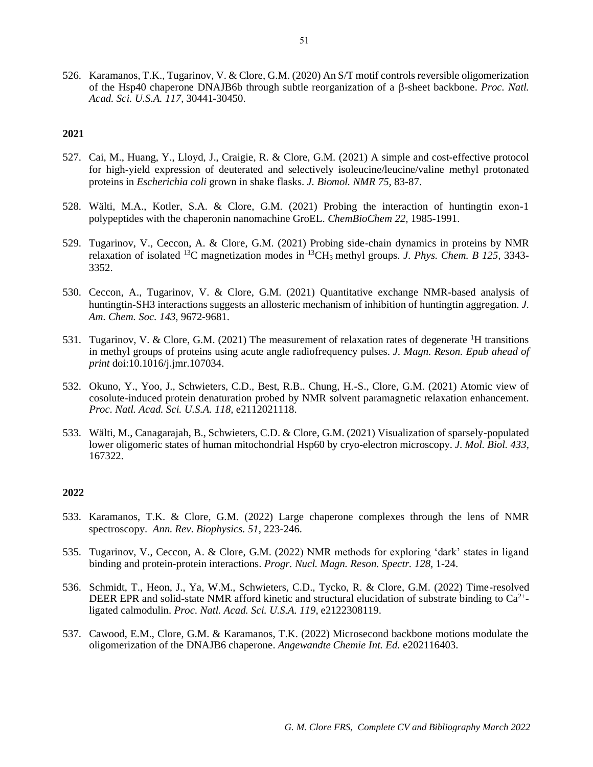526. Karamanos, T.K., Tugarinov, V. & Clore, G.M. (2020) An S/T motif controls reversible oligomerization of the Hsp40 chaperone DNAJB6b through subtle reorganization of a β-sheet backbone. *Proc. Natl. Acad. Sci. U.S.A. 117*, 30441-30450.

# **2021**

- 527. Cai, M., Huang, Y., Lloyd, J., Craigie, R. & Clore, G.M. (2021) A simple and cost-effective protocol for high-yield expression of deuterated and selectively isoleucine/leucine/valine methyl protonated proteins in *Escherichia coli* grown in shake flasks. *J. Biomol. NMR 75,* 83-87.
- 528. Wälti, M.A., Kotler, S.A. & Clore, G.M. (2021) Probing the interaction of huntingtin exon-1 polypeptides with the chaperonin nanomachine GroEL. *ChemBioChem 22,* 1985-1991.
- 529. Tugarinov, V., Ceccon, A. & Clore, G.M. (2021) Probing side-chain dynamics in proteins by NMR relaxation of isolated <sup>13</sup>C magnetization modes in <sup>13</sup>CH3 methyl groups. *J. Phys. Chem. B 125,* 3343- 3352.
- 530. Ceccon, A., Tugarinov, V. & Clore, G.M. (2021) Quantitative exchange NMR-based analysis of huntingtin-SH3 interactions suggests an allosteric mechanism of inhibition of huntingtin aggregation*. J. Am. Chem. Soc. 143*, 9672-9681.
- 531. Tugarinov, V. & Clore, G.M. (2021) The measurement of relaxation rates of degenerate  ${}^{1}H$  transitions in methyl groups of proteins using acute angle radiofrequency pulses. *J. Magn. Reson. Epub ahead of print* doi:10.1016/j.jmr.107034.
- 532. Okuno, Y., Yoo, J., Schwieters, C.D., Best, R.B.. Chung, H.-S., Clore, G.M. (2021) Atomic view of cosolute-induced protein denaturation probed by NMR solvent paramagnetic relaxation enhancement. *Proc. Natl. Acad. Sci. U.S.A. 118,* e2112021118.
- 533. Wälti, M., Canagarajah, B., Schwieters, C.D. & Clore, G.M. (2021) Visualization of sparsely-populated lower oligomeric states of human mitochondrial Hsp60 by cryo-electron microscopy. *J. Mol. Biol. 433,*  167322.

- 533. Karamanos, T.K. & Clore, G.M*.* (2022) Large chaperone complexes through the lens of NMR spectroscopy. *Ann. Rev. Biophysics. 51,* 223-246.
- 535. Tugarinov, V., Ceccon, A. & Clore, G.M. (2022) NMR methods for exploring 'dark' states in ligand binding and protein-protein interactions. *Progr. Nucl. Magn. Reson. Spectr. 128,* 1-24.
- 536. Schmidt, T., Heon, J., Ya, W.M., Schwieters, C.D., Tycko, R. & Clore, G.M. (2022) Time-resolved DEER EPR and solid-state NMR afford kinetic and structural elucidation of substrate binding to  $Ca^{2+}$ ligated calmodulin. *Proc. Natl. Acad. Sci. U.S.A. 119*, e2122308119.
- 537. Cawood, E.M., Clore, G.M. & Karamanos, T.K. (2022) Microsecond backbone motions modulate the oligomerization of the DNAJB6 chaperone. *Angewandte Chemie Int. Ed.* e202116403.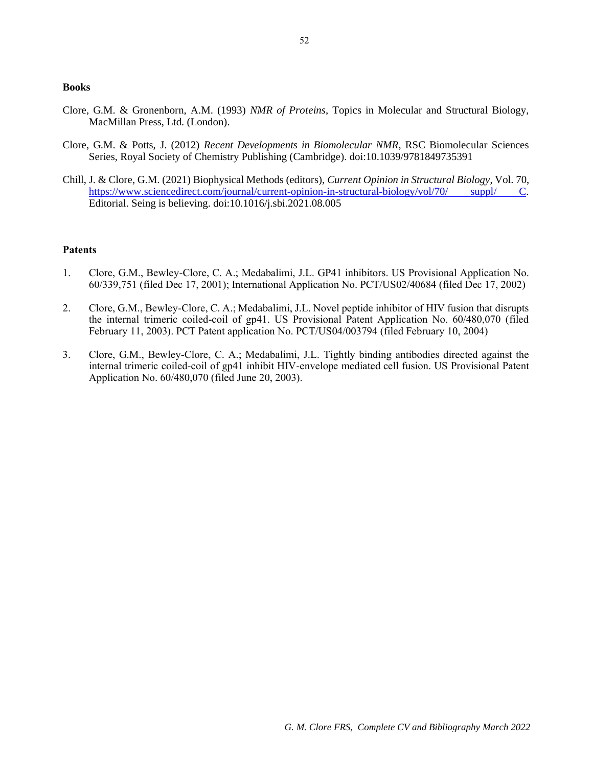#### **Books**

- Clore, G.M. & Gronenborn, A.M. (1993) *NMR of Proteins*, Topics in Molecular and Structural Biology, MacMillan Press, Ltd. (London).
- Clore, G.M. & Potts, J. (2012) *Recent Developments in Biomolecular NMR*, RSC Biomolecular Sciences Series, Royal Society of Chemistry Publishing (Cambridge). doi:10.1039/9781849735391
- Chill, J. & Clore, G.M. (2021) Biophysical Methods (editors), *Current Opinion in Structural Biology*, Vol. 70, [https://www.sciencedirect.com/journal/current-opinion-in-structural-biology/vol/70/ suppl/ C.](https://www.sciencedirect.com/journal/current-opinion-in-structural-biology/vol/70/%20suppl/%20C) Editorial. Seing is believing. doi:10.1016/j.sbi.2021.08.005

# **Patents**

- 1. Clore, G.M., Bewley-Clore, C. A.; Medabalimi, J.L. GP41 inhibitors. US Provisional Application No. 60/339,751 (filed Dec 17, 2001); International Application No. PCT/US02/40684 (filed Dec 17, 2002)
- 2. Clore, G.M., Bewley-Clore, C. A.; Medabalimi, J.L. Novel peptide inhibitor of HIV fusion that disrupts the internal trimeric coiled-coil of gp41. US Provisional Patent Application No. 60/480,070 (filed February 11, 2003). PCT Patent application No. PCT/US04/003794 (filed February 10, 2004)
- 3. Clore, G.M., Bewley-Clore, C. A.; Medabalimi, J.L. Tightly binding antibodies directed against the internal trimeric coiled-coil of gp41 inhibit HIV-envelope mediated cell fusion. US Provisional Patent Application No. 60/480,070 (filed June 20, 2003).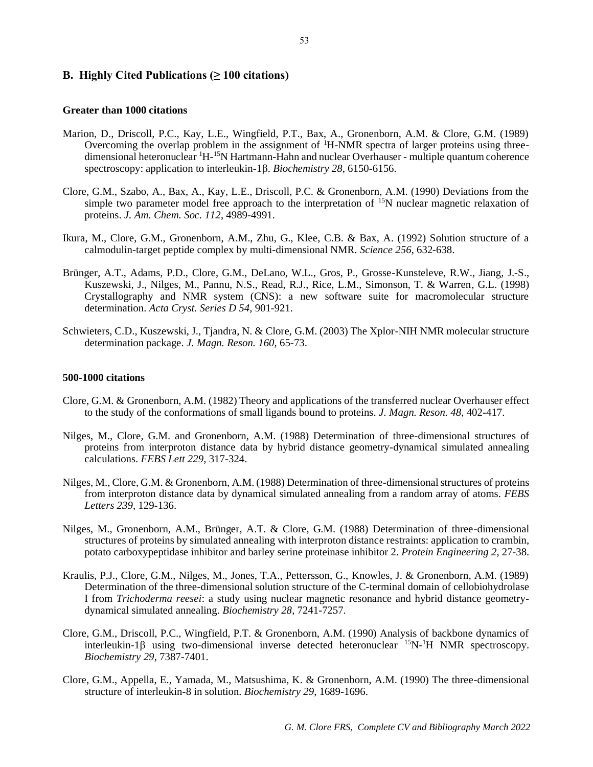# **B. Highly Cited Publications (≥ 100 citations)**

# **Greater than 1000 citations**

- Marion, D., Driscoll, P.C., Kay, L.E., Wingfield, P.T., Bax, A., Gronenborn, A.M. & Clore, G.M. (1989) Overcoming the overlap problem in the assignment of <sup>1</sup>H-NMR spectra of larger proteins using threedimensional heteronuclear <sup>1</sup>H-<sup>15</sup>N Hartmann-Hahn and nuclear Overhauser - multiple quantum coherence spectroscopy: application to interleukin-1 $\beta$ . *Biochemistry 28*, 6150-6156.
- Clore, G.M., Szabo, A., Bax, A., Kay, L.E., Driscoll, P.C. & Gronenborn, A.M. (1990) Deviations from the simple two parameter model free approach to the interpretation of <sup>15</sup>N nuclear magnetic relaxation of proteins. *J. Am. Chem. Soc. 112*, 4989-4991.
- Ikura, M., Clore, G.M., Gronenborn, A.M., Zhu, G., Klee, C.B. & Bax, A. (1992) Solution structure of a calmodulin-target peptide complex by multi-dimensional NMR. *Science 256*, 632-638.
- Brünger, A.T., Adams, P.D., Clore, G.M., DeLano, W.L., Gros, P., Grosse-Kunsteleve, R.W., Jiang, J.-S., Kuszewski, J., Nilges, M., Pannu, N.S., Read, R.J., Rice, L.M., Simonson, T. & Warren, G.L. (1998) Crystallography and NMR system (CNS): a new software suite for macromolecular structure determination. *Acta Cryst. Series D 54*, 901-921.
- Schwieters, C.D., Kuszewski, J., Tjandra, N. & Clore, G.M. (2003) The Xplor-NIH NMR molecular structure determination package. *J. Magn. Reson. 160*, 65-73.

### **500-1000 citations**

- Clore, G.M. & Gronenborn, A.M. (1982) Theory and applications of the transferred nuclear Overhauser effect to the study of the conformations of small ligands bound to proteins. *J. Magn. Reson. 48*, 402-417.
- Nilges, M., Clore, G.M. and Gronenborn, A.M. (1988) Determination of three-dimensional structures of proteins from interproton distance data by hybrid distance geometry-dynamical simulated annealing calculations. *FEBS Lett 229*, 317-324.
- Nilges, M., Clore, G.M. & Gronenborn, A.M. (1988) Determination of three-dimensional structures of proteins from interproton distance data by dynamical simulated annealing from a random array of atoms. *FEBS Letters 239*, 129-136.
- Nilges, M., Gronenborn, A.M., Brünger, A.T. & Clore, G.M. (1988) Determination of three-dimensional structures of proteins by simulated annealing with interproton distance restraints: application to crambin, potato carboxypeptidase inhibitor and barley serine proteinase inhibitor 2. *Protein Engineering 2*, 27-38.
- Kraulis, P.J., Clore, G.M., Nilges, M., Jones, T.A., Pettersson, G., Knowles, J. & Gronenborn, A.M. (1989) Determination of the three-dimensional solution structure of the C-terminal domain of cellobiohydrolase I from *Trichoderma reesei*: a study using nuclear magnetic resonance and hybrid distance geometrydynamical simulated annealing. *Biochemistry 28*, 7241-7257.
- Clore, G.M., Driscoll, P.C., Wingfield, P.T. & Gronenborn, A.M. (1990) Analysis of backbone dynamics of interleukin-1 $\beta$  using two-dimensional inverse detected heteronuclear  ${}^{15}N$ -<sup>1</sup>H NMR spectroscopy. *Biochemistry 29*, 7387-7401.
- Clore, G.M., Appella, E., Yamada, M., Matsushima, K. & Gronenborn, A.M. (1990) The three-dimensional structure of interleukin-8 in solution. *Biochemistry 29*, 1689-1696.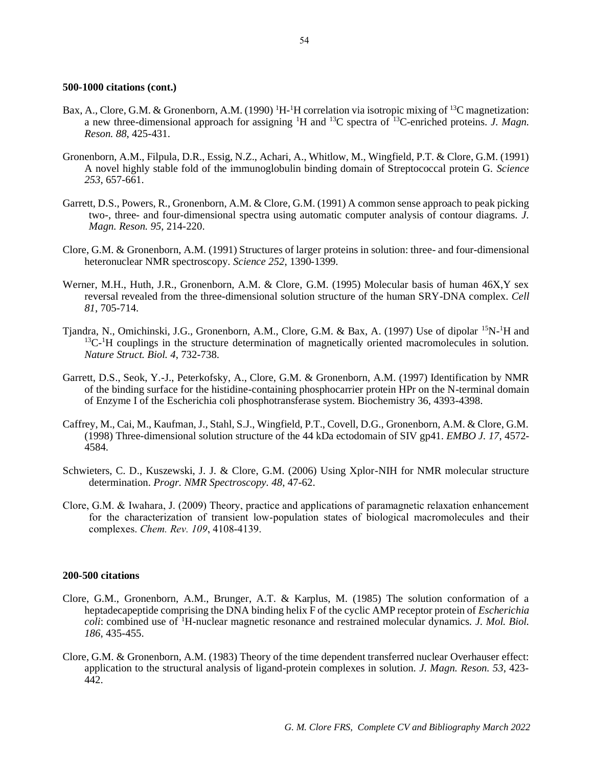- Bax, A., Clore, G.M. & Gronenborn, A.M. (1990) <sup>1</sup>H-<sup>1</sup>H correlation via isotropic mixing of <sup>13</sup>C magnetization: a new three-dimensional approach for assigning <sup>1</sup>H and <sup>13</sup>C spectra of <sup>13</sup>C-enriched proteins. *J. Magn. Reson. 88*, 425-431.
- Gronenborn, A.M., Filpula, D.R., Essig, N.Z., Achari, A., Whitlow, M., Wingfield, P.T. & Clore, G.M. (1991) A novel highly stable fold of the immunoglobulin binding domain of Streptococcal protein G. *Science 253*, 657-661.
- Garrett, D.S., Powers, R., Gronenborn, A.M. & Clore, G.M. (1991) A common sense approach to peak picking two-, three- and four-dimensional spectra using automatic computer analysis of contour diagrams. *J. Magn. Reson. 95*, 214-220.
- Clore, G.M. & Gronenborn, A.M. (1991) Structures of larger proteins in solution: three- and four-dimensional heteronuclear NMR spectroscopy. *Science 252*, 1390-1399.
- Werner, M.H., Huth, J.R., Gronenborn, A.M. & Clore, G.M. (1995) Molecular basis of human 46X,Y sex reversal revealed from the three-dimensional solution structure of the human SRY-DNA complex. *Cell 81*, 705-714.
- Tjandra, N., Omichinski, J.G., Gronenborn, A.M., Clore, G.M. & Bax, A. (1997) Use of dipolar <sup>15</sup>N-<sup>1</sup>H and <sup>13</sup>C<sup>-1</sup>H couplings in the structure determination of magnetically oriented macromolecules in solution. *Nature Struct. Biol. 4*, 732-738.
- Garrett, D.S., Seok, Y.-J., Peterkofsky, A., Clore, G.M. & Gronenborn, A.M. (1997) Identification by NMR of the binding surface for the histidine-containing phosphocarrier protein HPr on the N-terminal domain of Enzyme I of the Escherichia coli phosphotransferase system. Biochemistry 36, 4393-4398.
- Caffrey, M., Cai, M., Kaufman, J., Stahl, S.J., Wingfield, P.T., Covell, D.G., Gronenborn, A.M. & Clore, G.M. (1998) Three-dimensional solution structure of the 44 kDa ectodomain of SIV gp41. *EMBO J. 17*, 4572- 4584.
- Schwieters, C. D., Kuszewski, J. J. & Clore, G.M. (2006) Using Xplor-NIH for NMR molecular structure determination. *Progr. NMR Spectroscopy. 48*, 47-62.
- Clore, G.M. & Iwahara, J. (2009) Theory, practice and applications of paramagnetic relaxation enhancement for the characterization of transient low-population states of biological macromolecules and their complexes. *Chem. Rev. 109*, 4108-4139.

### **200-500 citations**

- Clore, G.M., Gronenborn, A.M., Brunger, A.T. & Karplus, M. (1985) The solution conformation of a heptadecapeptide comprising the DNA binding helix F of the cyclic AMP receptor protein of *Escherichia coli*: combined use of <sup>1</sup>H-nuclear magnetic resonance and restrained molecular dynamics*. J. Mol. Biol. 186*, 435-455.
- Clore, G.M. & Gronenborn, A.M. (1983) Theory of the time dependent transferred nuclear Overhauser effect: application to the structural analysis of ligand-protein complexes in solution*. J. Magn. Reson. 53*, 423- 442.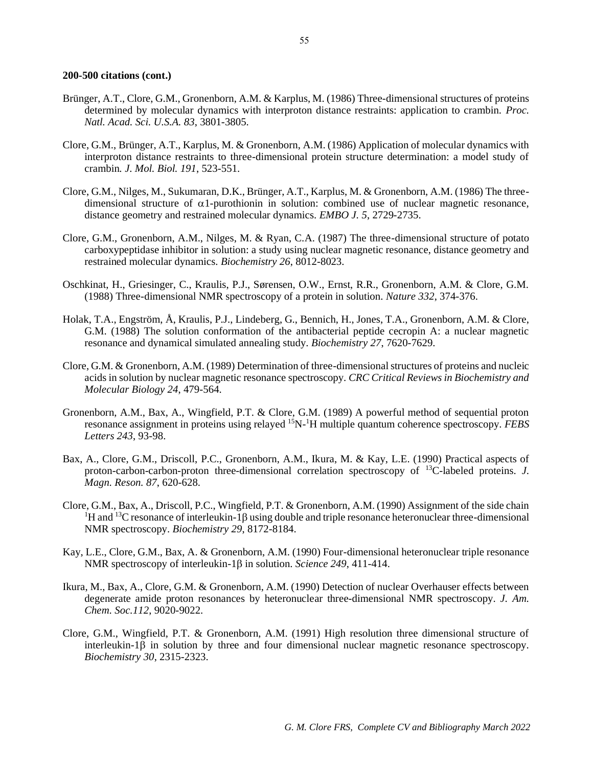- Brünger, A.T., Clore, G.M., Gronenborn, A.M. & Karplus, M. (1986) Three-dimensional structures of proteins determined by molecular dynamics with interproton distance restraints: application to crambin. *Proc. Natl. Acad. Sci. U.S.A. 83*, 3801-3805.
- Clore, G.M., Brünger, A.T., Karplus, M. & Gronenborn, A.M. (1986) Application of molecular dynamics with interproton distance restraints to three-dimensional protein structure determination: a model study of crambin*. J. Mol. Biol. 191*, 523-551.
- Clore, G.M., Nilges, M., Sukumaran, D.K., Brünger, A.T., Karplus, M. & Gronenborn, A.M. (1986) The threedimensional structure of  $\alpha$ 1-purothionin in solution: combined use of nuclear magnetic resonance, distance geometry and restrained molecular dynamics. *EMBO J. 5*, 2729-2735.
- Clore, G.M., Gronenborn, A.M., Nilges, M. & Ryan, C.A. (1987) The three-dimensional structure of potato carboxypeptidase inhibitor in solution: a study using nuclear magnetic resonance, distance geometry and restrained molecular dynamics. *Biochemistry 26*, 8012-8023.
- Oschkinat, H., Griesinger, C., Kraulis, P.J., Sørensen, O.W., Ernst, R.R., Gronenborn, A.M. & Clore, G.M. (1988) Three-dimensional NMR spectroscopy of a protein in solution. *Nature 332*, 374-376.
- Holak, T.A., Engström, Å, Kraulis, P.J., Lindeberg, G., Bennich, H., Jones, T.A., Gronenborn, A.M. & Clore, G.M. (1988) The solution conformation of the antibacterial peptide cecropin A: a nuclear magnetic resonance and dynamical simulated annealing study. *Biochemistry 27*, 7620-7629.
- Clore, G.M. & Gronenborn, A.M. (1989) Determination of three-dimensional structures of proteins and nucleic acids in solution by nuclear magnetic resonance spectroscopy*. CRC Critical Reviews in Biochemistry and Molecular Biology 24*, 479-564.
- Gronenborn, A.M., Bax, A., Wingfield, P.T. & Clore, G.M. (1989) A powerful method of sequential proton resonance assignment in proteins using relayed 15N-<sup>1</sup>H multiple quantum coherence spectroscopy. *FEBS Letters 243*, 93-98.
- Bax, A., Clore, G.M., Driscoll, P.C., Gronenborn, A.M., Ikura, M. & Kay, L.E. (1990) Practical aspects of proton-carbon-carbon-proton three-dimensional correlation spectroscopy of <sup>13</sup>C-labeled proteins. *J. Magn. Reson. 87*, 620-628.
- Clore, G.M., Bax, A., Driscoll, P.C., Wingfield, P.T. & Gronenborn, A.M. (1990) Assignment of the side chain  ${}^{1}H$  and  ${}^{13}C$  resonance of interleukin-1 $\beta$  using double and triple resonance heteronuclear three-dimensional NMR spectroscopy. *Biochemistry 29*, 8172-8184.
- Kay, L.E., Clore, G.M., Bax, A. & Gronenborn, A.M. (1990) Four-dimensional heteronuclear triple resonance NMR spectroscopy of interleukin-1 $\beta$  in solution. *Science 249*, 411-414.
- Ikura, M., Bax, A., Clore, G.M. & Gronenborn, A.M. (1990) Detection of nuclear Overhauser effects between degenerate amide proton resonances by heteronuclear three-dimensional NMR spectroscopy. *J. Am. Chem. Soc.112*, 9020-9022.
- Clore, G.M., Wingfield, P.T. & Gronenborn, A.M. (1991) High resolution three dimensional structure of interleukin- $1\beta$  in solution by three and four dimensional nuclear magnetic resonance spectroscopy. *Biochemistry 30*, 2315-2323.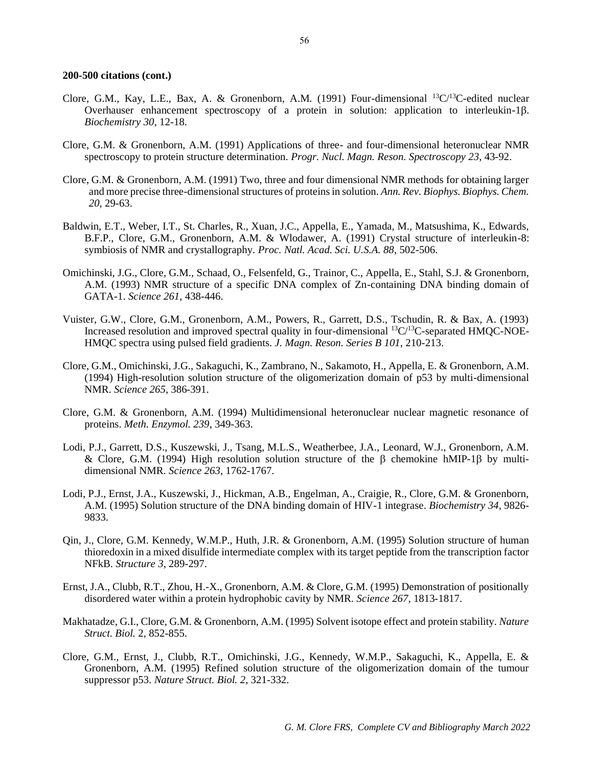- Clore, G.M., Kay, L.E., Bax, A. & Gronenborn, A.M. (1991) Four-dimensional <sup>13</sup>C/<sup>13</sup>C-edited nuclear Overhauser enhancement spectroscopy of a protein in solution: application to interleukin-1 $\beta$ . *Biochemistry 30*, 12-18.
- Clore, G.M. & Gronenborn, A.M. (1991) Applications of three- and four-dimensional heteronuclear NMR spectroscopy to protein structure determination. *Progr. Nucl. Magn. Reson. Spectroscopy 23*, 43-92.
- Clore, G.M. & Gronenborn, A.M. (1991) Two, three and four dimensional NMR methods for obtaining larger and more precise three-dimensional structures of proteins in solution. *Ann. Rev. Biophys. Biophys. Chem. 20*, 29-63.
- Baldwin, E.T., Weber, I.T., St. Charles, R., Xuan, J.C., Appella, E., Yamada, M., Matsushima, K., Edwards, B.F.P., Clore, G.M., Gronenborn, A.M. & Wlodawer, A. (1991) Crystal structure of interleukin-8: symbiosis of NMR and crystallography. *Proc. Natl. Acad. Sci. U.S.A. 88*, 502-506.
- Omichinski, J.G., Clore, G.M., Schaad, O., Felsenfeld, G., Trainor, C., Appella, E., Stahl, S.J. & Gronenborn, A.M. (1993) NMR structure of a specific DNA complex of Zn-containing DNA binding domain of GATA-1. *Science 261*, 438-446.
- Vuister, G.W., Clore, G.M., Gronenborn, A.M., Powers, R., Garrett, D.S., Tschudin, R. & Bax, A. (1993) Increased resolution and improved spectral quality in four-dimensional  ${}^{13}C/{}^{13}C$ -separated HMQC-NOE-HMQC spectra using pulsed field gradients. *J. Magn. Reson. Series B 101*, 210-213.
- Clore, G.M., Omichinski, J.G., Sakaguchi, K., Zambrano, N., Sakamoto, H., Appella, E. & Gronenborn, A.M. (1994) High-resolution solution structure of the oligomerization domain of p53 by multi-dimensional NMR. *Science 265*, 386-391.
- Clore, G.M. & Gronenborn, A.M. (1994) Multidimensional heteronuclear nuclear magnetic resonance of proteins. *Meth. Enzymol. 239*, 349-363.
- Lodi, P.J., Garrett, D.S., Kuszewski, J., Tsang, M.L.S., Weatherbee, J.A., Leonard, W.J., Gronenborn, A.M. & Clore, G.M. (1994) High resolution solution structure of the  $\beta$  chemokine hMIP-1 $\beta$  by multidimensional NMR. *Science 263*, 1762-1767.
- Lodi, P.J., Ernst, J.A., Kuszewski, J., Hickman, A.B., Engelman, A., Craigie, R., Clore, G.M. & Gronenborn, A.M. (1995) Solution structure of the DNA binding domain of HIV-1 integrase. *Biochemistry 34*, 9826- 9833.
- Qin, J., Clore, G.M. Kennedy, W.M.P., Huth, J.R. & Gronenborn, A.M. (1995) Solution structure of human thioredoxin in a mixed disulfide intermediate complex with its target peptide from the transcription factor NFkB. *Structure 3*, 289-297.
- Ernst, J.A., Clubb, R.T., Zhou, H.-X., Gronenborn, A.M. & Clore, G.M. (1995) Demonstration of positionally disordered water within a protein hydrophobic cavity by NMR. *Science 267*, 1813-1817.
- Makhatadze, G.I., Clore, G.M. & Gronenborn, A.M. (1995) Solvent isotope effect and protein stability. *Nature Struct. Biol.* 2, 852-855.
- Clore, G.M., Ernst, J., Clubb, R.T., Omichinski, J.G., Kennedy, W.M.P., Sakaguchi, K., Appella, E. & Gronenborn, A.M. (1995) Refined solution structure of the oligomerization domain of the tumour suppressor p53. *Nature Struct. Biol. 2*, 321-332.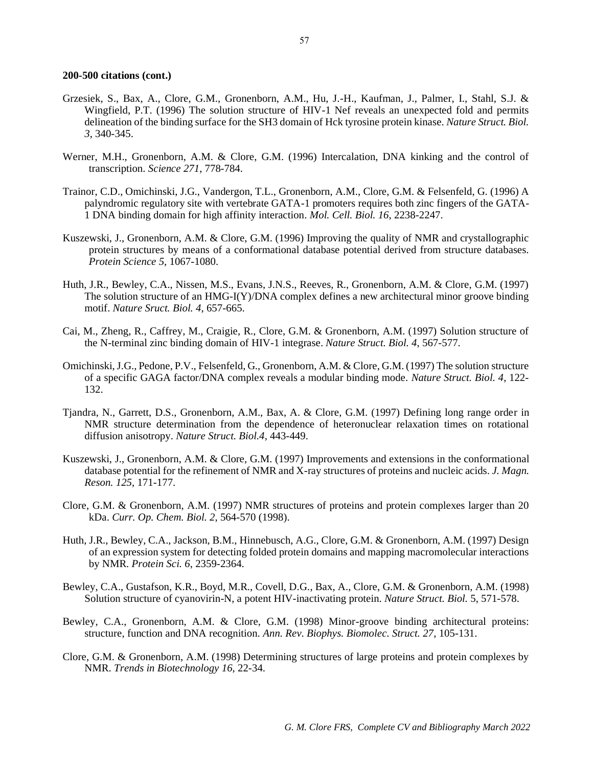- Grzesiek, S., Bax, A., Clore, G.M., Gronenborn, A.M., Hu, J.-H., Kaufman, J., Palmer, I., Stahl, S.J. & Wingfield, P.T. (1996) The solution structure of HIV-1 Nef reveals an unexpected fold and permits delineation of the binding surface for the SH3 domain of Hck tyrosine protein kinase. *Nature Struct. Biol. 3*, 340-345.
- Werner, M.H., Gronenborn, A.M. & Clore, G.M. (1996) Intercalation, DNA kinking and the control of transcription. *Science 271*, 778-784.
- Trainor, C.D., Omichinski, J.G., Vandergon, T.L., Gronenborn, A.M., Clore, G.M. & Felsenfeld, G. (1996) A palyndromic regulatory site with vertebrate GATA-1 promoters requires both zinc fingers of the GATA-1 DNA binding domain for high affinity interaction. *Mol. Cell. Biol. 16*, 2238-2247.
- Kuszewski, J., Gronenborn, A.M. & Clore, G.M. (1996) Improving the quality of NMR and crystallographic protein structures by means of a conformational database potential derived from structure databases. *Protein Science 5*, 1067-1080.
- Huth, J.R., Bewley, C.A., Nissen, M.S., Evans, J.N.S., Reeves, R., Gronenborn, A.M. & Clore, G.M. (1997) The solution structure of an HMG-I(Y)/DNA complex defines a new architectural minor groove binding motif. *Nature Sruct. Biol. 4*, 657-665.
- Cai, M., Zheng, R., Caffrey, M., Craigie, R., Clore, G.M. & Gronenborn, A.M. (1997) Solution structure of the N-terminal zinc binding domain of HIV-1 integrase. *Nature Struct. Biol. 4*, 567-577.
- Omichinski, J.G., Pedone, P.V., Felsenfeld, G., Gronenborn, A.M. & Clore, G.M. (1997) The solution structure of a specific GAGA factor/DNA complex reveals a modular binding mode. *Nature Struct. Biol. 4*, 122- 132.
- Tjandra, N., Garrett, D.S., Gronenborn, A.M., Bax, A. & Clore, G.M. (1997) Defining long range order in NMR structure determination from the dependence of heteronuclear relaxation times on rotational diffusion anisotropy. *Nature Struct. Biol.4*, 443-449.
- Kuszewski, J., Gronenborn, A.M. & Clore, G.M. (1997) Improvements and extensions in the conformational database potential for the refinement of NMR and X-ray structures of proteins and nucleic acids. *J. Magn. Reson. 125*, 171-177.
- Clore, G.M. & Gronenborn, A.M. (1997) NMR structures of proteins and protein complexes larger than 20 kDa. *Curr. Op. Chem. Biol. 2*, 564-570 (1998).
- Huth, J.R., Bewley, C.A., Jackson, B.M., Hinnebusch, A.G., Clore, G.M. & Gronenborn, A.M. (1997) Design of an expression system for detecting folded protein domains and mapping macromolecular interactions by NMR. *Protein Sci. 6*, 2359-2364.
- Bewley, C.A., Gustafson, K.R., Boyd, M.R., Covell, D.G., Bax, A., Clore, G.M. & Gronenborn, A.M. (1998) Solution structure of cyanovirin-N, a potent HIV-inactivating protein. *Nature Struct. Biol.* 5, 571-578.
- Bewley, C.A., Gronenborn, A.M. & Clore, G.M. (1998) Minor-groove binding architectural proteins: structure, function and DNA recognition. *Ann. Rev. Biophys. Biomolec. Struct. 27*, 105-131.
- Clore, G.M. & Gronenborn, A.M. (1998) Determining structures of large proteins and protein complexes by NMR. *Trends in Biotechnology 16*, 22-34.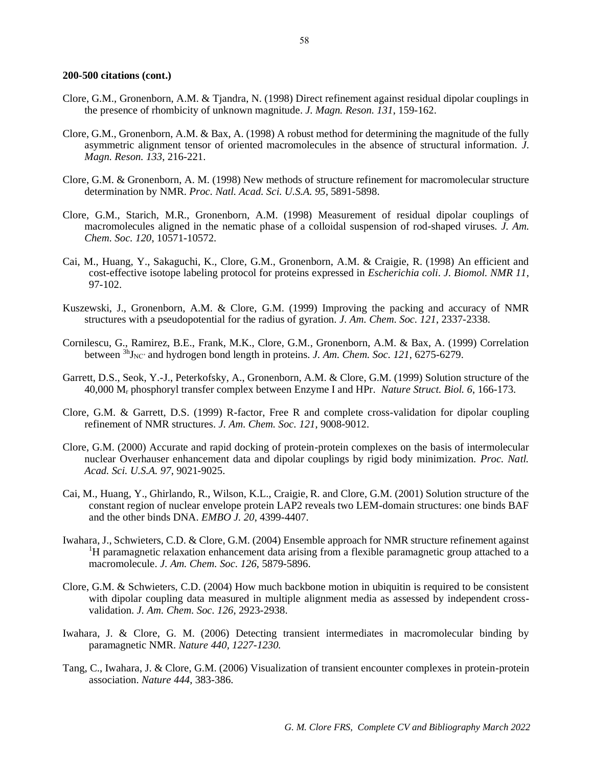- Clore, G.M., Gronenborn, A.M. & Tjandra, N. (1998) Direct refinement against residual dipolar couplings in the presence of rhombicity of unknown magnitude. *J. Magn. Reson. 131*, 159-162.
- Clore, G.M., Gronenborn, A.M. & Bax, A. (1998) A robust method for determining the magnitude of the fully asymmetric alignment tensor of oriented macromolecules in the absence of structural information. *J. Magn. Reson. 133*, 216-221.
- Clore, G.M. & Gronenborn, A. M. (1998) New methods of structure refinement for macromolecular structure determination by NMR. *Proc. Natl. Acad. Sci. U.S.A. 95*, 5891-5898.
- Clore, G.M., Starich, M.R., Gronenborn, A.M. (1998) Measurement of residual dipolar couplings of macromolecules aligned in the nematic phase of a colloidal suspension of rod-shaped viruses*. J. Am. Chem. Soc. 120*, 10571-10572.
- Cai, M., Huang, Y., Sakaguchi, K., Clore, G.M., Gronenborn, A.M. & Craigie, R. (1998) An efficient and cost-effective isotope labeling protocol for proteins expressed in *Escherichia coli*. *J. Biomol. NMR 11*, 97-102.
- Kuszewski, J., Gronenborn, A.M. & Clore, G.M. (1999) Improving the packing and accuracy of NMR structures with a pseudopotential for the radius of gyration. *J. Am. Chem. Soc. 121*, 2337-2338.
- Cornilescu, G., Ramirez, B.E., Frank, M.K., Clore, G.M., Gronenborn, A.M. & Bax, A. (1999) Correlation between  ${}^{3h}$ J<sub>NC</sub>' and hydrogen bond length in proteins. *J. Am. Chem. Soc. 121*, 6275-6279.
- Garrett, D.S., Seok, Y.-J., Peterkofsky, A., Gronenborn, A.M. & Clore, G.M. (1999) Solution structure of the 40,000 M<sup>r</sup> phosphoryl transfer complex between Enzyme I and HPr. *Nature Struct. Biol. 6*, 166-173.
- Clore, G.M. & Garrett, D.S. (1999) R-factor, Free R and complete cross-validation for dipolar coupling refinement of NMR structures. *J. Am. Chem. Soc. 121*, 9008-9012.
- Clore, G.M. (2000) Accurate and rapid docking of protein-protein complexes on the basis of intermolecular nuclear Overhauser enhancement data and dipolar couplings by rigid body minimization. *Proc. Natl. Acad. Sci. U.S.A. 97*, 9021-9025.
- Cai, M., Huang, Y., Ghirlando, R., Wilson, K.L., Craigie, R. and Clore, G.M. (2001) Solution structure of the constant region of nuclear envelope protein LAP2 reveals two LEM-domain structures: one binds BAF and the other binds DNA. *EMBO J. 20*, 4399-4407.
- Iwahara, J., Schwieters, C.D. & Clore, G.M. (2004) Ensemble approach for NMR structure refinement against <sup>1</sup>H paramagnetic relaxation enhancement data arising from a flexible paramagnetic group attached to a macromolecule. *J. Am. Chem. Soc. 126,* 5879-5896.
- Clore, G.M. & Schwieters, C.D. (2004) How much backbone motion in ubiquitin is required to be consistent with dipolar coupling data measured in multiple alignment media as assessed by independent crossvalidation. *J. Am. Chem. Soc. 126*, 2923-2938.
- Iwahara, J. & Clore, G. M. (2006) Detecting transient intermediates in macromolecular binding by paramagnetic NMR. *Nature 440, 1227-1230.*
- Tang, C., Iwahara, J. & Clore, G.M. (2006) Visualization of transient encounter complexes in protein-protein association. *Nature 444*, 383-386.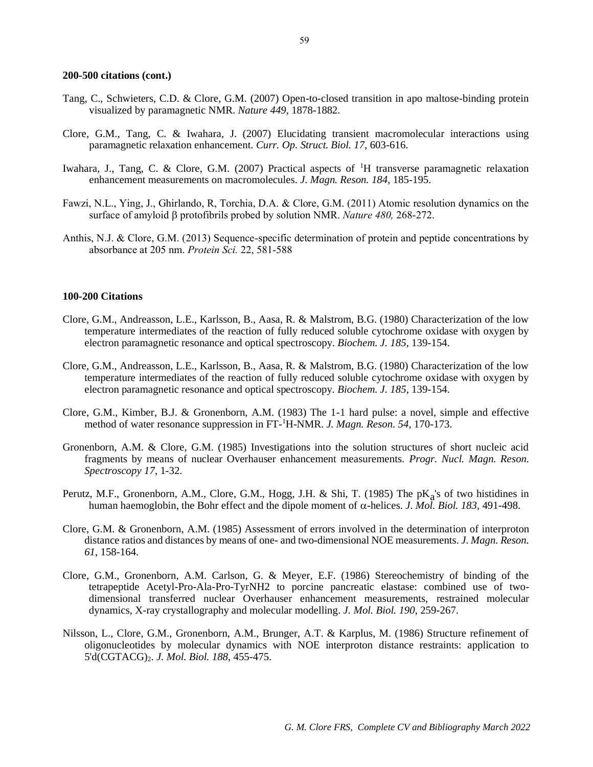- Tang, C., Schwieters, C.D. & Clore, G.M. (2007) Open-to-closed transition in apo maltose-binding protein visualized by paramagnetic NMR. *Nature 449,* 1878-1882.
- Clore, G.M., Tang, C. & Iwahara, J. (2007) Elucidating transient macromolecular interactions using paramagnetic relaxation enhancement. *Curr. Op. Struct. Biol. 17*, 603-616.
- Iwahara, J., Tang, C. & Clore, G.M. (2007) Practical aspects of <sup>1</sup>H transverse paramagnetic relaxation enhancement measurements on macromolecules. *J. Magn. Reson. 184*, 185-195.
- Fawzi, N.L., Ying, J., Ghirlando, R, Torchia, D.A. & Clore, G.M. (2011) Atomic resolution dynamics on the surface of amyloid protofibrils probed by solution NMR. *Nature 480,* 268-272.
- Anthis, N.J. & Clore, G.M. (2013) Sequence-specific determination of protein and peptide concentrations by absorbance at 205 nm. *Protein Sci.* 22, 581-588

#### **100-200 Citations**

- Clore, G.M., Andreasson, L.E., Karlsson, B., Aasa, R. & Malstrom, B.G. (1980) Characterization of the low temperature intermediates of the reaction of fully reduced soluble cytochrome oxidase with oxygen by electron paramagnetic resonance and optical spectroscopy. *Biochem. J. 185*, 139-154.
- Clore, G.M., Andreasson, L.E., Karlsson, B., Aasa, R. & Malstrom, B.G. (1980) Characterization of the low temperature intermediates of the reaction of fully reduced soluble cytochrome oxidase with oxygen by electron paramagnetic resonance and optical spectroscopy. *Biochem. J. 185*, 139-154.
- Clore, G.M., Kimber, B.J. & Gronenborn, A.M. (1983) The 1-1 hard pulse: a novel, simple and effective method of water resonance suppression in FT-<sup>1</sup>H-NMR. *J. Magn. Reson. 54*, 170-173.
- Gronenborn, A.M. & Clore, G.M. (1985) Investigations into the solution structures of short nucleic acid fragments by means of nuclear Overhauser enhancement measurements. *Progr. Nucl. Magn. Reson. Spectroscopy 17*, 1-32.
- Perutz, M.F., Gronenborn, A.M., Clore, G.M., Hogg, J.H. & Shi, T. (1985) The pK<sub>a</sub>'s of two histidines in human haemoglobin, the Bohr effect and the dipole moment of  $\alpha$ -helices. *J. Mol. Biol. 183*, 491-498.
- Clore, G.M. & Gronenborn, A.M. (1985) Assessment of errors involved in the determination of interproton distance ratios and distances by means of one- and two-dimensional NOE measurements. *J. Magn. Reson. 61*, 158-164.
- Clore, G.M., Gronenborn, A.M. Carlson, G. & Meyer, E.F. (1986) Stereochemistry of binding of the tetrapeptide Acetyl-Pro-Ala-Pro-TyrNH2 to porcine pancreatic elastase: combined use of twodimensional transferred nuclear Overhauser enhancement measurements, restrained molecular dynamics, X-ray crystallography and molecular modelling. *J. Mol. Biol. 190*, 259-267.
- Nilsson, L., Clore, G.M., Gronenborn, A.M., Brunger, A.T. & Karplus, M. (1986) Structure refinement of oligonucleotides by molecular dynamics with NOE interproton distance restraints: application to 5'd(CGTACG)2. *J. Mol. Biol. 188*, 455-475.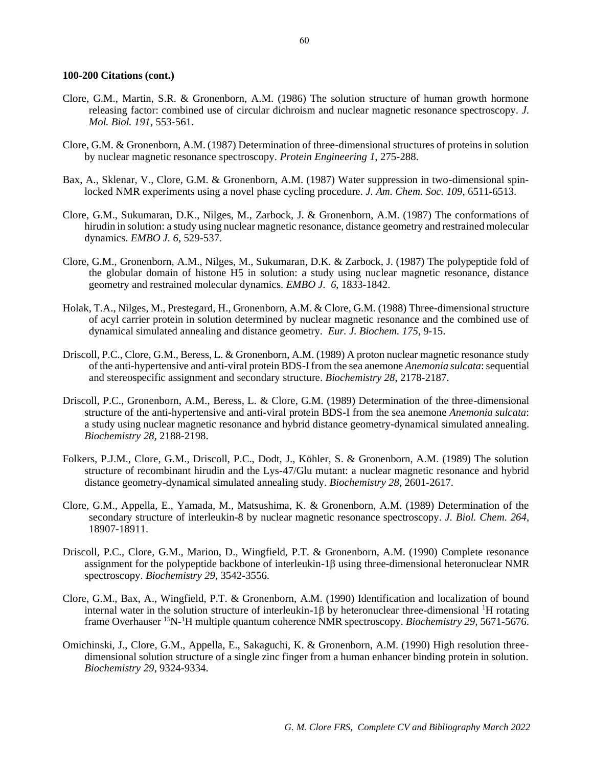- Clore, G.M., Martin, S.R. & Gronenborn, A.M. (1986) The solution structure of human growth hormone releasing factor: combined use of circular dichroism and nuclear magnetic resonance spectroscopy. *J. Mol. Biol. 191*, 553-561.
- Clore, G.M. & Gronenborn, A.M. (1987) Determination of three-dimensional structures of proteins in solution by nuclear magnetic resonance spectroscopy. *Protein Engineering 1*, 275-288.
- Bax, A., Sklenar, V., Clore, G.M. & Gronenborn, A.M. (1987) Water suppression in two-dimensional spinlocked NMR experiments using a novel phase cycling procedure*. J. Am. Chem. Soc. 109*, 6511-6513.
- Clore, G.M., Sukumaran, D.K., Nilges, M., Zarbock, J. & Gronenborn, A.M. (1987) The conformations of hirudin in solution: a study using nuclear magnetic resonance, distance geometry and restrained molecular dynamics. *EMBO J. 6*, 529-537.
- Clore, G.M., Gronenborn, A.M., Nilges, M., Sukumaran, D.K. & Zarbock, J. (1987) The polypeptide fold of the globular domain of histone H5 in solution: a study using nuclear magnetic resonance, distance geometry and restrained molecular dynamics. *EMBO J. 6*, 1833-1842.
- Holak, T.A., Nilges, M., Prestegard, H., Gronenborn, A.M. & Clore, G.M. (1988) Three-dimensional structure of acyl carrier protein in solution determined by nuclear magnetic resonance and the combined use of dynamical simulated annealing and distance geometry. *Eur. J. Biochem. 175*, 9-15.
- Driscoll, P.C., Clore, G.M., Beress, L. & Gronenborn, A.M. (1989) A proton nuclear magnetic resonance study of the anti-hypertensive and anti-viral protein BDS-I from the sea anemone *Anemonia sulcata*: sequential and stereospecific assignment and secondary structure. *Biochemistry 28*, 2178-2187.
- Driscoll, P.C., Gronenborn, A.M., Beress, L. & Clore, G.M. (1989) Determination of the three-dimensional structure of the anti-hypertensive and anti-viral protein BDS-I from the sea anemone *Anemonia sulcata*: a study using nuclear magnetic resonance and hybrid distance geometry-dynamical simulated annealing. *Biochemistry 28*, 2188-2198.
- Folkers, P.J.M., Clore, G.M., Driscoll, P.C., Dodt, J., Köhler, S. & Gronenborn, A.M. (1989) The solution structure of recombinant hirudin and the Lys-47/Glu mutant: a nuclear magnetic resonance and hybrid distance geometry-dynamical simulated annealing study. *Biochemistry 28*, 2601-2617.
- Clore, G.M., Appella, E., Yamada, M., Matsushima, K. & Gronenborn, A.M. (1989) Determination of the secondary structure of interleukin-8 by nuclear magnetic resonance spectroscopy. *J. Biol. Chem. 264*, 18907-18911.
- Driscoll, P.C., Clore, G.M., Marion, D., Wingfield, P.T. & Gronenborn, A.M. (1990) Complete resonance assignment for the polypeptide backbone of interleukin- $1\beta$  using three-dimensional heteronuclear NMR spectroscopy. *Biochemistry 29*, 3542-3556.
- Clore, G.M., Bax, A., Wingfield, P.T. & Gronenborn, A.M. (1990) Identification and localization of bound internal water in the solution structure of interleukin-1 $\beta$  by heteronuclear three-dimensional <sup>1</sup>H rotating frame Overhauser<sup>15</sup>N<sup>-1</sup>H multiple quantum coherence NMR spectroscopy. *Biochemistry 29*, 5671-5676.
- Omichinski, J., Clore, G.M., Appella, E., Sakaguchi, K. & Gronenborn, A.M. (1990) High resolution threedimensional solution structure of a single zinc finger from a human enhancer binding protein in solution. *Biochemistry 29*, 9324-9334.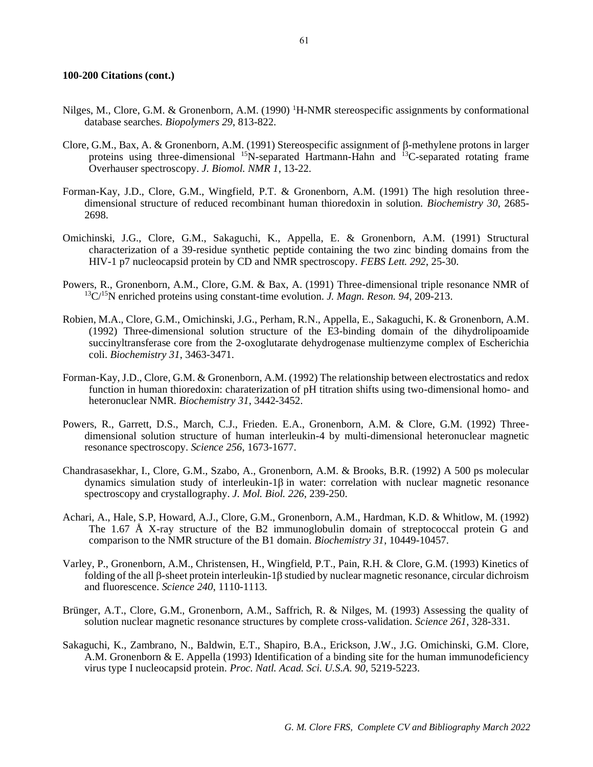- Nilges, M., Clore, G.M. & Gronenborn, A.M. (1990) <sup>1</sup>H-NMR stereospecific assignments by conformational database searches. *Biopolymers 29*, 813-822.
- Clore, G.M., Bax, A. & Gronenborn, A.M. (1991) Stereospecific assignment of  $\beta$ -methylene protons in larger proteins using three-dimensional <sup>15</sup>N-separated Hartmann-Hahn and <sup>13</sup>C-separated rotating frame Overhauser spectroscopy. *J. Biomol. NMR 1*, 13-22.
- Forman-Kay, J.D., Clore, G.M., Wingfield, P.T. & Gronenborn, A.M. (1991) The high resolution threedimensional structure of reduced recombinant human thioredoxin in solution. *Biochemistry 30*, 2685- 2698.
- Omichinski, J.G., Clore, G.M., Sakaguchi, K., Appella, E. & Gronenborn, A.M. (1991) Structural characterization of a 39-residue synthetic peptide containing the two zinc binding domains from the HIV-1 p7 nucleocapsid protein by CD and NMR spectroscopy. *FEBS Lett. 292*, 25-30.
- Powers, R., Gronenborn, A.M., Clore, G.M. & Bax, A. (1991) Three-dimensional triple resonance NMR of <sup>13</sup>C/<sup>15</sup>N enriched proteins using constant-time evolution. *J. Magn. Reson. 94*, 209-213.
- Robien, M.A., Clore, G.M., Omichinski, J.G., Perham, R.N., Appella, E., Sakaguchi, K. & Gronenborn, A.M. (1992) Three-dimensional solution structure of the E3-binding domain of the dihydrolipoamide succinyltransferase core from the 2-oxoglutarate dehydrogenase multienzyme complex of Escherichia coli. *Biochemistry 31*, 3463-3471.
- Forman-Kay, J.D., Clore, G.M. & Gronenborn, A.M. (1992) The relationship between electrostatics and redox function in human thioredoxin: charaterization of pH titration shifts using two-dimensional homo- and heteronuclear NMR. *Biochemistry 31*, 3442-3452.
- Powers, R., Garrett, D.S., March, C.J., Frieden. E.A., Gronenborn, A.M. & Clore, G.M. (1992) Threedimensional solution structure of human interleukin-4 by multi-dimensional heteronuclear magnetic resonance spectroscopy. *Science 256*, 1673-1677.
- Chandrasasekhar, I., Clore, G.M., Szabo, A., Gronenborn, A.M. & Brooks, B.R. (1992) A 500 ps molecular dynamics simulation study of interleukin-1 $\beta$  in water: correlation with nuclear magnetic resonance spectroscopy and crystallography. *J. Mol. Biol. 226*, 239-250.
- Achari, A., Hale, S.P, Howard, A.J., Clore, G.M., Gronenborn, A.M., Hardman, K.D. & Whitlow, M. (1992) The 1.67 Å X-ray structure of the B2 immunoglobulin domain of streptococcal protein G and comparison to the NMR structure of the B1 domain. *Biochemistry 31*, 10449-10457.
- Varley, P., Gronenborn, A.M., Christensen, H., Wingfield, P.T., Pain, R.H. & Clore, G.M. (1993) Kinetics of folding of the all  $\beta$ -sheet protein interleukin-1 $\beta$  studied by nuclear magnetic resonance, circular dichroism and fluorescence. *Science 240*, 1110-1113.
- Brünger, A.T., Clore, G.M., Gronenborn, A.M., Saffrich, R. & Nilges, M. (1993) Assessing the quality of solution nuclear magnetic resonance structures by complete cross-validation. *Science 261*, 328-331.
- Sakaguchi, K., Zambrano, N., Baldwin, E.T., Shapiro, B.A., Erickson, J.W., J.G. Omichinski, G.M. Clore, A.M. Gronenborn  $&\,$  E. Appella (1993) Identification of a binding site for the human immunodeficiency virus type I nucleocapsid protein. *Proc. Natl. Acad. Sci. U.S.A. 90*, 5219-5223.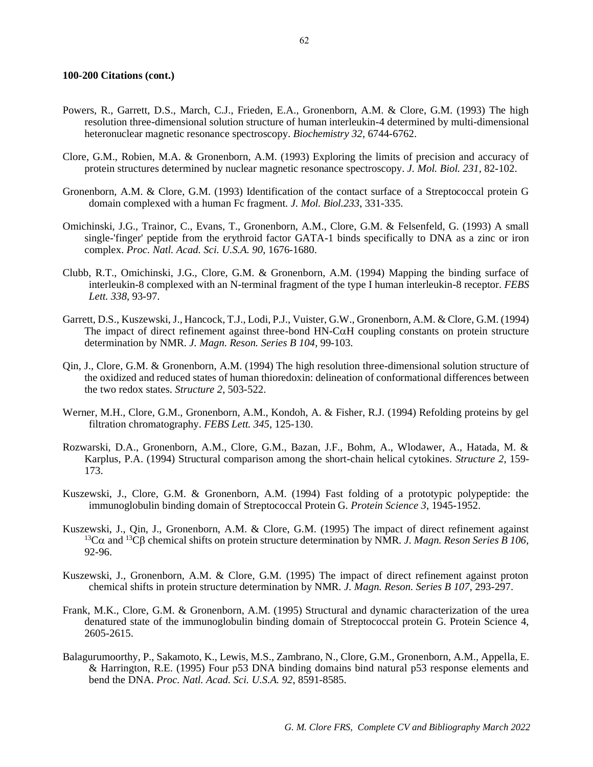- Powers, R., Garrett, D.S., March, C.J., Frieden, E.A., Gronenborn, A.M. & Clore, G.M. (1993) The high resolution three-dimensional solution structure of human interleukin-4 determined by multi-dimensional heteronuclear magnetic resonance spectroscopy. *Biochemistry 32*, 6744-6762.
- Clore, G.M., Robien, M.A. & Gronenborn, A.M. (1993) Exploring the limits of precision and accuracy of protein structures determined by nuclear magnetic resonance spectroscopy*. J. Mol. Biol. 231*, 82-102.
- Gronenborn, A.M. & Clore, G.M. (1993) Identification of the contact surface of a Streptococcal protein G domain complexed with a human Fc fragment. *J. Mol. Biol.233*, 331-335.
- Omichinski, J.G., Trainor, C., Evans, T., Gronenborn, A.M., Clore, G.M. & Felsenfeld, G. (1993) A small single-'finger' peptide from the erythroid factor GATA-1 binds specifically to DNA as a zinc or iron complex. *Proc. Natl. Acad. Sci. U.S.A. 90*, 1676-1680.
- Clubb, R.T., Omichinski, J.G., Clore, G.M. & Gronenborn, A.M. (1994) Mapping the binding surface of interleukin-8 complexed with an N-terminal fragment of the type I human interleukin-8 receptor. *FEBS Lett. 338*, 93-97.
- Garrett, D.S., Kuszewski, J., Hancock, T.J., Lodi, P.J., Vuister, G.W., Gronenborn, A.M. & Clore, G.M. (1994) The impact of direct refinement against three-bond  $HN-C\alpha H$  coupling constants on protein structure determination by NMR. *J. Magn. Reson. Series B 104*, 99-103.
- Qin, J., Clore, G.M. & Gronenborn, A.M. (1994) The high resolution three-dimensional solution structure of the oxidized and reduced states of human thioredoxin: delineation of conformational differences between the two redox states. *Structure 2*, 503-522.
- Werner, M.H., Clore, G.M., Gronenborn, A.M., Kondoh, A. & Fisher, R.J. (1994) Refolding proteins by gel filtration chromatography. *FEBS Lett. 345*, 125-130.
- Rozwarski, D.A., Gronenborn, A.M., Clore, G.M., Bazan, J.F., Bohm, A., Wlodawer, A., Hatada, M. & Karplus, P.A. (1994) Structural comparison among the short-chain helical cytokines. *Structure 2*, 159- 173.
- Kuszewski, J., Clore, G.M. & Gronenborn, A.M. (1994) Fast folding of a prototypic polypeptide: the immunoglobulin binding domain of Streptococcal Protein G. *Protein Science 3*, 1945-1952.
- Kuszewski, J., Qin, J., Gronenborn, A.M. & Clore, G.M. (1995) The impact of direct refinement against <sup>13</sup>Cα and <sup>13</sup>Cβ chemical shifts on protein structure determination by NMR. *J. Magn. Reson Series B 106*, 92-96.
- Kuszewski, J., Gronenborn, A.M. & Clore, G.M. (1995) The impact of direct refinement against proton chemical shifts in protein structure determination by NMR. *J. Magn. Reson. Series B 107*, 293-297.
- Frank, M.K., Clore, G.M. & Gronenborn, A.M. (1995) Structural and dynamic characterization of the urea denatured state of the immunoglobulin binding domain of Streptococcal protein G. Protein Science 4, 2605-2615.
- Balagurumoorthy, P., Sakamoto, K., Lewis, M.S., Zambrano, N., Clore, G.M., Gronenborn, A.M., Appella, E. & Harrington, R.E. (1995) Four p53 DNA binding domains bind natural p53 response elements and bend the DNA. *Proc. Natl. Acad. Sci. U.S.A. 92*, 8591-8585.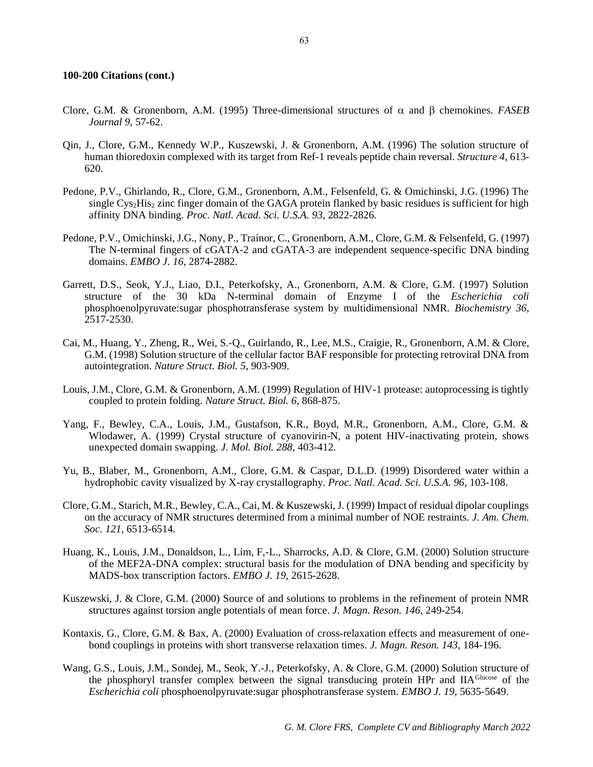- Clore, G.M. & Gronenborn, A.M. (1995) Three-dimensional structures of  $\alpha$  and  $\beta$  chemokines. *FASEB Journal 9*, 57-62.
- Qin, J., Clore, G.M., Kennedy W.P., Kuszewski, J. & Gronenborn, A.M. (1996) The solution structure of human thioredoxin complexed with its target from Ref-1 reveals peptide chain reversal. *Structure 4*, 613- 620.
- Pedone, P.V., Ghirlando, R., Clore, G.M., Gronenborn, A.M., Felsenfeld, G. & Omichinski, J.G. (1996) The single Cys2His<sup>2</sup> zinc finger domain of the GAGA protein flanked by basic residues is sufficient for high affinity DNA binding. *Proc. Natl. Acad. Sci. U.S.A. 93*, 2822-2826.
- Pedone, P.V., Omichinski, J.G., Nony, P., Trainor, C., Gronenborn, A.M., Clore, G.M. & Felsenfeld, G. (1997) The N-terminal fingers of cGATA-2 and cGATA-3 are independent sequence-specific DNA binding domains. *EMBO J. 16*, 2874-2882.
- Garrett, D.S., Seok, Y.J., Liao, D.I., Peterkofsky, A., Gronenborn, A.M. & Clore, G.M. (1997) Solution structure of the 30 kDa N-terminal domain of Enzyme I of the *Escherichia coli* phosphoenolpyruvate:sugar phosphotransferase system by multidimensional NMR. *Biochemistry 36*, 2517-2530.
- Cai, M., Huang, Y., Zheng, R., Wei, S.-Q., Guirlando, R., Lee, M.S., Craigie, R., Gronenborn, A.M. & Clore, G.M. (1998) Solution structure of the cellular factor BAF responsible for protecting retroviral DNA from autointegration. *Nature Struct. Biol. 5*, 903-909.
- Louis, J.M., Clore, G.M. & Gronenborn, A.M. (1999) Regulation of HIV-1 protease: autoprocessing is tightly coupled to protein folding. *Nature Struct. Biol. 6*, 868-875.
- Yang, F., Bewley, C.A., Louis, J.M., Gustafson, K.R., Boyd, M.R., Gronenborn, A.M., Clore, G.M. & Wlodawer, A. (1999) Crystal structure of cyanovirin-N, a potent HIV-inactivating protein, shows unexpected domain swapping. *J. Mol. Biol. 288*, 403-412.
- Yu, B., Blaber, M., Gronenborn, A.M., Clore, G.M. & Caspar, D.L.D. (1999) Disordered water within a hydrophobic cavity visualized by X-ray crystallography. *Proc. Natl. Acad. Sci. U.S.A. 96*, 103-108.
- Clore, G.M., Starich, M.R., Bewley, C.A., Cai, M. & Kuszewski, J. (1999) Impact of residual dipolar couplings on the accuracy of NMR structures determined from a minimal number of NOE restraints. *J. Am. Chem. Soc. 121*, 6513-6514.
- Huang, K., Louis, J.M., Donaldson, L., Lim, F,-L., Sharrocks, A.D. & Clore, G.M. (2000) Solution structure of the MEF2A-DNA complex: structural basis for the modulation of DNA bending and specificity by MADS-box transcription factors. *EMBO J. 19*, 2615-2628.
- Kuszewski, J. & Clore, G.M. (2000) Source of and solutions to problems in the refinement of protein NMR structures against torsion angle potentials of mean force. *J. Magn. Reson. 146*, 249-254.
- Kontaxis, G., Clore, G.M. & Bax, A. (2000) Evaluation of cross-relaxation effects and measurement of onebond couplings in proteins with short transverse relaxation times. *J. Magn. Reson. 143*, 184-196.
- Wang, G.S., Louis, J.M., Sondej, M., Seok, Y.-J., Peterkofsky, A. & Clore, G.M. (2000) Solution structure of the phosphoryl transfer complex between the signal transducing protein HPr and IIAGlucose of the *Escherichia coli* phosphoenolpyruvate:sugar phosphotransferase system. *EMBO J. 19*, 5635-5649.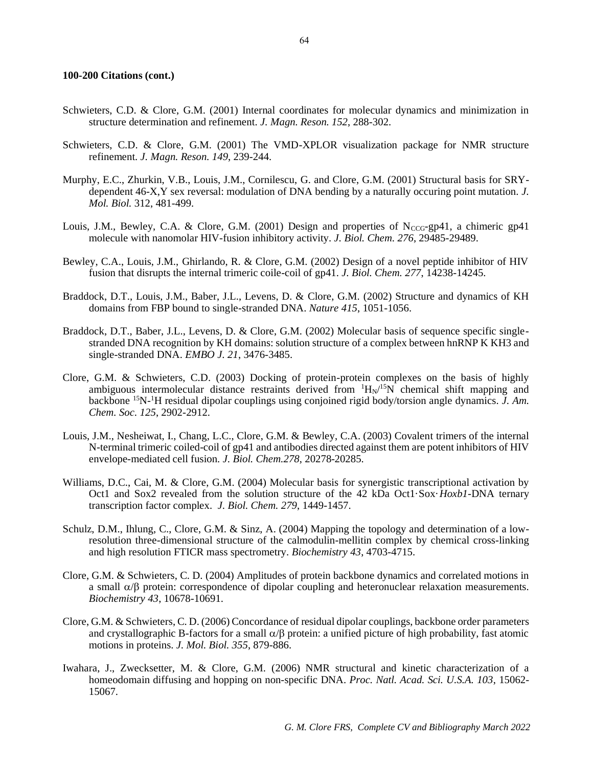- Schwieters, C.D. & Clore, G.M. (2001) Internal coordinates for molecular dynamics and minimization in structure determination and refinement. *J. Magn. Reson. 152*, 288-302.
- Schwieters, C.D. & Clore, G.M. (2001) The VMD-XPLOR visualization package for NMR structure refinement. *J. Magn. Reson. 149*, 239-244.
- Murphy, E.C., Zhurkin, V.B., Louis, J.M., Cornilescu, G. and Clore, G.M. (2001) Structural basis for SRYdependent 46-X,Y sex reversal: modulation of DNA bending by a naturally occuring point mutation. *J. Mol. Biol.* 312, 481-499.
- Louis, J.M., Bewley, C.A. & Clore, G.M. (2001) Design and properties of  $N_{CCG-P}$  gp41, a chimeric gp41 molecule with nanomolar HIV-fusion inhibitory activity. *J. Biol. Chem. 276*, 29485-29489.
- Bewley, C.A., Louis, J.M., Ghirlando, R. & Clore, G.M. (2002) Design of a novel peptide inhibitor of HIV fusion that disrupts the internal trimeric coile-coil of gp41. *J. Biol. Chem. 277*, 14238-14245.
- Braddock, D.T., Louis, J.M., Baber, J.L., Levens, D. & Clore, G.M. (2002) Structure and dynamics of KH domains from FBP bound to single-stranded DNA. *Nature 415*, 1051-1056.
- Braddock, D.T., Baber, J.L., Levens, D. & Clore, G.M. (2002) Molecular basis of sequence specific singlestranded DNA recognition by KH domains: solution structure of a complex between hnRNP K KH3 and single-stranded DNA. *EMBO J. 21*, 3476-3485.
- Clore, G.M. & Schwieters, C.D. (2003) Docking of protein-protein complexes on the basis of highly ambiguous intermolecular distance restraints derived from  $H_N/^{15}N$  chemical shift mapping and backbone 15N-<sup>1</sup>H residual dipolar couplings using conjoined rigid body/torsion angle dynamics. *J. Am. Chem. Soc. 125*, 2902-2912.
- Louis, J.M., Nesheiwat, I., Chang, L.C., Clore, G.M. & Bewley, C.A. (2003) Covalent trimers of the internal N-terminal trimeric coiled-coil of gp41 and antibodies directed against them are potent inhibitors of HIV envelope-mediated cell fusion. *J. Biol. Chem.278*, 20278-20285.
- Williams, D.C., Cai, M. & Clore, G.M. (2004) Molecular basis for synergistic transcriptional activation by Oct1 and Sox2 revealed from the solution structure of the 42 kDa Oct1·Sox·*Hoxb1*-DNA ternary transcription factor complex. *J. Biol. Chem. 279*, 1449-1457.
- Schulz, D.M., Ihlung, C., Clore, G.M. & Sinz, A. (2004) Mapping the topology and determination of a lowresolution three-dimensional structure of the calmodulin-mellitin complex by chemical cross-linking and high resolution FTICR mass spectrometry. *Biochemistry 43*, 4703-4715.
- Clore, G.M. & Schwieters, C. D. (2004) Amplitudes of protein backbone dynamics and correlated motions in a small  $\alpha/\beta$  protein: correspondence of dipolar coupling and heteronuclear relaxation measurements. *Biochemistry 43*, 10678-10691.
- Clore, G.M. & Schwieters, C. D. (2006) Concordance of residual dipolar couplings, backbone order parameters and crystallographic B-factors for a small  $\alpha/\beta$  protein: a unified picture of high probability, fast atomic motions in proteins. *J. Mol. Biol. 355*, 879-886.
- Iwahara, J., Zwecksetter, M. & Clore, G.M. (2006) NMR structural and kinetic characterization of a homeodomain diffusing and hopping on non-specific DNA. *Proc. Natl. Acad. Sci. U.S.A. 103*, 15062- 15067.